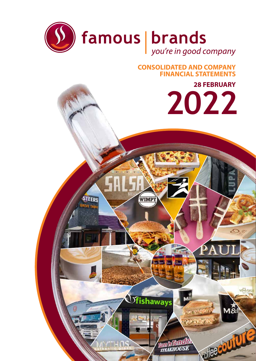

# **CONSOLIDATED AND COMPANY FINANCIAL STATEMENTS**

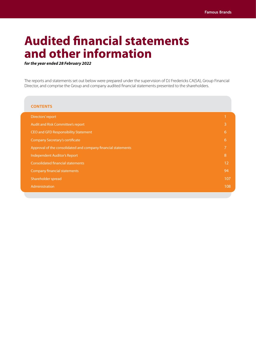# **Audited financial statements and other information**

*for the year ended 28 February 2022*

The reports and statements set out below were prepared under the supervision of DJ Fredericks CA(SA), Group Financial Director, and comprise the Group and company audited financial statements presented to the shareholders.

| <b>CONTENTS</b>                                               |     |
|---------------------------------------------------------------|-----|
| Directors' report                                             |     |
| Audit and Risk Committee's report                             | B   |
| CEO and GFD Responsibility Statement                          | 6   |
| <b>Company Secretary's certificate</b>                        | 6   |
| Approval of the consolidated and company financial statements | 7   |
| Independent Auditor's Report                                  | 8   |
| <b>Consolidated financial statements</b>                      | 12  |
| <b>Company financial statements</b>                           | 94  |
| Shareholder spread                                            | 107 |
| Administration                                                | 108 |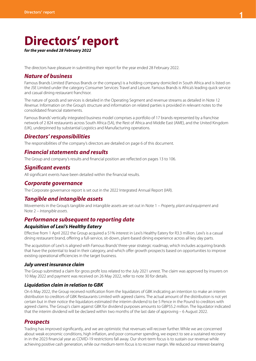# **Directors' report**

*for the year ended 28 February 2022*

The directors have pleasure in submitting their report for the year ended 28 February 2022.

## *Nature of business*

Famous Brands Limited (Famous Brands or the company) is a holding company domiciled in South Africa and is listed on the JSE Limited under the category Consumer Services: Travel and Leisure. Famous Brands is Africa's leading quick service and casual dining restaurant franchisor.

The nature of goods and services is detailed in the Operating Segment and revenue streams as detailed in Note 12 *Revenue*. Information on the Group's structure and information on related parties is provided in relevant notes to the consolidated financial statements.

Famous Brands' vertically integrated business model comprises a portfolio of 17 brands represented by a franchise network of 2 824 restaurants across South Africa (SA), the Rest of Africa and Middle East (AME), and the United Kingdom (UK), underpinned by substantial Logistics and Manufacturing operations.

## *Directors' responsibilities*

The responsibilities of the company's directors are detailed on page 6 of this document.

## *Financial statements and results*

The Group and company's results and financial position are reflected on pages 13 to 106.

## *Significant events*

All significant events have been detailed within the financial results.

## *Corporate governance*

The Corporate governance report is set out in the 2022 Integrated Annual Report (IAR).

## *Tangible and intangible assets*

Movements in the Group's tangible and intangible assets are set out in Note 1 – *Property, plant and equipment* and Note 2 – *Intangible assets*.

## *Performance subsequent to reporting date*

#### *Acquisition of Lexi's Healthy Eatery*

Effective from 1 April 2022 the Group acquired a 51% interest in Lexi's Healthy Eatery for R3.3 million. Lexi's is a casual dining restaurant brand, offering a full-service, sit-down, plant-based dining experience across all key day parts.

The acquisition of Lexi's is aligned with Famous Brands' three-year strategic roadmap, which includes acquiring brands that have the potential to lead in their category, and which offer growth prospects based on opportunities to improve existing operational efficiencies in the target business.

### *July unrest insurance claim*

The Group submitted a claim for gross profit loss related to the July 2021 unrest. The claim was approved by insurers on 10 May 2022 and payment was received on 26 May 2022, refer to note 30 for details.

#### *Liquidation claim in relation to GBK*

On 6 May 2022, the Group received notification from the liquidators of GBK indicating an intention to make an interim distribution to creditors of GBK Restaurants Limited with agreed claims. The actual amount of the distribution is not yet certain but in their notice the liquidators estimated the interim dividend to be 5 Pence in the Pound to creditors with agreed claims. The Group's claim against GBK for dividend purposes amounts to GBP55.2 million. The liquidator indicated that the interim dividend will be declared within two months of the last date of approving – 6 August 2022.

## *Prospects*

Trading has improved significantly, and we are optimistic that revenues will recover further. While we are concerned about weak economic conditions, high inflation, and poor consumer spending, we expect to see a sustained recovery in in the 2023 financial year as COVID-19 restrictions fall away. Our short-term focus is to sustain our revenue while achieving positive cash generation, while our medium-term focus is to recover margin. We reduced our interest-bearing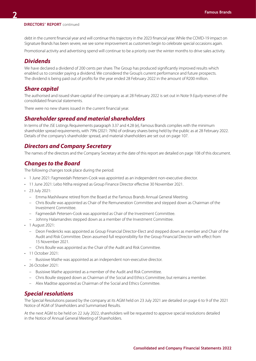#### **DIRECTORS' REPORT** continued

debt in the current financial year and will continue this trajectory in the 2023 financial year. While the COVID-19 impact on Signature Brands has been severe, we see some improvement as customers begin to celebrate special occasions again.

Promotional activity and advertising spend will continue to be a priority over the winter months to drive sales activity.

## *Dividends*

We have declared a dividend of 200 cents per share. The Group has produced significantly improved results which enabled us to consider paying a dividend. We considered the Group's current performance and future prospects. The dividend is being paid out of profits for the year ended 28 February 2022 in the amount of R200 million.

## *Share capital*

The authorised and issued share capital of the company as at 28 February 2022 is set out in Note 9 *Equity reserves* of the consolidated financial statements.

There were no new shares issued in the current financial year.

## *Shareholder spread and material shareholders*

In terms of the JSE Listings Requirements paragraph 3.37 and 4.28 (e), Famous Brands complies with the minimum shareholder spread requirements, with 79% (2021: 76%) of ordinary shares being held by the public as at 28 February 2022. Details of the company's shareholder spread, and material shareholders are set out on page 107.

## *Directors and Company Secretary*

The names of the directors and the Company Secretary at the date of this report are detailed on page 108 of this document.

## *Changes to the Board*

The following changes took place during the period:

- 1 June 2021: Fagmeedah Petersen-Cook was appointed as an independent non-executive director.
- 11 June 2021: Lebo Ntlha resigned as Group Finance Director effective 30 November 2021.
- 23 July 2021:
	- Emma Mashilwane retired from the Board at the Famous Brands Annual General Meeting.
	- Chris Boulle was appointed as Chair of the Remuneration Committee and stepped down as Chairman of the Investment Committee.
	- Fagmeedah Petersen-Cook was appointed as Chair of the Investment Committee.
	- Johnny Halamandres stepped down as a member of the Investment Committee.
- 1 August 2021:
	- Deon Fredericks was appointed as Group Financial Director-Elect and stepped down as member and Chair of the Audit and Risk Committee. Deon assumed full responsibility for the Group Financial Director with effect from 15 November 2021.
	- Chris Boulle was appointed as the Chair of the Audit and Risk Committee.
- 11 October 2021:
	- Busisiwe Mathe was appointed as an independent non-executive director.
- 26 October 2021:
	- Busisiwe Mathe appointed as a member of the Audit and Risk Committee.
	- Chris Boulle stepped down as Chairman of the Social and Ethics Committee, but remains a member.
	- Alex Maditse appointed as Chairman of the Social and Ethics Committee.

## *Special resolutions*

The Special Resolutions passed by the company at its AGM held on 23 July 2021 are detailed on page 6 to 9 of the 2021 Notice of AGM of Shareholders and Summarised Results.

At the next AGM to be held on 22 July 2022, shareholders will be requested to approve special resolutions detailed in the Notice of Annual General Meeting of Shareholders.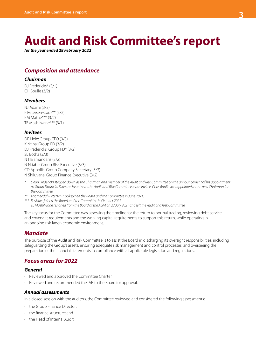# **Audit and Risk Committee's report**

*for the year ended 28 February 2022*

# *Composition and attendance*

## *Chairman*

DJ Fredericks\* (3/1) CH Boulle (3/2)

## *Members*

NJ Adami (3/3) F Petersen-Cook\*\* (3/2) BM Mathe\*\*\* (3/2) TE Mashilwane\*\*\* (3/1)

### *Invitees*

DP Hele: Group CEO (3/3) K Ntlha: Group FD (3/2) DJ Fredericks: Group FD\* (3/2) SL Botha (3/3) N Halamandaris (3/2) N Ndaba: Group Risk Executive (3/3) CD Appollis: Group Company Secretary (3/3) N Shiluvana: Group Finance Executive (3/2)

- *\* Deon Fredericks stepped down as the Chairman and member of the Audit and Risk Committee on the announcement of his appointment as Group Financial Director. He attends the Audit and Risk Committee as an invitee. Chris Boulle was appointed as the new Chairman for the Committee.*
- *\*\* Fagmeedah Petersen-Cook joined the Board and the Committee in June 2021.*

*\*\*\* Busisiwe joined the Board and the Committee in October 2021. TE Mashilwane resigned from the Board at the AGM on 23 July 2021 and left the Audit and Risk Committee.*

The key focus for the Committee was assessing the timeline for the return to normal trading, reviewing debt service and covenant requirements and the working capital requirements to support this return, while operating in an ongoing risk-laden economic environment.

# *Mandate*

The purpose of the Audit and Risk Committee is to assist the Board in discharging its oversight responsibilities, including safeguarding the Group's assets, ensuring adequate risk management and control processes, and overseeing the preparation of the financial statements in compliance with all applicable legislation and regulations.

## *Focus areas for 2022*

## *General*

- Reviewed and approved the Committee Charter.
- Reviewed and recommended the IAR to the Board for approval.

## *Annual assessments*

In a closed session with the auditors, the Committee reviewed and considered the following assessments:

- the Group Finance Director;
- the finance structure; and
- the Head of Internal Audit.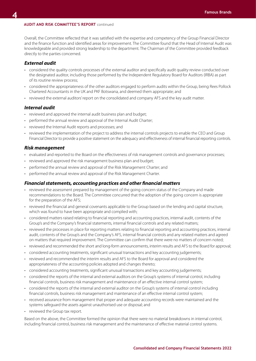#### **AUDIT AND RISK COMMITTEE'S REPORT** continued

Overall, the Committee reflected that it was satisfied with the expertise and competency of the Group Financial Director and the finance function and identified areas for improvement. The Committee found that the Head of Internal Audit was knowledgeable and provided strong leadership to the department. The Chairman of the Committee provided feedback directly to the parties concerned.

## *External audit*

- considered the quality controls processes of the external auditor and specifically audit quality review conducted over the designated auditor, including those performed by the Independent Regulatory Board for Auditors (IRBA) as part of its routine review process;
- considered the appropriateness of the other auditors engaged to perform audits within the Group, being Rees Pollock Chartered Accountants in the UK and PKF Botswana, and deemed them appropriate; and
- reviewed the external auditors' report on the consolidated and company AFS and the key audit matter.

### *Internal audit*

- reviewed and approved the internal audit business plan and budget;
- performed the annual review and approval of the Internal Audit Charter;
- reviewed the Internal Audit reports and processes; and
- reviewed the implementation of the project to address the internal controls projects to enable the CEO and Group Financial Director to provide a positive statement on the adequacy and effectiveness of internal financial reporting controls.

### *Risk management*

- evaluated and reported to the Board on the effectiveness of risk management controls and governance processes;
- reviewed and approved the risk management business plan and budget;
- performed the annual review and approval of the Risk Management Charter; and
- performed the annual review and approval of the Risk Management Charter.

### *Financial statements, accounting practices and other financial matters*

- reviewed the assessment prepared by management of the going concern status of the Company and made recommendations to the Board. The Committee concurred that the adoption of the going concern is appropriate for the preparation of the AFS;
- reviewed the financial and general covenants applicable to the Group based on the lending and capital structure, which was found to have been appropriate and complied with;
- considered matters raised relating to financial reporting and accounting practices, internal audit, contents of the Group's and the Company's financial statements, internal financial controls and any related matters;
- reviewed the processes in place for reporting matters relating to financial reporting and accounting practices, internal audit, contents of the Group's and the Company's AFS, internal financial controls and any related matters and agreed on matters that required improvement. The Committee can confirm that there were no matters of concern noted;
- reviewed and recommended the short and long-form announcements, interim results and AFS to the Board for approval;
- considered accounting treatments, significant unusual transactions and key accounting judgements;
- reviewed and recommended the interim results and AFS to the Board for approval and considered the appropriateness of the accounting policies adopted and changes thereto;
- considered accounting treatments, significant unusual transactions and key accounting judgements;
- considered the reports of the internal and external auditors on the Group's systems of internal control, including financial controls, business risk management and maintenance of an effective internal control system;
- considered the reports of the internal and external auditor on the Group's systems of internal control including financial controls, business risk management and maintenance of an effective internal control system;
- received assurance from management that proper and adequate accounting records were maintained and the systems safeguard the assets against unauthorised use or disposal; and
- reviewed the Group tax report.

Based on the above, the Committee formed the opinion that there were no material breakdowns in internal control, including financial control, business risk management and the maintenance of effective material control systems.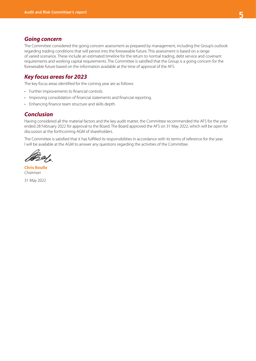## *Going concern*

The Committee considered the going concern assessment as prepared by management, including the Group's outlook regarding trading conditions that will persist into the foreseeable future. This assessment is based on a range of varied scenarios. These include an estimated timeline for the return to normal trading, debt service and covenant requirements and working capital requirements. The Committee is satisfied that the Group is a going concern for the foreseeable future based on the information available at the time of approval of the AFS.

## *Key focus areas for 2023*

The key focus areas identified for the coming year are as follows:

- Further improvements to financial controls.
- Improving consolidation of financial statements and financial reporting.
- Enhancing finance team structure and skills depth.

## *Conclusion*

Having considered all the material factors and the key audit matter, the Committee recommended the AFS for the year ended 28 February 2022 for approval to the Board. The Board approved the AFS on 31 May 2022, which will be open for discussion at the forthcoming AGM of shareholders.

The Committee is satisfied that it has fulfilled its responsibilities in accordance with its terms of reference for the year. I will be available at the AGM to answer any questions regarding the activities of the Committee.

Zof,

**Chris Boulle** *Chairman*  31 May 2022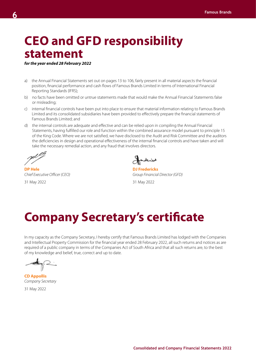# **CEO and GFD responsibility statement**

*for the year ended 28 February 2022*

- a) the Annual Financial Statements set out on pages 13 to 106, fairly present in all material aspects the financial position, financial performance and cash flows of Famous Brands Limited in terms of International Financial Reporting Standards (IFRS);
- b) no facts have been omitted or untrue statements made that would make the Annual Financial Statements false or misleading;
- c) internal financial controls have been put into place to ensure that material information relating to Famous Brands Limited and its consolidated subsidiaries have been provided to effectively prepare the financial statements of Famous Brands Limited; and
- d) the internal controls are adequate and effective and can be relied upon in compiling the Annual Financial Statements, having fulfilled our role and function within the combined assurance model pursuant to principle 15 of the King Code. Where we are not satisfied, we have disclosed to the Audit and Risk Committee and the auditors the deficiencies in design and operational effectiveness of the internal financial controls and have taken and will take the necessary remedial action, and any fraud that involves directors.

**DP Hele** DJ Fredericks

Sonderico

*Chief Executive Officer (CEO) Group Financial Director (GFD)*

31 May 2022 31 May 2022

# **Company Secretary's certificate**

In my capacity as the Company Secretary, I hereby certify that Famous Brands Limited has lodged with the Companies and Intellectual Property Commission for the financial year ended 28 February 2022, all such returns and notices as are required of a public company in terms of the Companies Act of South Africa and that all such returns are, to the best of my knowledge and belief, true, correct and up to date.

**CD Appollis** *Company Secretary*

31 May 2022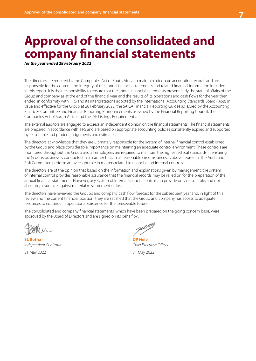# **Approval of the consolidated and company financial statements**

*for the year ended 28 February 2022*

The directors are required by the Companies Act of South Africa to maintain adequate accounting records and are responsible for the content and integrity of the annual financial statements and related financial information included in this report. It is their responsibility to ensure that the annual financial statements present fairly the state of affairs of the Group and company as at the end of the financial year and the results of its operations and cash flows for the year then ended, in conformity with IFRS and its interpretations adopted by the International Accounting Standards Board (IASB) in issue and effective for the Group at 28 February 2022, the SAICA Financial Reporting Guides as issued by the Accounting Practices Committee and Financial Reporting Pronouncements as issued by the Financial Reporting Council, the Companies Act of South Africa and the JSE Listings Requirements.

The external auditors are engaged to express an independent opinion on the financial statements. The financial statements are prepared in accordance with IFRS and are based on appropriate accounting policies consistently applied and supported by reasonable and prudent judgements and estimates.

The directors acknowledge that they are ultimately responsible for the system of internal financial control established by the Group and place considerable importance on maintaining an adequate control environment. These controls are monitored throughout the Group and all employees are required to maintain the highest ethical standards in ensuring the Group's business is conducted in a manner that, in all reasonable circumstances, is above reproach. The Audit and Risk Committee perform an oversight role in matters related to financial and internal controls.

The directors are of the opinion that based on the information and explanations given by management, the system of internal control provides reasonable assurance that the financial records may be relied on for the preparation of the annual financial statements. However, any system of internal financial control can provide only reasonable, and not absolute, assurance against material misstatement or loss.

The directors have reviewed the Group's and company cash flow forecast for the subsequent year and, in light of this review and the current financial position, they are satisfied that the Group and company has access to adequate resources to continue in operational existence for the foreseeable future.

The consolidated and company financial statements, which have been prepared on the going concern basis, were approved by the Board of Directors and are signed on its behalf by:

**SL Botha DP Hele** *Independent Chairman Chief Executive Officer*

31 May 2022 31 May 2022

gil <sup>p</sup>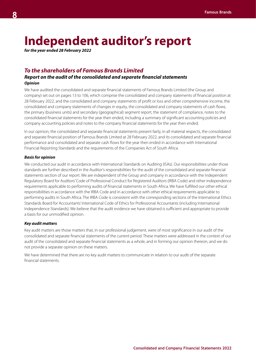# **Independent auditor's report**

*for the year ended 28 February 2022*

# *To the shareholders of Famous Brands Limited*

## *Report on the audit of the consolidated and separate financial statements Opinion*

We have audited the consolidated and separate financial statements of Famous Brands Limited (the Group and company) set out on pages 13 to 106, which comprise the consolidated and company statements of financial position at 28 February 2022, and the consolidated and company statements of profit or loss and other comprehensive income, the consolidated and company statements of changes in equity, the consolidated and company statements of cash flows, the primary (business units) and secondary (geographical) segment report, the statement of compliance, notes to the consolidated financial statements for the year then ended, including a summary of significant accounting policies and company accounting policies and notes to the company financial statements for the year then ended.

In our opinion, the consolidated and separate financial statements present fairly, in all material respects, the consolidated and separate financial position of Famous Brands Limited at 28 February 2022, and its consolidated and separate financial performance and consolidated and separate cash flows for the year then ended in accordance with International Financial Reporting Standards and the requirements of the Companies Act of South Africa.

### *Basis for opinion*

We conducted our audit in accordance with International Standards on Auditing (ISAs). Our responsibilities under those standards are further described in the Auditor's responsibilities for the audit of the consolidated and separate financial statements section of our report. We are independent of the Group and company in accordance with the Independent Regulatory Board for Auditors' Code of Professional Conduct for Registered Auditors (IRBA Code) and other independence requirements applicable to performing audits of financial statements in South Africa. We have fulfilled our other ethical responsibilities in accordance with the IRBA Code and in accordance with other ethical requirements applicable to performing audits in South Africa. The IRBA Code is consistent with the corresponding sections of the International Ethics Standards Board for Accountants' International Code of Ethics for Professional Accountants (including International Independence Standards). We believe that the audit evidence we have obtained is sufficient and appropriate to provide a basis for our unmodified opinion.

#### *Key audit matters*

Key audit matters are those matters that, in our professional judgement, were of most significance in our audit of the consolidated and separate financial statements of the current period. These matters were addressed in the context of our audit of the consolidated and separate financial statements as a whole, and in forming our opinion thereon, and we do not provide a separate opinion on these matters.

We have determined that there are no key audit matters to communicate in relation to our audit of the separate financial statements.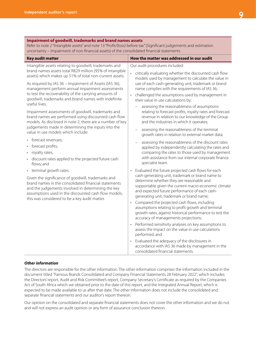**Impairment of goodwill, trademarks and brand names assets**

| Refer to note 2 "Intangible assets" and note 13 "Profit/(loss) before tax" (Significant judgements and estimation<br>uncertainty - Impairment of non-financial assets) of the consolidated financial statements                                                                                                                                                                                                                                                                                                                                                                                                                                                                                                                                                                                                                                                                                                                                                                                                                                                                                                                                              |                                                                                                                                                                                                                                                                                                                                                                                                                                                                                                                                                                                                                                                                                                                                                                                                                                                                                                                                                                                                                                                                                                                                                                                                                                                                                                                                                                                                                                                                                                                                                                                                                                                                                                                                            |
|--------------------------------------------------------------------------------------------------------------------------------------------------------------------------------------------------------------------------------------------------------------------------------------------------------------------------------------------------------------------------------------------------------------------------------------------------------------------------------------------------------------------------------------------------------------------------------------------------------------------------------------------------------------------------------------------------------------------------------------------------------------------------------------------------------------------------------------------------------------------------------------------------------------------------------------------------------------------------------------------------------------------------------------------------------------------------------------------------------------------------------------------------------------|--------------------------------------------------------------------------------------------------------------------------------------------------------------------------------------------------------------------------------------------------------------------------------------------------------------------------------------------------------------------------------------------------------------------------------------------------------------------------------------------------------------------------------------------------------------------------------------------------------------------------------------------------------------------------------------------------------------------------------------------------------------------------------------------------------------------------------------------------------------------------------------------------------------------------------------------------------------------------------------------------------------------------------------------------------------------------------------------------------------------------------------------------------------------------------------------------------------------------------------------------------------------------------------------------------------------------------------------------------------------------------------------------------------------------------------------------------------------------------------------------------------------------------------------------------------------------------------------------------------------------------------------------------------------------------------------------------------------------------------------|
| <b>Key audit matter</b>                                                                                                                                                                                                                                                                                                                                                                                                                                                                                                                                                                                                                                                                                                                                                                                                                                                                                                                                                                                                                                                                                                                                      | How the matter was addressed in our audit                                                                                                                                                                                                                                                                                                                                                                                                                                                                                                                                                                                                                                                                                                                                                                                                                                                                                                                                                                                                                                                                                                                                                                                                                                                                                                                                                                                                                                                                                                                                                                                                                                                                                                  |
| Intangible assets relating to goodwill, trademarks and<br>brand names assets total R829 million (95% of intangible<br>assets) which makes up 51% of total non-current assets.<br>As required by IAS 36 - Impairment of Assets (IAS 36),<br>management perform annual impairment assessments<br>to test the recoverability of the carrying amounts of<br>goodwill, trademarks and brand names with indefinite<br>useful lives.<br>Impairment assessments of goodwill, trademarks and<br>brand names are performed using discounted cash flow<br>models. As disclosed in note 2, there are a number of key<br>judgements made in determining the inputs into the<br>value in use models which include:<br>forecast revenues;<br>forecast profits;<br>royalty rates;<br>$\bullet$<br>discount rates applied to the projected future cash<br>flows; and<br>• terminal growth rates.<br>Given the significance of goodwill, trademarks and<br>brand names in the consolidated financial statements<br>and the judgements involved in determining the key<br>assumptions used in the discounted cash flow models,<br>this was considered to be a key audit matter. | Our audit procedures included:<br>critically evaluating whether the discounted cash flow<br>models used by management to calculate the value in<br>use of each cash-generating unit, trademark or brand<br>name complies with the requirements of IAS 36;<br>challenged the assumptions used by management in<br>their value in use calculations by:<br>assessing the reasonableness of assumptions<br>relating to forecast profits, royalty rates and forecast<br>revenue in relation to our knowledge of the Group<br>and the industries in which it operates;<br>assessing the reasonableness of the terminal<br>growth rates in relation to external market data;<br>assessing the reasonableness of the discount rates<br>applied by independently calculating the rates and<br>comparing the rates to those used by management<br>with assistance from our internal corporate finance<br>specialist team.<br>Evaluated the future projected cash flows for each<br>$\bullet$<br>cash-generating unit, trademark or brand name to<br>determine whether they are reasonable and<br>supportable given the current macro-economic climate<br>and expected future performance of each cash-<br>generating unit, trademark or brand name;<br>Compared the projected cash flows, including<br>$\bullet$<br>assumptions relating to profit growth and terminal<br>growth rates, against historical performance to test the<br>accuracy of managements projections;<br>Performed sensitivity analyses on key assumptions to<br>assess the impact on the value in use calculations<br>performed; and<br>Evaluated the adequacy of the disclosures in<br>accordance with IAS 36 made by management in the<br>consolidated financial statements. |

#### *Other information*

The directors are responsible for the other information. The other information comprises the information included in the document titled "Famous Brands Consolidated and Company Financial Statements 28 February 2022", which includes the Directors' report, Audit and Risk Committee's report, Company Secretary's Certificate as required by the Companies Act of South Africa which we obtained prior to the date of this report, and the Integrated Annual Report, which is expected to be made available to us after that date. The other information does not include the consolidated and separate financial statements and our auditor's report thereon.

Our opinion on the consolidated and separate financial statements does not cover the other information and we do not and will not express an audit opinion or any form of assurance conclusion thereon.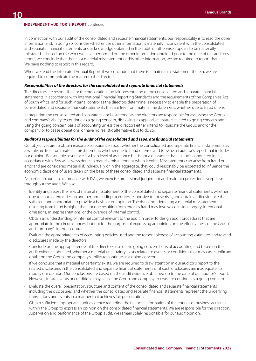#### **INDEPENDENT AUDITOR'S REPORT** continued

In connection with our audit of the consolidated and separate financial statements, our responsibility is to read the other information and, in doing so, consider whether the other information is materially inconsistent with the consolidated and separate financial statements or our knowledge obtained in the audit, or otherwise appears to be materially misstated. If, based on the work we have performed on the other information obtained prior to the date of this auditor's report, we conclude that there is a material misstatement of this other information, we are required to report that fact. We have nothing to report in this regard.

When we read the Integrated Annual Report, if we conclude that there is a material misstatement therein, we are required to communicate the matter to the directors.

#### *Responsibilities of the directors for the consolidated and separate financial statements*

The directors are responsible for the preparation and fair presentation of the consolidated and separate financial statements in accordance with International Financial Reporting Standards and the requirements of the Companies Act of South Africa, and for such internal control as the directors determine is necessary to enable the preparation of consolidated and separate financial statements that are free from material misstatement, whether due to fraud or error.

In preparing the consolidated and separate financial statements, the directors are responsible for assessing the Group and company's ability to continue as a going concern, disclosing, as applicable, matters related to going concern and using the going concern basis of accounting unless the directors either intend to liquidate the Group and/or the company or to cease operations, or have no realistic alternative but to do so.

#### *Auditor's responsibilities for the audit of the consolidated and separate financial statements*

Our objectives are to obtain reasonable assurance about whether the consolidated and separate financial statements as a whole are free from material misstatement, whether due to fraud or error, and to issue an auditor's report that includes our opinion. Reasonable assurance is a high level of assurance but is not a guarantee that an audit conducted in accordance with ISAs will always detect a material misstatement when it exists. Misstatements can arise from fraud or error and are considered material if, individually or in the aggregate, they could reasonably be expected to influence the economic decisions of users taken on the basis of these consolidated and separate financial statements.

As part of an audit in accordance with ISAs, we exercise professional judgement and maintain professional scepticism throughout the audit. We also:

- Identify and assess the risks of material misstatement of the consolidated and separate financial statements, whether due to fraud or error, design and perform audit procedures responsive to those risks, and obtain audit evidence that is sufficient and appropriate to provide a basis for our opinion. The risk of not detecting a material misstatement resulting from fraud is higher than for one resulting from error, as fraud may involve collusion, forgery, intentional omissions, misrepresentations, or the override of internal control.
- Obtain an understanding of internal control relevant to the audit in order to design audit procedures that are appropriate in the circumstances, but not for the purpose of expressing an opinion on the effectiveness of the Group's and company's internal control.
- Evaluate the appropriateness of accounting policies used and the reasonableness of accounting estimates and related disclosures made by the directors.
- Conclude on the appropriateness of the directors' use of the going concern basis of accounting and based on the audit evidence obtained, whether a material uncertainty exists related to events or conditions that may cast significant doubt on the Group and company's ability to continue as a going concern.

If we conclude that a material uncertainty exists, we are required to draw attention in our auditor's report to the related disclosures in the consolidated and separate financial statements or, if such disclosures are inadequate, to modify our opinion. Our conclusions are based on the audit evidence obtained up to the date of our auditor's report. However, future events or conditions may cause the Group and company to cease to continue as a going concern.

- Evaluate the overall presentation, structure and content of the consolidated and separate financial statements, including the disclosures, and whether the consolidated and separate financial statements represent the underlying transactions and events in a manner that achieves fair presentation.
- Obtain sufficient appropriate audit evidence regarding the financial information of the entities or business activities within the Group to express an opinion on the consolidated financial statements. We are responsible for the direction, supervision and performance of the Group audit. We remain solely responsible for our audit opinion.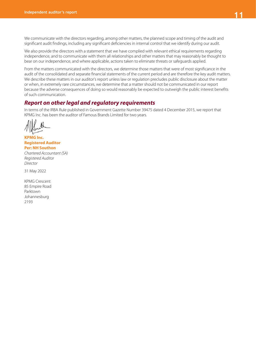We communicate with the directors regarding, among other matters, the planned scope and timing of the audit and significant audit findings, including any significant deficiencies in internal control that we identify during our audit.

We also provide the directors with a statement that we have complied with relevant ethical requirements regarding independence, and to communicate with them all relationships and other matters that may reasonably be thought to bear on our independence, and where applicable, actions taken to eliminate threats or safeguards applied.

From the matters communicated with the directors, we determine those matters that were of most significance in the audit of the consolidated and separate financial statements of the current period and are therefore the key audit matters. We describe these matters in our auditor's report unless law or regulation precludes public disclosure about the matter or when, in extremely rare circumstances, we determine that a matter should not be communicated in our report because the adverse consequences of doing so would reasonably be expected to outweigh the public interest benefits of such communication.

# *Report on other legal and regulatory requirements*

In terms of the IRBA Rule published in Government Gazette Number 39475 dated 4 December 2015, we report that KPMG Inc. has been the auditor of Famous Brands Limited for two years.

**KPMG Inc. Registered Auditor Per: NH Southon**  *Chartered Accountant (SA) Registered Auditor Director*

31 May 2022

KPMG Crescent 85 Empire Road Parktown Johannesburg 2193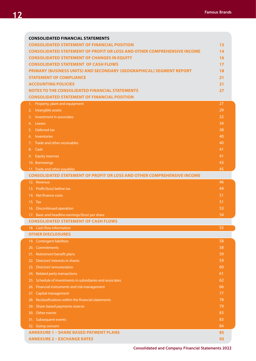| <b>CONSOLIDATED FINANCIAL STATEMENTS</b>                                       |    |
|--------------------------------------------------------------------------------|----|
| <b>CONSOLIDATED STATEMENT OF FINANCIAL POSITION</b>                            | 13 |
| <b>CONSOLIDATED STATEMENT OF PROFIT OR LOSS AND OTHER COMPREHENSIVE INCOME</b> | 14 |
| <b>CONSOLIDATED STATEMENT OF CHANGES IN EQUITY</b>                             | 16 |
| <b>CONSOLIDATED STATEMENT OF CASH FLOWS</b>                                    | 17 |
| PRIMARY (BUSINESS UNITS) AND SECONDARY (GEOGRAPHICAL) SEGMENT REPORT           | 18 |
| <b>STATEMENT OF COMPLIANCE</b>                                                 | 21 |
| <b>ACCOUNTING POLICIES</b>                                                     | 21 |
| <b>NOTES TO THE CONSOLIDATED FINANCIAL STATEMENTS</b>                          | 27 |
| <b>CONSOLIDATED STATEMENT OF FINANCIAL POSITION</b>                            |    |
| Property, plant and equipment<br>1.                                            | 27 |
| Intangible assets<br>2.                                                        | 29 |
| Investment in associates<br>3.                                                 | 32 |
| Leases<br>4.                                                                   | 34 |
| Deferred tax<br>5.                                                             | 38 |
| Inventories<br>6.                                                              | 40 |
| Trade and other receivables<br>7.                                              | 40 |
| Cash<br>8.                                                                     | 41 |
| <b>Equity reserves</b><br>9.                                                   | 41 |
| 10. Borrowings                                                                 | 43 |
| 11. Trade and other payables                                                   | 45 |
| <b>CONSOLIDATED STATEMENT OF PROFIT OR LOSS AND OTHER COMPREHENSIVE INCOME</b> |    |
| 12. Revenue                                                                    | 46 |
| 13. Profit/(loss) before tax                                                   | 49 |
| 14. Net finance costs                                                          | 51 |
| 15. Tax                                                                        | 51 |
| 16. Discontinued operation                                                     | 53 |
| 17. Basic and headline earnings/(loss) per share                               | 54 |
| <b>CONSOLIDATED STATEMENT OF CASH FLOWS</b>                                    |    |
| 18. Cash flow information                                                      | 55 |
| <b>OTHER DISCLOSURES</b>                                                       |    |
| 19. Contingent liabilities                                                     | 58 |
| 20. Commitments                                                                | 58 |
| 21. Retirement benefit plans                                                   | 59 |
| 22. Directors' interests in shares                                             | 59 |
| 23. Directors' remuneration                                                    | 60 |
| <b>Related party transactions</b><br>24.                                       | 61 |
| 25. Schedule of investments in subsidiaries and associates                     | 62 |
| Financial instruments and risk management<br>26.                               | 66 |
| 27. Capital management                                                         | 77 |
| Reclassifications within the financial statements<br>28.                       | 78 |
| 29.<br>Share-based payments reserve                                            | 79 |
| Other events<br>30.                                                            | 83 |
| 31. Subsequent events                                                          | 83 |
| 32. Going concern                                                              | 84 |
| <b>ANNEXURE 1 - SHARE BASED PAYMENT PLANS</b>                                  | 85 |
| <b>ANNEXURE 2 - EXCHANGE RATES</b>                                             | 93 |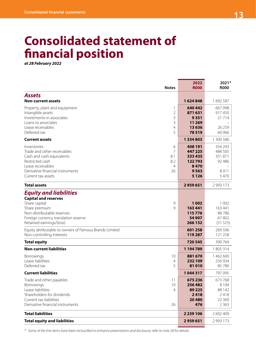# **Consolidated statement of financial position**

*at 28 February 2022*

|                                                                                                                                                                                                  | <b>Notes</b>                                         | 2022<br><b>R000</b>                                                | 2021*<br><b>R000</b>                                      |
|--------------------------------------------------------------------------------------------------------------------------------------------------------------------------------------------------|------------------------------------------------------|--------------------------------------------------------------------|-----------------------------------------------------------|
| <b>Assets</b><br><b>Non-current assets</b>                                                                                                                                                       |                                                      | 1624848                                                            | 1692587                                                   |
| Property, plant and equipment<br>Intangible assets<br>Investments in associates<br>Loans to associates<br>Lease receivables<br>Deferred tax                                                      | 1<br>$\overline{2}$<br>3<br>3<br>$\overline{4}$<br>5 | 640 442<br>871631<br>9351<br>11 269<br>13636<br>78519              | 667098<br>917450<br>21 7 14<br>26 25 9<br>60 066          |
| <b>Current assets</b>                                                                                                                                                                            |                                                      | 1334803                                                            | 1 300 586                                                 |
| Inventories<br>Trade and other receivables<br>Cash and cash equivalents<br>Restricted cash<br>Lease receivables<br>Derivative financial instruments<br>Current tax assets                        | 6<br>7<br>8.1<br>8.2<br>4<br>26                      | 408 191<br>447 225<br>333 435<br>122793<br>8470<br>9563<br>5 1 2 6 | 354 243<br>488 505<br>351871<br>92 48 6<br>8011<br>5470   |
| <b>Total assets</b>                                                                                                                                                                              |                                                      | 2959651                                                            | 2 9 9 1 7 3                                               |
| <b>Equity and liabilities</b><br><b>Capital and reserves</b><br>Share capital<br>Share premium<br>Non-distributable reserves<br>Foreign currency translation reserve<br>Retained earnings/(loss) | 9<br>$\mathsf{Q}$                                    | 1002<br>163 441<br>115776<br>54 907<br>266 132                     | 1 0 0 2<br>163 441<br>88786<br>67802<br>(51525)           |
| Equity attributable to owners of Famous Brands Limited<br>Non-controlling interests                                                                                                              |                                                      | 601 258<br>119 287                                                 | 269 506<br>121 258                                        |
| <b>Total equity</b>                                                                                                                                                                              |                                                      | 720 545                                                            | 390 764                                                   |
| <b>Non-current liabilities</b>                                                                                                                                                                   |                                                      | 1 194 789                                                          | 1805314                                                   |
| Borrowings<br>Lease liabilities<br>Deferred tax                                                                                                                                                  | 10<br>4<br>5                                         | 881670<br>232 109<br>81010                                         | 1 462 600<br>256 934<br>85 780                            |
| <b>Current liabilities</b>                                                                                                                                                                       |                                                      | 1044317                                                            | 797 095                                                   |
| Trade and other payables<br>Borrowings<br>Lease liabilities<br>Shareholders for dividends<br>Current tax liabilities<br>Derivative financial instruments                                         | 11<br>10<br>4<br>26                                  | 675236<br>256482<br>89 2 25<br>2418<br>20480<br>476                | 673 768<br>8 1 0 4<br>88 142<br>2418<br>22 300<br>2 3 6 3 |
| <b>Total liabilities</b>                                                                                                                                                                         |                                                      | 2 2 3 9 1 0 6                                                      | 2 602 409                                                 |
| <b>Total equity and liabilities</b>                                                                                                                                                              |                                                      | 2959651                                                            | 2 9 9 1 7 3                                               |

*\* Some of the line items have been reclassified to enhance presentation and disclosure, refer to note 28 for details.*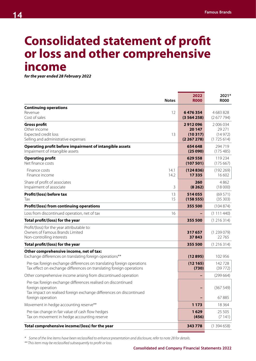# **Consolidated statement of profit or loss and other comprehensive income**

*for the year ended 28 February 2022*

| <b>Notes</b>                                                                                                                                              | 2022<br><b>R000</b>                       | 2021*<br><b>R000</b>                        |
|-----------------------------------------------------------------------------------------------------------------------------------------------------------|-------------------------------------------|---------------------------------------------|
| <b>Continuing operations</b><br>Revenue<br>12<br>Cost of sales                                                                                            | 6476354<br>(3564258)                      | 4 683 828<br>(2677794)                      |
| <b>Gross profit</b><br>Other income<br>Expected credit loss<br>13<br>Selling and administrative expenses                                                  | 2912096<br>20 147<br>(10317)<br>(2267278) | 2 006 034<br>29 271<br>(14972)<br>(1725614) |
| Operating profit before impairment of intangible assets<br>Impairment of intangible assets                                                                | 654 648<br>(25090)                        | 294719<br>(175485)                          |
| <b>Operating profit</b><br>Net finance costs                                                                                                              | 629 558<br>(107501)                       | 119 234<br>(175667)                         |
| Finance costs<br>14.1<br>14.2<br>Finance income                                                                                                           | (124836)<br>17335                         | (192 269)<br>16 602                         |
| Share of profit of associates<br>Impairment of associate<br>3                                                                                             | 260<br>(8262)                             | 4862<br>(18000)                             |
| 13<br>Profit/(loss) before tax<br>15<br>Tax                                                                                                               | 514055<br>(15855)                         | (69571)<br>(35303)                          |
| <b>Profit/(loss) from continuing operations</b>                                                                                                           | 355 500                                   | (104874)                                    |
| Loss from discontinued operation, net of tax<br>16                                                                                                        | -                                         | (1 111 440)                                 |
| Total profit/(loss) for the year                                                                                                                          | 355 500                                   | (1216314)                                   |
| Profit/(loss) for the year attributable to:<br>Owners of Famous Brands Limited<br>Non-controlling interests                                               | 317 657<br>37843                          | (1239079)<br>22765                          |
| Total profit/(loss) for the year                                                                                                                          | 355 500                                   | (1216314)                                   |
| Other comprehensive income, net of tax:<br>Exchange differences on translating foreign operations**                                                       | (12895)                                   | 102 956                                     |
| Pre-tax foreign exchange differences on translating foreign operations<br>Tax effect on exchange differences on translating foreign operations            | (12165)<br>(730)                          | 142728<br>(39772)                           |
| Other comprehensive income arising from discontinued operation                                                                                            |                                           | (299664)                                    |
| Pre-tax foreign exchange differences realised on discontinued<br>foreign operation<br>Tax impact on realised foreign exchange differences on discontinued |                                           | (367549)                                    |
| foreign operation                                                                                                                                         |                                           | 67885                                       |
| Movement in hedge accounting reserve**                                                                                                                    | 1 1 7 3                                   | 18 3 64                                     |
| Pre-tax change in fair value of cash flow hedges<br>Tax on movement in hedge accounting reserve                                                           | 1629<br>(456)                             | 25 505<br>(7141)                            |
| Total comprehensive income/(loss) for the year                                                                                                            | 343 778                                   | (1394658)                                   |

*\* Some of the line items have been reclassified to enhance presentation and disclosure, refer to note 28 for details.*

*\*\* This item may be reclassified subsequently to profit or loss.*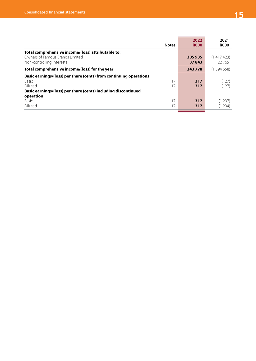L

| <b>Notes</b>                                                                                                                                                                             | 2022<br><b>ROOO</b> | 2021<br><b>ROOO</b> |
|------------------------------------------------------------------------------------------------------------------------------------------------------------------------------------------|---------------------|---------------------|
| Total comprehensive income/(loss) attributable to:<br>Owners of Famous Brands Limited<br>Non-controlling interests                                                                       | 305935<br>37843     | (1417423)<br>22765  |
| Total comprehensive income/(loss) for the year                                                                                                                                           | 343778              | (1394658)           |
| Basic earnings/(loss) per share (cents) from continuing operations<br>17<br><b>Basic</b><br>Diluted<br>17<br>Basic earnings/(loss) per share (cents) including discontinued<br>operation | 317<br>317          | (127)<br>(127)      |
| 17<br><b>Basic</b><br>Diluted<br>17                                                                                                                                                      | 317<br>317          | (1 237)<br>(1234)   |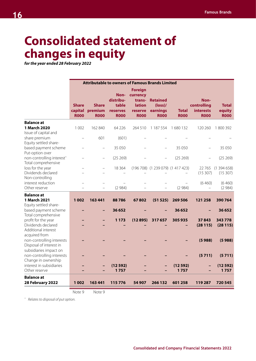# **Consolidated statement of changes in equity**

*for the year ended 28 February 2022*

|                                                                                                 |                                        |                                        | <b>Attributable to owners of Famous Brands Limited</b>       |                                                                                 |                                                               |                             |                                                        |                                       |
|-------------------------------------------------------------------------------------------------|----------------------------------------|----------------------------------------|--------------------------------------------------------------|---------------------------------------------------------------------------------|---------------------------------------------------------------|-----------------------------|--------------------------------------------------------|---------------------------------------|
|                                                                                                 | <b>Share</b><br>capital<br><b>R000</b> | <b>Share</b><br>premium<br><b>R000</b> | Non-<br>distribu-<br>table<br><b>reserves</b><br><b>R000</b> | <b>Foreign</b><br>currency<br>trans-<br><b>lation</b><br>reserve<br><b>R000</b> | <b>Retained</b><br>$(\text{loss})$<br>earnings<br><b>R000</b> | <b>Total</b><br><b>R000</b> | Non-<br>controlling<br><b>interests</b><br><b>R000</b> | <b>Total</b><br>equity<br><b>R000</b> |
| <b>Balance at</b>                                                                               |                                        |                                        |                                                              |                                                                                 |                                                               |                             |                                                        |                                       |
| 1 March 2020<br>Issue of capital and                                                            | 1 0 0 2                                | 162 840                                | 64 2 2 6                                                     | 264 510                                                                         | 1 187 554                                                     | 1680132                     | 120 260                                                | 1800392                               |
| share premium                                                                                   |                                        | 601                                    | (601)                                                        |                                                                                 |                                                               |                             |                                                        |                                       |
| Equity settled share-<br>based payment scheme                                                   |                                        | $\qquad \qquad -$                      | 35 050                                                       |                                                                                 |                                                               | 35 050                      |                                                        | 35 050                                |
| Put-option over                                                                                 |                                        |                                        |                                                              |                                                                                 |                                                               |                             |                                                        |                                       |
| non-controlling interest^<br>Total comprehensive                                                |                                        | $\overline{a}$                         | (25269)                                                      |                                                                                 |                                                               | (25 269)                    |                                                        | (25 269)                              |
| loss for the year<br>Dividends declared                                                         |                                        |                                        | 18 3 64                                                      |                                                                                 | $(196708)$ $(1239079)$ $(1417423)$                            |                             | 22765<br>(15307)                                       | (1394658)<br>(15307)                  |
| Non-controlling<br>interest reduction                                                           |                                        |                                        |                                                              |                                                                                 |                                                               |                             | (6460)                                                 | (6460)                                |
| Other reserve                                                                                   |                                        |                                        | (2984)                                                       |                                                                                 |                                                               | (2984)                      |                                                        | (2984)                                |
| <b>Balance</b> at<br>1 March 2021<br>Equity settled share-                                      | 1 0 0 2                                | 163 441                                | 88786                                                        | 67802                                                                           | (51525)                                                       | 269 506                     | 121 258                                                | 390 764                               |
| based payment scheme                                                                            |                                        | ۰                                      | 36652                                                        |                                                                                 |                                                               | 36 652                      |                                                        | 36 652                                |
| Total comprehensive<br>profit for the year<br>Dividends declared<br>Additional interest         |                                        |                                        | 1 1 7 3                                                      | (12895)                                                                         | 317657                                                        | 305935                      | 37843<br>(28115)                                       | 343778<br>(28115)                     |
| acquired from<br>non-controlling interests<br>Disposal of interest in<br>subsidiaries impact on |                                        |                                        |                                                              |                                                                                 |                                                               |                             | (5988)                                                 | (5988)                                |
| non-controlling interests                                                                       |                                        |                                        |                                                              |                                                                                 |                                                               |                             | (5711)                                                 | (5711)                                |
| Change in ownership<br>interest in subsidiaries<br>Other reserve                                |                                        |                                        | (12592)<br>1757                                              |                                                                                 |                                                               | (12592)<br>1757             |                                                        | (12592)<br>1757                       |
| <b>Balance at</b><br>28 February 2022                                                           | 1 0 0 2                                | 163 441                                | 115776                                                       | 54 907                                                                          | 266 132                                                       | 601 258                     | 119 287                                                | 720 545                               |

Note 9 Note 9

*^ Relates to disposal of put option.*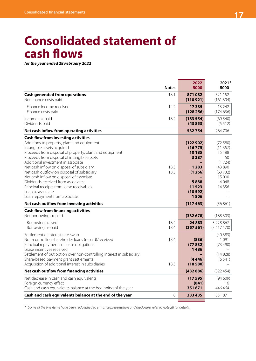# **Consolidated statement of cash flows**

*for the year ended 28 February 2022*

|                                                                                                                                                                                                                                                                                                                                                                                                                                                                                                                                                        | <b>Notes</b>         | 2022<br><b>R000</b>                                                                                 | 2021*<br><b>R000</b>                                                                            |
|--------------------------------------------------------------------------------------------------------------------------------------------------------------------------------------------------------------------------------------------------------------------------------------------------------------------------------------------------------------------------------------------------------------------------------------------------------------------------------------------------------------------------------------------------------|----------------------|-----------------------------------------------------------------------------------------------------|-------------------------------------------------------------------------------------------------|
| <b>Cash generated from operations</b><br>Net finance costs paid                                                                                                                                                                                                                                                                                                                                                                                                                                                                                        | 18.1                 | 871082<br>(110921)                                                                                  | 521 152<br>(161394)                                                                             |
| Finance income received<br>Finance costs paid                                                                                                                                                                                                                                                                                                                                                                                                                                                                                                          | 14.2                 | 17335<br>(128 256)                                                                                  | 13 24 2<br>(174636)                                                                             |
| Income tax paid<br>Dividends paid                                                                                                                                                                                                                                                                                                                                                                                                                                                                                                                      | 18.2                 | (183 554)<br>(43853)                                                                                | (69540)<br>(5512)                                                                               |
| Net cash inflow from operating activities                                                                                                                                                                                                                                                                                                                                                                                                                                                                                                              |                      | 532754                                                                                              | 284 706                                                                                         |
| <b>Cash flow from investing activities</b><br>Additions to property, plant and equipment<br>Intangible assets acquired<br>Proceeds from disposal of property, plant and equipment<br>Proceeds from disposal of intangible assets<br>Additional investment in associate<br>Net cash inflow on disposal of subsidiary<br>Net cash outflow on disposal of subsidiary<br>Net cash inflow on disposal of associate<br>Dividends received from associates<br>Principal receipts from lease receivables<br>Loan to associate<br>Loan repayment from associate | 18.3<br>18.3         | (122902)<br>(16775)<br>10 185<br>3 3 8 7<br>1 2 8 3<br>(1266)<br>5888<br>11 5 23<br>(10592)<br>1806 | (72580)<br>(11357)<br>15 188<br>50<br>(1724)<br>43 890<br>(63732)<br>15 000<br>4048<br>14 3 5 6 |
| Net cash outflow from investing activities                                                                                                                                                                                                                                                                                                                                                                                                                                                                                                             |                      | (117463)                                                                                            | (56861)                                                                                         |
| <b>Cash flow from financing activities</b><br>Net borrowings repaid<br>Borrowings raised                                                                                                                                                                                                                                                                                                                                                                                                                                                               | 18.4                 | (332678)<br>24 8 8 3                                                                                | (188303)<br>3 228 867                                                                           |
| Borrowings repaid<br>Settlement of interest rate swap<br>Non-controlling shareholder loans (repaid)/received<br>Principal repayments of lease obligations<br>Lease incentives received<br>Settlement of put option over non-controlling interest in subsidiary<br>Share-based payment grant settlements<br>Acquisition of additional interest in subsidiaries                                                                                                                                                                                          | 18.4<br>18.4<br>18.3 | (357 561)<br>(836)<br>(77832)<br>1486<br>(4446)<br>(18580)                                          | (3417170)<br>(40383)<br>1091<br>(73, 490)<br>(14828)<br>(6541)                                  |
| Net cash outflow from financing activities                                                                                                                                                                                                                                                                                                                                                                                                                                                                                                             |                      | (432886)                                                                                            | (322454)                                                                                        |
| Net decrease in cash and cash equivalents<br>Foreign currency effect<br>Cash and cash equivalents balance at the beginning of the year                                                                                                                                                                                                                                                                                                                                                                                                                 |                      | (17595)<br>(841)<br>351871                                                                          | (94609)<br>16<br>446464                                                                         |
| Cash and cash equivalents balance at the end of the year                                                                                                                                                                                                                                                                                                                                                                                                                                                                                               | 8                    | 333 435                                                                                             | 351871                                                                                          |

*\* Some of the line items have been reclassified to enhance presentation and disclosure, refer to note 28 for details.*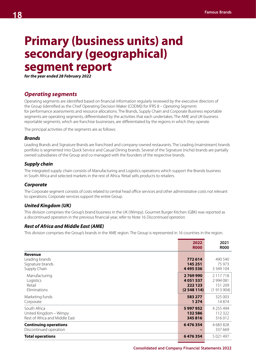# **Primary (business units) and secondary (geographical) segment report**

*for the year ended 28 February 2022*

## *Operating segments*

Operating segments are identified based on financial information regularly reviewed by the executive directors of the Group (identified as the Chief Operating Decision Maker (CODM)) for IFRS 8 – *Operating Segments*  for performance assessments and resource allocations. The Brands, Supply Chain and Corporate Business reportable segments are operating segments, differentiated by the activities that each undertakes. The AME and UK business reportable segments, which are franchise businesses, are differentiated by the regions in which they operate.

The principal activities of the segments are as follows:

### *Brands*

Leading Brands and Signature Brands are franchised and company-owned restaurants. The Leading (mainstream) brands portfolio is segmented into Quick Service and Casual Dining brands. Several of the Signature (niche) brands are partially owned subsidiaries of the Group and co-managed with the founders of the respective brands.

## *Supply chain*

The integrated supply chain consists of Manufacturing and Logistics operations which support the Brands business in South Africa and selected markets in the rest of Africa. Retail sells products to retailers.

## *Corporate*

The Corporate segment consists of costs related to central head office services and other administrative costs not relevant to operations. Corporate services support the entire Group.

## *United Kingdom (UK)*

This division comprises the Group's brand business in the UK (Wimpy). Gourmet Burger Kitchen (GBK) was reported as a discontinued operation in the previous financial year, refer to Note 16 *Discontinued operation.*

## *Rest of Africa and Middle East (AME)*

This division comprises the Group's brands in the AME region. The Group is represented in 16 countries in the region.

|                                                                          | 2022<br><b>R000</b>                        | 2021<br><b>R000</b>                            |
|--------------------------------------------------------------------------|--------------------------------------------|------------------------------------------------|
| <b>Revenue</b><br>Leading brands<br>Signature brands<br>Supply Chain     | 772614<br>145 251<br>4 4 9 5 5 3 6         | 490 540<br>75 973<br>3 349 104                 |
| Manufacturing<br>Logistics<br>Retail<br>Eliminations                     | 2769990<br>4051537<br>222 123<br>(2548114) | 2 117 718<br>2 994 081<br>151 209<br>(1913904) |
| Marketing funds<br>Corporate                                             | 583 277<br>1 2 7 4                         | 325 003<br>14874                               |
| South Africa<br>United Kingdom - Wimpy<br>Rest of Africa and Middle East | 5997952<br>132 586<br>345816               | 4 255 494<br>112 322<br>316012                 |
| <b>Continuing operations</b><br>Discontinued operation                   | 6476354                                    | 4 683 828<br>337 669                           |
| <b>Total operations</b>                                                  | 6476354                                    | 5 0 21 4 9 7                                   |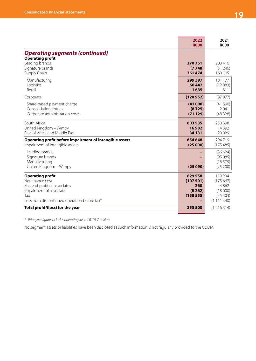|                                                                                                                                                                | 2022<br><b>R000</b>                             | 2021<br><b>R000</b>                                            |
|----------------------------------------------------------------------------------------------------------------------------------------------------------------|-------------------------------------------------|----------------------------------------------------------------|
| <b>Operating segments (continued)</b><br><b>Operating profit</b><br>Leading brands<br>Signature brands<br>Supply Chain                                         | 370761<br>(7748)<br>361 474                     | 200 416<br>(31246)<br>169 105                                  |
| Manufacturing<br>Logistics<br>Retail                                                                                                                           | 299 397<br>60442<br>1635                        | 181 177<br>(12883)<br>811                                      |
| Corporate                                                                                                                                                      | (120952)                                        | (87 877)                                                       |
| Share-based payment charge<br>Consolidation entries<br>Corporate administration costs                                                                          | (41098)<br>(8725)<br>(71129)                    | (41590)<br>2041<br>(48328)                                     |
| South Africa<br>United Kingdom - Wimpy<br>Rest of Africa and Middle East                                                                                       | 603 535<br>16982<br>34 131                      | 250 398<br>14 3 9 2<br>29 9 29                                 |
| Operating profit before impairment of intangible assets<br>Impairment of intangible assets                                                                     | 654 648<br>(25090)                              | 294719<br>(175485)                                             |
| Leading brands<br>Signature brands<br>Manufacturing<br>United Kingdom - Wimpy                                                                                  | (25090)                                         | (36624)<br>(95085)<br>(18575)<br>(25 200)                      |
| <b>Operating profit</b><br>Net finance cost<br>Share of profit of associates<br>Impairment of associate<br>Tax<br>Loss from discontinued operation before tax* | 629 558<br>(107501)<br>260<br>(8262)<br>(15855) | 119 234<br>(175667)<br>4862<br>(18000)<br>(35303)<br>(1111440) |
| Total profit/(loss) for the year                                                                                                                               | 355 500                                         | (1216314)                                                      |

*\* Prior year figure includes operating loss of R101.7 million.*

No segment assets or liabilities have been disclosed as such information is not regularly provided to the CODM.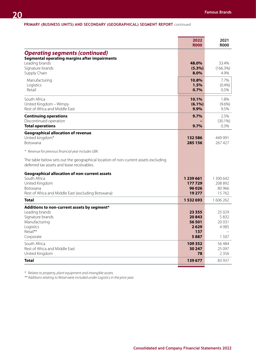### **PRIMARY (BUSINESS UNITS) AND SECONDARY (GEOGRAPHICAL) SEGMENT REPORT** continued

|                                                                                                                                                                                         | 2022<br><b>R000</b>                                | 2021<br><b>R000</b>                       |
|-----------------------------------------------------------------------------------------------------------------------------------------------------------------------------------------|----------------------------------------------------|-------------------------------------------|
| <b>Operating segments (continued)</b><br><b>Segmental operating margins after impairments</b><br>Leading brands<br>Signature brands<br>Supply Chain                                     | 48.0%<br>$(5.3\%)$<br>8.0%                         | 33.4%<br>(166.3%)<br>4.9%                 |
| Manufacturing<br>Logistics<br>Retail                                                                                                                                                    | 10.8%<br>1.5%<br>0.7%                              | 7.7%<br>(0.4% )<br>0.5%                   |
| South Africa<br>United Kingdom - Wimpy<br>Rest of Africa and Middle East                                                                                                                | 10.1%<br>$(6.1\%)$<br>9.9%                         | 1.8%<br>$(9.6\%)$<br>9.5%                 |
| <b>Continuing operations</b><br>Discontinued operation<br><b>Total operations</b>                                                                                                       | 9.7%<br>9.7%                                       | 2.5%<br>$(30.1\%)$<br>0.3%                |
| <b>Geographical allocation of revenue</b><br>United kingdom*<br>Botswana                                                                                                                | 132586<br>285 156                                  | 449 991<br>267 427                        |
| * Revenue for previous financial year includes GBK.<br>The table below sets out the geographical location of non-current assets excluding<br>deferred tax assets and lease receivables. |                                                    |                                           |
| <b>Geographical allocation of non-current assets</b><br>South Africa<br>United Kingdom<br><b>Botswana</b><br>Rest of Africa and Middle East (excluding Botswana)                        | 1 239 661<br>177729<br>96 0 26<br>19 277           | 1 300 642<br>208 892<br>80 966<br>15762   |
| <b>Total</b>                                                                                                                                                                            | 1532693                                            | 1 606 262                                 |
| Additions to non-current assets by segment*<br>Leading brands<br>Signature brands<br>Manufacturing<br>Logistics<br>Retail**<br>Corporate                                                | 23 3 5 5<br>20843<br>56 501<br>2629<br>137<br>5887 | 25 0 29<br>5832<br>20 031<br>4085<br>1507 |
| South Africa<br>Rest of Africa and Middle East<br>United Kingdom                                                                                                                        | 109 352<br>30 247<br>78                            | 56 484<br>25 097<br>2 3 5 6               |
| <b>Total</b>                                                                                                                                                                            | 139 677                                            | 83 937                                    |

*\* Relates to property, plant equipment and intangible assets.* 

*\*\* Additions relating to Retail were included under Logistics in the prior year.*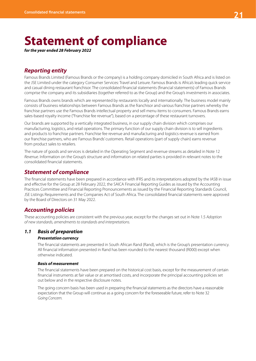# **Statement of compliance**

*for the year ended 28 February 2022*

# *Reporting entity*

Famous Brands Limited (Famous Brands or the company) is a holding company domiciled in South Africa and is listed on the JSE Limited under the category Consumer Services: Travel and Leisure. Famous Brands is Africa's leading quick service and casual dining restaurant franchisor. The consolidated financial statements (financial statements) of Famous Brands comprise the company and its subsidiaries (together referred to as the Group) and the Group's investments in associates.

Famous Brands owns brands which are represented by restaurants locally and internationally. The business model mainly consists of business relationships between Famous Brands as the franchisor and various franchise partners whereby the franchise partners use the Famous Brands intellectual property and sell menu items to consumers. Famous Brands earns sales-based royalty income ("Franchise fee revenue"), based on a percentage of these restaurant turnovers.

Our brands are supported by a vertically integrated business, in our supply chain division which comprises our manufacturing, logistics, and retail operations. The primary function of our supply chain division is to sell ingredients and products to franchise partners. Franchise fee revenue and manufacturing and logistics revenue is earned from our franchise partners, who are Famous Brands' customers. Retail operations (part of supply chain) earns revenue from product sales to retailers.

The nature of goods and services is detailed in the Operating Segment and revenue streams as detailed in Note 12 *Revenue*. Information on the Group's structure and information on related parties is provided in relevant notes to the consolidated financial statements.

## *Statement of compliance*

The financial statements have been prepared in accordance with IFRS and its interpretations adopted by the IASB in issue and effective for the Group at 28 February 2022, the SAICA Financial Reporting Guides as issued by the Accounting Practices Committee and Financial Reporting Pronouncements as issued by the Financial Reporting Standards Council, JSE Listings Requirements and the Companies Act of South Africa. The consolidated financial statements were approved by the Board of Directors on 31 May 2022.

# *Accounting policies*

These accounting policies are consistent with the previous year, except for the changes set out in Note 1.5 *Adoption of new standards, amendments to standards and interpretations.*

## *1.1 Basis of preparation*

## *Presentation currency*

The financial statements are presented in South African Rand (Rand), which is the Group's presentation currency. All financial information presented in Rand has been rounded to the nearest thousand (R000) except when otherwise indicated.

#### *Basis of measurement*

The financial statements have been prepared on the historical cost basis, except for the measurement of certain financial instruments at fair value or at amortised costs, and incorporate the principal accounting policies set out below and in the respective disclosure notes.

The going concern basis has been used in preparing the financial statements as the directors have a reasonable expectation that the Group will continue as a going concern for the foreseeable future, refer to Note 32 *Going Concern.*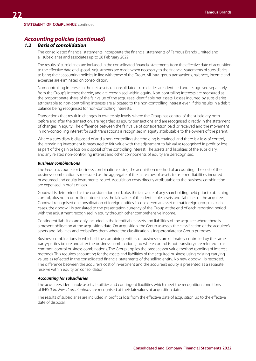## *1.2 Basis of consolidation*

The consolidated financial statements incorporate the financial statements of Famous Brands Limited and all subsidiaries and associates up to 28 February 2022.

The results of subsidiaries are included in the consolidated financial statements from the effective date of acquisition to the effective date of disposal. Adjustments are made when necessary to the financial statements of subsidiaries to bring their accounting policies in line with those of the Group. All intra-group transactions, balances, income and expenses are eliminated on consolidation.

Non-controlling interests in the net assets of consolidated subsidiaries are identified and recognised separately from the Group's interest therein, and are recognised within equity. Non-controlling interests are measured at the proportionate share of the fair value of the acquiree's identifiable net assets. Losses incurred by subsidiaries attributable to non-controlling interests are allocated to the non-controlling interest even if this results in a debit balance being recognised for non-controlling interests.

Transactions that result in changes in ownership levels, where the Group has control of the subsidiary both before and after the transaction, are regarded as equity transactions and are recognised directly in the statement of changes in equity. The difference between the fair value of consideration paid or received and the movement in non-controlling interest for such transactions is recognised in equity attributable to the owners of the parent.

Where a subsidiary is disposed of and a non-controlling shareholding is retained, and there is a loss of control, the remaining investment is measured to fair value with the adjustment to fair value recognised in profit or loss as part of the gain or loss on disposal of the controlling interest. The assets and liabilities of the subsidiary, and any related non-controlling interest and other components of equity are derecognised.

#### *Business combinations*

The Group accounts for business combinations using the acquisition method of accounting. The cost of the business combination is measured as the aggregate of the fair values of assets transferred, liabilities incurred or assumed and equity instruments issued. Acquisition costs directly attributable to the business combination are expensed in profit or loss.

Goodwill is determined as the consideration paid, plus the fair value of any shareholding held prior to obtaining control, plus non-controlling interest less the fair value of the identifiable assets and liabilities of the acquiree. Goodwill recognised on consolidation of foreign entities is considered an asset of that foreign group. In such cases, the goodwill is translated to the presentation currency of the Group at the end of each reporting period with the adjustment recognised in equity through other comprehensive income.

Contingent liabilities are only included in the identifiable assets and liabilities of the acquiree where there is a present obligation at the acquisition date. On acquisition, the Group assesses the classification of the acquiree's assets and liabilities and reclassifies them where the classification is inappropriate for Group purposes.

Business combinations in which all the combining entities or businesses are ultimately controlled by the same party/parties before and after the business combination (and where control is not transitory) are referred to as common control business combinations. The Group applies the predecessor value method (pooling of interest method). This requires accounting for the assets and liabilities of the acquired business using existing carrying values as reflected in the consolidated financial statements of the selling entity. No new goodwill is recorded. The difference between the acquirer's cost of investment and the acquiree's equity is presented as a separate reserve within equity on consolidation.

#### *Accounting for subsidiaries*

The acquiree's identifiable assets, liabilities and contingent liabilities which meet the recognition conditions of IFRS 3 *Business Combinations* are recognised at their fair values at acquisition date.

The results of subsidiaries are included in profit or loss from the effective date of acquisition up to the effective date of disposal.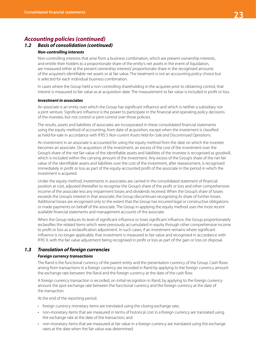## *1.2 Basis of consolidation (continued) Non-controlling interests*

Non-controlling interests that arise from a business combination, which are present ownership interests, and entitle their holders to a proportionate share of the entity's net assets in the event of liquidation, are measured either at the present ownership interests' proportionate share in the recognised amounts of the acquiree's identifiable net assets or at fair value. The treatment is not an accounting policy choice but is selected for each individual business combination.

In cases where the Group held a non-controlling shareholding in the acquiree prior to obtaining control, that interest is measured to fair value as at acquisition date. The measurement to fair value is included in profit or loss.

#### *Investment in associates*

An associate is an entity over which the Group has significant influence and which is neither a subsidiary nor a joint venture. Significant influence is the power to participate in the financial and operating policy decisions of the investee, but not control or joint control over those policies.

The results, assets and liabilities of associates are incorporated in these consolidated financial statements using the equity method of accounting, from date of acquisition, except when the investment is classified as held-for-sale in accordance with IFRS 5 *Non-current Assets Held-for-Sale and Discontinued Operations.*

An investment in an associate is accounted for using the equity method from the date on which the investee becomes an associate. On acquisition of the investment, an excess of the cost of the investment over the Group's share of the net fair value of the identifiable assets and liabilities of the investee is recognised as goodwill, which is included within the carrying amount of the investment. Any excess of the Group's share of the net fair value of the identifiable assets and liabilities over the cost of the investment, after reassessment, is recognised immediately in profit or loss as part of the equity-accounted profit of the associate in the period in which the investment is acquired.

Under the equity method, investments in associates are carried in the consolidated statement of financial position at cost, adjusted thereafter to recognise the Group's share of the profit or loss and other comprehensive income of the associate less any impairment losses and dividends received. When the Group's share of losses exceeds the Group's interest in that associate, the Group discontinues recognising its share of further losses. Additional losses are recognised only to the extent that the Group has incurred legal or constructive obligations or made payments on behalf of the associate. The Group in applying the equity method uses the most recent available financial statements and management accounts of the associate.

When the Group reduces its level of significant influence or loses significant influence, the Group proportionately reclassifies the related items which were previously accumulated in equity through other comprehensive income to profit or loss as a reclassification adjustment. In such cases, if an investment remains where significant influence is no longer applicable, that investment is measured to fair value and recognised in accordance with IFRS 9, with the fair value adjustment being recognised in profit or loss as part of the gain or loss on disposal.

## *1.3 Translation of foreign currencies*

### *Foreign currency transactions*

The Rand is the functional currency of the parent entity and the presentation currency of the Group. Cash flows arising from transactions in a foreign currency are recorded in Rand by applying to the foreign currency amount the exchange rate between the Rand and the foreign currency at the date of the cash flow.

A foreign currency transaction is recorded, on initial recognition in Rand, by applying to the foreign currency amount the spot exchange rate between the functional currency and the foreign currency at the date of the transaction.

At the end of the reporting period:

- foreign currency monetary items are translated using the closing exchange rate;
- non-monetary items that are measured in terms of historical cost in a foreign currency are translated using the exchange rate at the date of the transaction; and
- non-monetary items that are measured at fair value in a foreign currency are translated using the exchange rates at the date when the fair value was determined.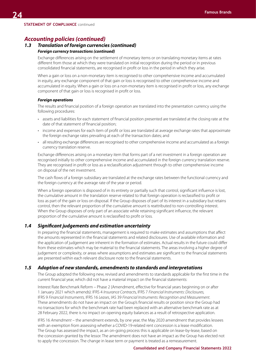## *1.3 Translation of foreign currencies (continued) Foreign currency transactions (continued)*

Exchange differences arising on the settlement of monetary items or on translating monetary items at rates different from those at which they were translated on initial recognition during the period or in previous consolidated financial statements, are recognised in profit or loss in the period in which they arise.

When a gain or loss on a non-monetary item is recognised to other comprehensive income and accumulated in equity, any exchange component of that gain or loss is recognised to other comprehensive income and accumulated in equity. When a gain or loss on a non-monetary item is recognised in profit or loss, any exchange component of that gain or loss is recognised in profit or loss.

#### *Foreign operations*

The results and financial position of a foreign operation are translated into the presentation currency using the following procedures:

- assets and liabilities for each statement of financial position presented are translated at the closing rate at the date of that statement of financial position;
- income and expenses for each item of profit or loss are translated at average exchange rates that approximate the foreign exchange rates prevailing at each of the transaction dates; and
- all resulting exchange differences are recognised to other comprehensive income and accumulated as a foreign currency translation reserve.

Exchange differences arising on a monetary item that forms part of a net investment in a foreign operation are recognised initially to other comprehensive income and accumulated in the foreign currency translation reserve. They are recognised in profit or loss as a reclassification adjustment through to other comprehensive income on disposal of the net investment.

The cash flows of a foreign subsidiary are translated at the exchange rates between the functional currency and the foreign currency at the average rate of the year or period.

When a foreign operation is disposed of in its entirety or partially such that control, significant influence is lost, the cumulative amount in the translation reserve related to that foreign operation is reclassified to profit or loss as part of the gain or loss on disposal. If the Group disposes of part of its interest in a subsidiary but retains control, then the relevant proportion of the cumulative amount is reattributed to non-controlling interest. When the Group disposes of only part of an associate while retaining significant influence, the relevant proportion of the cumulative amount is reclassified to profit or loss.

## *1.4 Significant judgements and estimation uncertainty*

In preparing the financial statements, management is required to make estimates and assumptions that affect the amounts represented in the financial statements and related disclosures. Use of available information and the application of judgement are inherent in the formation of estimates. Actual results in the future could differ from these estimates which may be material to the financial statements. The areas involving a higher degree of judgement or complexity, or areas where assumptions and estimates are significant to the financial statements are presented within each relevant disclosure note to the financial statements.

### *1.5 Adoption of new standards, amendments to standards and interpretations*

The Group adopted the following new, revised and amendments to standards applicable for the first time in the current financial year, which did not have a material impact on the financial statements:

Interest Rate Benchmark Reform – Phase 2 (Amendment, effective for financial years beginning on or after 1 January 2021 which amends): IFRS 4 *Insurance Contract*s, IFRS 7 *Financial Instruments: Disclosures,*  IFRS 9 *Financial Instruments,* IFRS 16 *Leases*, IAS 39 *Financial Instruments: Recognition and Measurement.* These amendments do not have an impact on the Group's financial results or position since the Group had no transactions for which the benchmark rate had been replaced with an alternative benchmark rate as at 28 February 2022, there is no impact on opening equity balances as a result of retrospective application.

IFRS 16 *Amendment* – the amendment extends, by one year, the May 2020 amendment that provides lessees with an exemption from assessing whether a COVID-19-related rent concession is a lease modification. The Group has assessed the impact, as an on-going process this is applicable on lease-by-lease, based on the concession granted by the lessor. The amendment does not have an impact as the Group has elected not to apply the concession. The change in lease term or payment is treated as a remeasurement.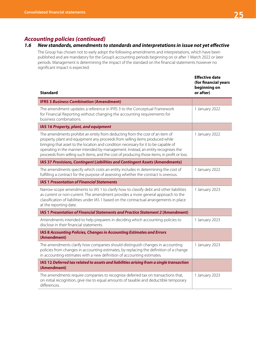# *1.6 New standards, amendments to standards and interpretations in issue not yet effective*

The Group has chosen not to early adopt the following amendments and interpretations, which have been published and are mandatory for the Group's accounting periods beginning on or after 1 March 2022 or later periods. Management is determining the impact of the standard on the financial statements however no significant impact is expected.

| <b>Standard</b>                                                                                                                                                                                                                                                                                                                                                                                                                         | <b>Effective date</b><br>(for financial years<br>beginning on<br>or after) |
|-----------------------------------------------------------------------------------------------------------------------------------------------------------------------------------------------------------------------------------------------------------------------------------------------------------------------------------------------------------------------------------------------------------------------------------------|----------------------------------------------------------------------------|
| <b>IFRS 3 Business Combination (Amendment)</b>                                                                                                                                                                                                                                                                                                                                                                                          |                                                                            |
| The amendment updates a reference in IFRS 3 to the Conceptual Framework<br>for Financial Reporting without changing the accounting requirements for<br>business combinations.                                                                                                                                                                                                                                                           | 1 January 2022                                                             |
| IAS 16 Property, plant, and equipment                                                                                                                                                                                                                                                                                                                                                                                                   |                                                                            |
| The amendments prohibit an entity from deducting from the cost of an item of<br>property, plant and equipment any proceeds from selling items produced while<br>bringing that asset to the location and condition necessary for it to be capable of<br>operating in the manner intended by management. Instead, an entity recognises the<br>proceeds from selling such items, and the cost of producing those items, in profit or loss. | 1 January 2022                                                             |
| IAS 37 Provisions, Contingent Liabilities and Contingent Assets (Amendments)                                                                                                                                                                                                                                                                                                                                                            |                                                                            |
| The amendments specify which costs an entity includes in determining the cost of<br>fulfilling a contract for the purpose of assessing whether the contract is onerous.                                                                                                                                                                                                                                                                 | 1 January 2022                                                             |
| <b>IAS 1 Presentation of Financial Statements</b>                                                                                                                                                                                                                                                                                                                                                                                       |                                                                            |
| Narrow-scope amendments to IAS 1 to clarify how to classify debt and other liabilities<br>as current or non-current. The amendment provides a more general approach to the<br>classification of liabilities under IAS 1 based on the contractual arrangements in place<br>at the reporting date.                                                                                                                                        | 1 January 2023                                                             |
| IAS 1 Presentation of Financial Statements and Practice Statement 2 (Amendment)                                                                                                                                                                                                                                                                                                                                                         |                                                                            |
| Amendments intended to help preparers in deciding which accounting policies to<br>disclose in their financial statements.                                                                                                                                                                                                                                                                                                               | 1 January 2023                                                             |
| IAS 8 Accounting Policies, Changes in Accounting Estimates and Errors<br>(Amendment)                                                                                                                                                                                                                                                                                                                                                    |                                                                            |
| The amendments clarify how companies should distinguish changes in accounting<br>policies from changes in accounting estimates, by replacing the definition of a change<br>in accounting estimates with a new definition of accounting estimates.                                                                                                                                                                                       | 1 January 2023                                                             |
| IAS 12 Deferred tax related to assets and liabilities arising from a single transaction<br>(Amendment)                                                                                                                                                                                                                                                                                                                                  |                                                                            |
| The amendments require companies to recognise deferred tax on transactions that,<br>on initial recognition, give rise to equal amounts of taxable and deductible temporary<br>differences.                                                                                                                                                                                                                                              | 1 January 2023                                                             |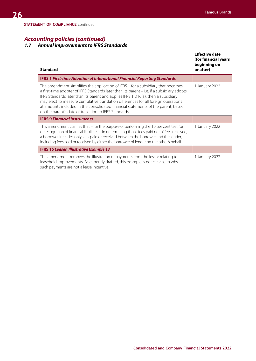# *1.7 Annual improvements to IFRS Standards*

| <b>Standard</b>                                                                                                                                                                                                                                                                                                                                                                                                                                                                                         | <b>Effective date</b><br>(for financial years<br>beginning on<br>or after) |
|---------------------------------------------------------------------------------------------------------------------------------------------------------------------------------------------------------------------------------------------------------------------------------------------------------------------------------------------------------------------------------------------------------------------------------------------------------------------------------------------------------|----------------------------------------------------------------------------|
| <b>IFRS 1 First-time Adoption of International Financial Reporting Standards</b>                                                                                                                                                                                                                                                                                                                                                                                                                        |                                                                            |
| The amendment simplifies the application of IFRS 1 for a subsidiary that becomes<br>a first-time adopter of IFRS Standards later than its parent - i.e. if a subsidiary adopts<br>IFRS Standards later than its parent and applies IFRS 1.D16(a), then a subsidiary<br>may elect to measure cumulative translation differences for all foreign operations<br>at amounts included in the consolidated financial statements of the parent, based<br>on the parent's date of transition to IFRS Standards. | 1 January 2022                                                             |
| <b>IFRS 9 Financial Instruments</b>                                                                                                                                                                                                                                                                                                                                                                                                                                                                     |                                                                            |
| This amendment clarifies that – for the purpose of performing the '10 per cent test' for<br>derecognition of financial liabilities - in determining those fees paid net of fees received,<br>a borrower includes only fees paid or received between the borrower and the lender,<br>including fees paid or received by either the borrower of lender on the other's behalf.                                                                                                                             | 1 January 2022                                                             |
| <b>IFRS 16 Leases, Illustrative Example 13</b>                                                                                                                                                                                                                                                                                                                                                                                                                                                          |                                                                            |
| The amendment removes the illustration of payments from the lessor relating to<br>leasehold improvements. As currently drafted, this example is not clear as to why<br>such payments are not a lease incentive.                                                                                                                                                                                                                                                                                         | 1 January 2022                                                             |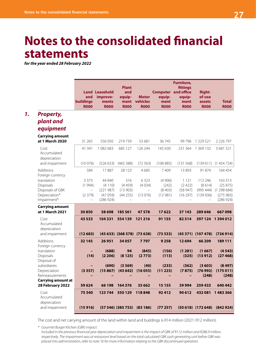# **Notes to the consolidated financial statements**

*for the year ended 28 February 2022*

|                                                                              | and<br>buildings<br><b>R000</b> | <b>Land Leasehold</b><br>improve-<br>ments<br><b>R000</b> | <b>Plant</b><br>and<br>equip-<br>ment<br><b>R000</b> | <b>Motor</b><br>vehicles<br><b>R000</b> | <b>Computer and office</b><br>equip-<br>ment<br><b>R000</b> | Furniture,<br>fittings<br>equip-<br>ment<br><b>R000</b> | <b>Right-</b><br>of-use<br>assets<br><b>R000</b> | <b>Total</b><br><b>R000</b>                             |
|------------------------------------------------------------------------------|---------------------------------|-----------------------------------------------------------|------------------------------------------------------|-----------------------------------------|-------------------------------------------------------------|---------------------------------------------------------|--------------------------------------------------|---------------------------------------------------------|
| <b>Property,</b><br>plant and<br>equipment                                   |                                 |                                                           |                                                      |                                         |                                                             |                                                         |                                                  |                                                         |
| <b>Carrying amount</b><br>at 1 March 2020                                    | 31 265                          | 556 050                                                   | 219739                                               | 53 681                                  | 36745                                                       | 99 7 96                                                 | 1 229 521                                        | 2 2 2 6 7 9 7                                           |
| Cost<br>Accumulated<br>depreciation                                          | 41 341                          | 1 082 683                                                 | 685 127                                              | 126 244                                 | 145 630                                                     | 231 364                                                 | 1 369 132                                        | 3 681 521                                               |
| and impairment                                                               | (10076)                         | (526633)                                                  | (465 388)                                            | (72563)                                 | (108885)                                                    | (131568)                                                | (139611)                                         | (1454724)                                               |
| Additions<br>Foreign currency                                                | 584                             | 17887                                                     | 28 1 23                                              | 4685                                    | 7409                                                        | 13893                                                   | 91 874                                           | 164 454                                                 |
| translation<br>Disposals<br>Disposals of GBK<br>Depreciation*<br>Impairment* | 3 3 7 3<br>(1994)<br>(2379)     | 44 840<br>(4110)<br>(221987)<br>(47059)<br>(286924)       | 316<br>(4459)<br>(13903)<br>(44255)                  | 6 3 2 3<br>(4034)<br>(13076)            | (4906)<br>(242)<br>(8403)<br>(12981)                        | 1 1 2 1<br>(2422)<br>(58947)<br>(16297)                 | 112 246<br>(8614)<br>(995 444)<br>(139936)       | 163 313<br>(25875)<br>(1298684)<br>(275983)<br>(286924) |
| <b>Carrying amount</b><br>at 1 March 2021                                    | 30850                           | 58 698                                                    | 185 561                                              | 47 578                                  | 17622                                                       | 37 143                                                  | 289 646                                          | 667098                                                  |
| Cost<br>Accumulated<br>depreciation                                          | 43 533                          | 104 331                                                   | 554 139                                              | 121 216                                 | 91 155                                                      | 82514                                                   |                                                  | 397 124 1 394 012                                       |
| and impairment                                                               | (12683)                         |                                                           | $(45633)$ $(368578)$ $(73638)$                       |                                         | (73533)                                                     |                                                         | $(45371)$ $(107478)$                             | (726914)                                                |
| Additions<br>Foreign currency<br>translation                                 | 32 145                          | 26 951<br>(688)                                           | 34 057<br>94                                         | 7797<br>(845)                           | 9 2 5 8<br>(156)                                            | 12 6 94<br>(1281)                                       | 66 209<br>(1667)                                 | 189 111<br>(4543)                                       |
| Disposals<br>Disposal of<br>subsidiaries                                     | (14)                            | (2206)<br>(690)                                           | (8125)<br>(3569)                                     | (2773)<br>(40)                          | (113)<br>(233)                                              | (325)<br>(362)                                          | (13912)<br>(3603)                                | (27468)<br>(8497)                                       |
| Depreciation<br>Remeasurements                                               | (3357)                          |                                                           | $(15867)$ $(43642)$ $(16055)$                        |                                         | (11 223)                                                    | (7875)                                                  | (248)                                            | $(76992)$ $(175011)$<br>(248)                           |
| <b>Carrying amount at</b>                                                    |                                 |                                                           |                                                      |                                         |                                                             |                                                         |                                                  |                                                         |
| 28 February 2022<br>Cost                                                     | 59 624<br>75 540                | 123 744                                                   | 66 198 164 376<br>550 129                            | 35 662<br>118848                        | 15 15 5<br>92412                                            | 39 9 94<br>90 612                                       | 259 433<br>432 081                               | 640 442<br>1483366                                      |
| Accumulated<br>depreciation                                                  |                                 |                                                           |                                                      |                                         |                                                             |                                                         |                                                  |                                                         |
| and impairment                                                               | (15916)                         |                                                           | $(57546)$ $(385753)$ $(83186)$                       |                                         | (77257)                                                     |                                                         | $(50618)$ $(172648)$                             | (842924)                                                |

The cost and net carrying amount of the land within land and buildings is R14 million (2021: R12 million).

*\* Gourmet Burger Kitchen (GBK) impact:*

*Included in the previous financial year depreciation and impairment is the impact of GBK of R112 million and R286.9 million, respectively. The impairment was at restaurant level based on the total calculated GBK cash generating unit before GBK was placed into administration, refer to note 16 for more information relating to the GBK discontinued operation.*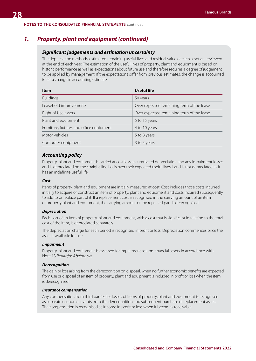## *1. Property, plant and equipment (continued)*

## *Significant judgements and estimation uncertainty*

The depreciation methods, estimated remaining useful lives and residual value of each asset are reviewed at the end of each year. The estimation of the useful lives of property, plant and equipment is based on historic performance as well as expectations about future use and therefore requires a degree of judgement to be applied by management. If the expectations differ from previous estimates, the change is accounted for as a change in accounting estimate.

| <b>Item</b>                              | <b>Useful life</b>                        |
|------------------------------------------|-------------------------------------------|
| <b>Buildings</b>                         | 50 years                                  |
| Leasehold improvements                   | Over expected remaining term of the lease |
| Right of Use assets                      | Over expected remaining term of the lease |
| Plant and equipment                      | 5 to 15 years                             |
| Furniture, fixtures and office equipment | 4 to 10 years                             |
| Motor vehicles                           | 5 to 8 years                              |
| Computer equipment                       | 3 to 5 years                              |

### *Accounting policy*

Property, plant and equipment is carried at cost less accumulated depreciation and any impairment losses and is depreciated on the straight-line basis over their expected useful lives. Land is not depreciated as it has an indefinite useful life.

#### *Cost*

Items of property, plant and equipment are initially measured at cost. Cost includes those costs incurred initially to acquire or construct an item of property, plant and equipment and costs incurred subsequently to add to or replace part of it. If a replacement cost is recognised in the carrying amount of an item of property plant and equipment, the carrying amount of the replaced part is derecognised.

#### *Depreciation*

Each part of an item of property, plant and equipment, with a cost that is significant in relation to the total cost of the item, is depreciated separately.

The depreciation charge for each period is recognised in profit or loss. Depreciation commences once the asset is available for use.

#### *Impairment*

Property, plant and equipment is assessed for impairment as non-financial assets in accordance with Note 13 *Profit/(loss) before tax.*

#### *Derecognition*

The gain or loss arising from the derecognition on disposal, when no further economic benefits are expected from use or disposal of an item of property, plant and equipment is included in profit or loss when the item is derecognised.

#### *Insurance compensation*

Any compensation from third parties for losses of items of property, plant and equipment is recognised as separate economic events from the derecognition and subsequent purchase of replacement assets. The compensation is recognised as income in profit or loss when it becomes receivable.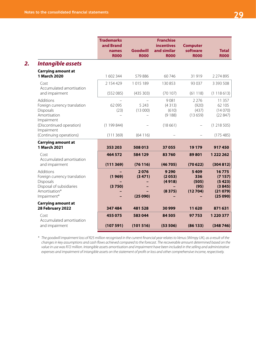|                                                                   | <b>Trademarks</b><br>and Brand<br>names<br><b>R000</b> | <b>Goodwill</b><br><b>R000</b> | <b>Franchise</b><br><b>incentives</b><br>and similar<br><b>R000</b> | <b>Computer</b><br>software<br><b>R000</b> | <b>Total</b><br><b>R000</b>  |
|-------------------------------------------------------------------|--------------------------------------------------------|--------------------------------|---------------------------------------------------------------------|--------------------------------------------|------------------------------|
| Intangible assets                                                 |                                                        |                                |                                                                     |                                            |                              |
| <b>Carrying amount at</b><br><b>1 March 2020</b>                  | 1 602 344                                              | 579886                         | 60 746                                                              | 31919                                      | 2 2 7 4 8 9 5                |
| Cost<br>Accumulated amortisation<br>and impairment                | 2 154 429<br>(552085)                                  | 1015 189<br>(435 303)          | 130 853<br>(70107)                                                  | 93 0 37<br>(61118)                         | 3 3 9 3 5 0 8<br>(1118613)   |
|                                                                   |                                                        |                                |                                                                     |                                            |                              |
| Additions<br>Foreign currency translation<br>Disposals            | 62 0 95<br>(23)                                        | 5 2 4 3<br>(13000)             | 9081<br>(4313)<br>(610)                                             | 2 2 7 6<br>(920)<br>(437)                  | 11 357<br>62 105<br>(14070)  |
| Amortisation<br>Impairment                                        |                                                        |                                | (9188)                                                              | (13659)                                    | (22847)                      |
| (Discontinued operation)<br>Impairment<br>(Continuing operations) | (1199844)<br>(111369)                                  | (64116)                        | (18661)                                                             |                                            | (1218505)<br>(175485)        |
| <b>Carrying amount at</b>                                         |                                                        |                                |                                                                     |                                            |                              |
| 1 March 2021                                                      | 353 203                                                | 508 013                        | 37055                                                               | 19 1 79                                    | 917450                       |
| Cost<br>Accumulated amortisation                                  | 464 572                                                | 584 129                        | 83760                                                               | 89801                                      | 1 222 262                    |
| and impairment                                                    | (111369)                                               | (76116)                        | (46705)                                                             | (70622)                                    | (304812)                     |
| Additions<br>Foreign currency translation<br>Disposals            | (1969)                                                 | 2076<br>(3471)                 | 9 2 9 0<br>(2053)<br>(4918)                                         | 5409<br>336<br>(505)                       | 16775<br>(7157)<br>(5423)    |
| Disposal of subsidiaries<br>Amortisation*<br>Impairment*          | (3750)                                                 | (25090)                        | (8375)                                                              | (95)<br>(12704)                            | (3845)<br>(21079)<br>(25090) |
| <b>Carrying amount at</b><br>28 February 2022                     | 347 484                                                | 481528                         | 30 999                                                              | 11 6 20                                    | 871631                       |
| Cost<br>Accumulated amortisation                                  | 455 075                                                | 583044                         | 84 505                                                              | 97753                                      | 1 2 2 0 3 7 7                |
| and impairment                                                    | (107591)                                               | (101516)                       | (53506)                                                             | (86133)                                    | (348746)                     |
|                                                                   |                                                        |                                |                                                                     |                                            |                              |

*\* The goodwill impairment loss of R25 million recognised in the current financial year relates to Venus (Wimpy UK), as a result of the changes in key assumptions and cash flows achieved compared to the forecast. The recoverable amount determined based on the value in use was R72 million. Intangible assets amortisation and impairment have been included in the selling and administrative expenses and impairment of intangible assets on the statement of profit or loss and other comprehensive income, respectively.*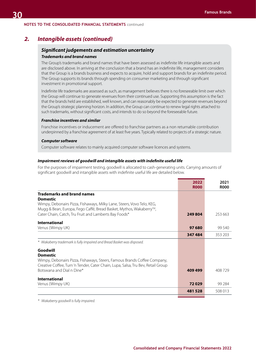## *2. Intangible assets (continued)*

### *Significant judgements and estimation uncertainty*

#### *Trademarks and brand names*

The Group's trademarks and brand names that have been assessed as indefinite life intangible assets and are disclosed above. In arriving at the conclusion that a brand has an indefinite life, management considers that the Group is a brands business and expects to acquire, hold and support brands for an indefinite period. The Group supports its brands through spending on consumer marketing and through significant investment in promotional support.

Indefinite life trademarks are assessed as such, as management believes there is no foreseeable limit over which the Group will continue to generate revenues from their continued use. Supporting this assumption is the fact that the brands held are established, well known, and can reasonably be expected to generate revenues beyond the Group's strategic planning horizon. In addition, the Group can continue to renew legal rights attached to such trademarks, without significant costs, and intends to do so beyond the foreseeable future.

#### *Franchise incentives and similar*

Franchise incentives or inducement are offered to franchise partners as a non returnable contribution underpinned by a franchise agreement of at least five years. Typically related to projects of a strategic nature.

#### *Computer software*

Computer software relates to mainly acquired computer software licences and systems.

#### *Impairment reviews of goodwill and intangible assets with indefinite useful life*

For the purposes of impairment testing, goodwill is allocated to cash-generating units. Carrying amounts of significant goodwill and intangible assets with indefinite useful life are detailed below.

|                                                                                                                                                                                                              | 2022<br><b>R000</b> | 2021<br><b>R000</b> |
|--------------------------------------------------------------------------------------------------------------------------------------------------------------------------------------------------------------|---------------------|---------------------|
| <b>Trademarks and brand names</b>                                                                                                                                                                            |                     |                     |
| <b>Domestic</b><br>Wimpy, Debonairs Pizza, Fishaways, Milky Lane, Steers, Vovo Telo, KEG,<br>Mugg & Bean, Europa, Fego Caffé, Bread Basket, Mythos, Wakaberry™,                                              |                     |                     |
| Cater Chain, Catch, Tru Fruit and Lamberts Bay Foods*                                                                                                                                                        | 249804              | 253 663             |
| <b>International</b><br>Venus (Wimpy UK)                                                                                                                                                                     | 97680               | 99 540              |
|                                                                                                                                                                                                              | 347484              | 353 203             |
| * Wakaberry trademark is fully impaired and Bread Basket was disposed.                                                                                                                                       |                     |                     |
| Goodwill                                                                                                                                                                                                     |                     |                     |
| <b>Domestic</b><br>Wimpy, Debonairs Pizza, Fishaways, Steers, Famous Brands Coffee Company,<br>Creative Coffee, Turn 'n Tender, Cater Chain, Lupa, Salsa, Tru Bev, Retail Group<br>Botswana and Dial n Dine* | 409 499             | 408729              |
|                                                                                                                                                                                                              |                     |                     |
| <b>International</b><br>Venus (Wimpy UK)                                                                                                                                                                     | 72029               | 99 284              |
|                                                                                                                                                                                                              | 481528              | 508 013             |

*\* Wakaberry goodwill is fully impaired.*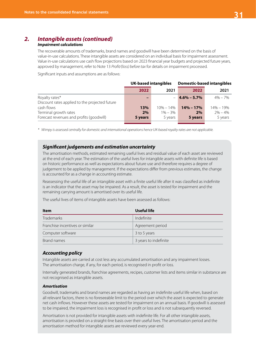# *2. Intangible assets (continued)*

## *Impairment calculations*

The recoverable amounts of trademarks, brand names and goodwill have been determined on the basis of value-in-use calculations. These intangible assets are considered on an individual basis for impairment assessment. Value in-use calculations use cash flow projections based on 2023 financial year budgets and projected future years, approved by management, refer to Note 13 *Profit/(loss) before tax* for details on impairment processed.

Significant inputs and assumptions are as follows:

|                                                | <b>UK-based intangibles</b> |               | <b>Domestic-based intangibles</b> |               |  |
|------------------------------------------------|-----------------------------|---------------|-----------------------------------|---------------|--|
|                                                | 2022                        | 2021          | 2022                              | 2021          |  |
| Royalty rates*                                 | $\overline{\phantom{0}}$    |               | $4.6\% - 5.7\%$                   | $4\% - 7\%$   |  |
| Discount rates applied to the projected future |                             |               |                                   |               |  |
| cash flows                                     | 13%                         | $10\% - 14\%$ | $14\% - 17\%$                     | $14\% - 19\%$ |  |
| Terminal growth rates                          | 2%                          | $1\% - 3\%$   | 2%                                | $2\% - 4\%$   |  |
| Forecast revenues and profits (goodwill)       | 5 years                     | 5 years       | 5 years                           | 5 years       |  |

*\* Wimpy is assessed centrally for domestic and international operations hence UK-based royalty rates are not applicable.*

## *Significant judgements and estimation uncertainty*

The amortisation methods, estimated remaining useful lives and residual value of each asset are reviewed at the end of each year. The estimation of the useful lives for intangible assets with definite life is based on historic performance as well as expectations about future use and therefore requires a degree of judgement to be applied by management. If the expectations differ from previous estimates, the change is accounted for as a change in accounting estimate.

Reassessing the useful life of an intangible asset with a finite useful life after it was classified as indefinite is an indicator that the asset may be impaired. As a result, the asset is tested for impairment and the remaining carrying amount is amortised over its useful life.

The useful lives of items of intangible assets have been assessed as follows:

| <b>Item</b>                     | Useful life           |
|---------------------------------|-----------------------|
| Trademarks                      | Indefinite            |
| Franchise incentives or similar | Agreement period      |
| Computer software               | 3 to 5 years          |
| Brand names                     | 3 years to indefinite |

## *Accounting policy*

Intangible assets are carried at cost less any accumulated amortisation and any impairment losses. The amortisation charge, if any, for each period, is recognised in profit or loss.

Internally generated brands, franchise agreements, recipes, customer lists and items similar in substance are not recognised as intangible assets.

#### *Amortisation*

Goodwill, trademarks and brand names are regarded as having an indefinite useful life when, based on all relevant factors, there is no foreseeable limit to the period over which the asset is expected to generate net cash inflows. However these assets are tested for impairment on an annual basis. If goodwill is assessed to be impaired, the impairment loss is recognised in profit or loss and is not subsequently reversed.

Amortisation is not provided for intangible assets with indefinite life. For all other intangible assets, amortisation is provided on a straight-line basis over their useful lives. The amortisation period and the amortisation method for intangible assets are reviewed every year-end.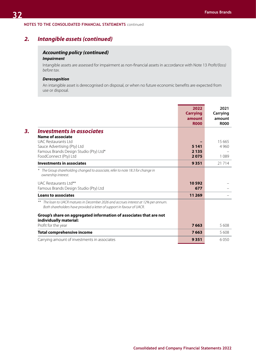# *2. Intangible assets (continued)*

# *Accounting policy (continued)*

## *Impairment*

Intangible assets are assessed for impairment as non-financial assets in accordance with Note 13 *Profit/(loss) before tax.*

## *Derecognition*

An intangible asset is derecognised on disposal, or when no future economic benefits are expected from use or disposal.

|                                                                                                                                                            | 2022<br><b>Carrying</b><br>amount<br><b>R000</b> | 2021<br>Carrying<br>amount<br><b>R000</b> |
|------------------------------------------------------------------------------------------------------------------------------------------------------------|--------------------------------------------------|-------------------------------------------|
| <b>Investments in associates</b>                                                                                                                           |                                                  |                                           |
| Name of associate<br>UAC Restaurants Ltd                                                                                                                   |                                                  | 15 6 65                                   |
| Sauce Advertising (Pty) Ltd                                                                                                                                | 5 1 4 1                                          | 4 9 6 0                                   |
| Famous Brands Design Studio (Pty) Ltd*                                                                                                                     | 2 1 3 5                                          |                                           |
| FoodConnect (Pty) Ltd                                                                                                                                      | 2075                                             | 1 0 8 9                                   |
| <b>Investments in associates</b>                                                                                                                           | 9351                                             | 21 7 14                                   |
| The Group shareholding changed to associate, refer to note 18.3 for change in<br>ownership interest.                                                       |                                                  |                                           |
| UAC Restaurants Ltd**                                                                                                                                      | 10592                                            |                                           |
| Famous Brands Design Studio (Pty) Ltd                                                                                                                      | 677                                              |                                           |
| <b>Loans to associates</b>                                                                                                                                 | 11 269                                           |                                           |
| The loan to UACR matures in December 2026 and accrues interest at 12% per annum.<br>Both shareholders have provided a letter of support in favour of UACR. |                                                  |                                           |
| Group's share on aggregated information of associates that are not<br>individually material:                                                               |                                                  |                                           |
| Profit for the year                                                                                                                                        | 7663                                             | 5608                                      |
| <b>Total comprehensive income</b>                                                                                                                          | 7663                                             | 5608                                      |
| Carrying amount of investments in associates                                                                                                               | 9351                                             | 6050                                      |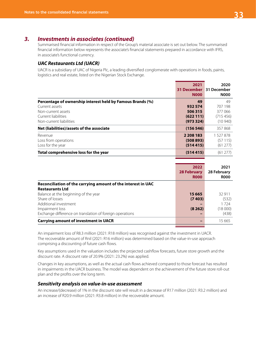# *3. Investments in associates (continued)*

Summarised financial information in respect of the Group's material associate is set out below. The summarised financial information below represents the associate's financial statements prepared in accordance with IFRS, in associate's functional currency.

## *UAC Restaurants Ltd (UACR)*

UACR is a subsidiary of UAC of Nigeria Plc, a leading diversified conglomerate with operations in foods, paints, logistics and real estate, listed on the Nigerian Stock Exchange.

|                                                                                                                                                      | 2021<br><b>31 December</b> 31 December<br><b>N000</b> | 2020<br><b>N000</b>                            |
|------------------------------------------------------------------------------------------------------------------------------------------------------|-------------------------------------------------------|------------------------------------------------|
| Percentage of ownership interest held by Famous Brands (%)<br>Current assets<br>Non-current assets<br>Current liabilities<br>Non-current liabilities | 49<br>932 574<br>506315<br>(622111)<br>(973324)       | 49<br>707 198<br>377066<br>(715456)<br>(10940) |
| Net (liabilities)/assets of the associate                                                                                                            | (156546)                                              | 357868                                         |
| Revenue<br>Loss from operations<br>Loss for the year                                                                                                 | 2 208 183<br>(508893)<br>(514415)                     | 1 527 878<br>(57115)<br>(61277)                |
| Total comprehensive loss for the year                                                                                                                | (514415)                                              | (61277)                                        |

| 28 February<br><b>ROOO</b> |
|----------------------------|
|                            |
|                            |
| 32 911                     |
| (532)                      |
| 1 7 2 4                    |
| (18000)                    |
| (438)                      |
| 15 665                     |
|                            |

An impairment loss of R8.3 million (2021: R18 million) was recognised against the investment in UACR. The recoverable amount of Rnil (2021: R16 million) was determined based on the value-in-use approach comprising a discounting of future cash flows.

Key assumptions used in the valuation includes the projected cashflow forecasts, future store growth and the discount rate. A discount rate of 20.9% (2021: 23.2%) was applied.

Changes in key assumptions, as well as the actual cash flows achieved compared to those forecast has resulted in impairments in the UACR business. The model was dependent on the achievement of the future store roll-out plan and the profits over the long term.

## *Sensitivity analysis on value-in-use assessment*

An increase/(decrease) of 1% in the discount rate will result in a decrease of R17 million (2021: R3.2 million) and an increase of R20.9 million (2021: R3.8 million) in the recoverable amount.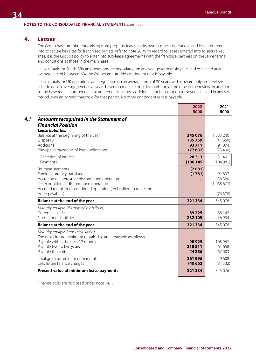#### **NOTES TO THE CONSOLIDATED FINANCIAL STATEMENTS** continued

## *4. Leases*

The Group has commitments arising from property leases for its own business operations and leases entered into to secure key sites for franchised outlets, refer to note 20. With regard to leases entered into to secure key sites, it is the Group's policy to enter into sub-lease agreements with the franchise partners on the same terms and conditions as those in the main lease.

Lease rentals for South African operations are negotiated on an average term of six years and escalated at an average rate of between 6% and 8% per annum. No contingent rent is payable.

Lease rentals for UK operations are negotiated on an average term of 20 years, with upward only rent reviews scheduled, on average, every five years based on market conditions existing at the time of the review. In addition to the base rent, a number of lease agreements include additional rent based upon turnover achieved in any set period, over an agreed threshold for that period. No other contingent rent is payable.

|                                                                                                                                                                                                                                           | 2022<br><b>R000</b>                    | 2021<br><b>R000</b>                        |
|-------------------------------------------------------------------------------------------------------------------------------------------------------------------------------------------------------------------------------------------|----------------------------------------|--------------------------------------------|
| <b>Amounts recognised in the Statement of</b><br><b>Financial Position</b><br><b>Lease liabilities</b>                                                                                                                                    |                                        |                                            |
| Balance at the beginning of the year<br><b>Disposals</b><br>Additions<br>Principal repayments of lease obligations                                                                                                                        | 345 076<br>(35759)<br>93711<br>(77832) | 1 383 240<br>(41650)<br>91 874<br>(73 490) |
| Accretion of interest<br>Payments                                                                                                                                                                                                         | 28 3 1 3<br>(106145)                   | 31 491<br>(104981)                         |
| Re-measurements<br>Foreign currency translation<br>Accretion of interest for discontinued operation<br>Derecognition of discontinued operation<br>Accrued rental for discontinued operation (reclassified to trade and<br>other payables) | (2081)<br>(1781)                       | 91 837<br>38 3 20<br>(1068677)<br>(76378)  |
| <b>Balance at the end of the year</b>                                                                                                                                                                                                     | 321 334                                | 345 076                                    |
| Maturity analysis (discounted cash flows)<br>Current liabilities<br>Non-current liabilities                                                                                                                                               | 89 2 25<br>232 109                     | 88 142<br>256 934                          |
| <b>Balance at the end of the year</b>                                                                                                                                                                                                     | 321 334                                | 345 076                                    |
| Maturity analysis (gross cash flows)<br>The gross future minimum rentals due are repayable as follows:<br>Payable within the next 12 months<br>Payable two to five years<br>Payable thereafter                                            | 98929<br>218811<br>44 25 6             | 105 947<br>261 658<br>62 003               |
| Total gross future minimum rentals<br>Less future finance charges                                                                                                                                                                         | 361996<br>(40662)                      | 429 608<br>(84532)                         |
| Present value of minimum lease payments                                                                                                                                                                                                   | 321 334                                | 345 076                                    |
|                                                                                                                                                                                                                                           |                                        |                                            |

Finance costs are disclosed under note 14.1.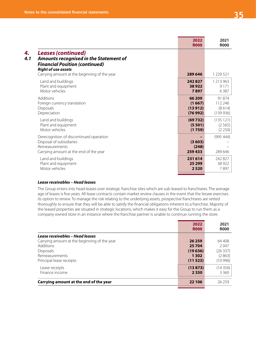|                                                                                                                                                                                                          | 2022<br><b>R000</b>       | 2021<br><b>R000</b>  |
|----------------------------------------------------------------------------------------------------------------------------------------------------------------------------------------------------------|---------------------------|----------------------|
| <b>Leases (continued)</b><br>4.1<br><b>Amounts recognised in the Statement of</b><br><b>Financial Position (continued)</b><br><b>Right of use assets</b><br>Carrying amount at the beginning of the year | 289 646                   | 1 229 521            |
| Land and buildings                                                                                                                                                                                       | 242827                    | 1 213 963            |
| Plant and equipment                                                                                                                                                                                      | 38922                     | 9 1 7 1              |
| Motor vehicles                                                                                                                                                                                           | 7897                      | 6387                 |
| Additions                                                                                                                                                                                                | 66 209                    | 91 874               |
| Foreign currency translation                                                                                                                                                                             | (1667)                    | 112 246              |
| Disposals                                                                                                                                                                                                | (13912)                   | (8614)               |
| Depreciation                                                                                                                                                                                             | (76992)                   | (139936)             |
| Land and buildings                                                                                                                                                                                       | (69732)                   | (135 121)            |
| Plant and equipment                                                                                                                                                                                      | (5501)                    | (2565)               |
| Motor vehicles                                                                                                                                                                                           | (1759)                    | (2 250)              |
| Derecognition of discontinued operation<br>Disposal of subsidiaries<br>Remeasurements<br>Carrying amount at the end of the year                                                                          | (3603)<br>(248)<br>259433 | (995 444)<br>289 646 |
| Land and buildings                                                                                                                                                                                       | 231 614                   | 242827               |
| Plant and equipment                                                                                                                                                                                      | 25 299                    | 38 9 22              |
| Motor vehicles                                                                                                                                                                                           | 2520                      | 7897                 |

### *Lease receivables – Head leases*

The Group enters into head-leases over strategic franchise sites which are sub-leased to franchisees. The average age of leases is five years. All lease contracts contain market review clauses in the event that the lessee exercises its option to renew. To manage the risk relating to the underlying assets, prospective franchisees are vetted thoroughly to ensure that they will be able to satisfy the financial obligations inherent to a franchise. Majority of the leased properties are situated in strategic locations, which makes it easy for the Group to run them as a company owned store in an instance where the franchise partner is unable to continue running the store.

|                                                                                                                                                                       | 2022<br><b>R000</b>                               | 2021<br><b>ROOO</b>                            |
|-----------------------------------------------------------------------------------------------------------------------------------------------------------------------|---------------------------------------------------|------------------------------------------------|
| Lease receivables - Head leases<br>Carrying amount at the beginning of the year<br><b>Additions</b><br><b>Disposals</b><br>Remeasurements<br>Principal lease receipts | 26 25 9<br>25704<br>(19636)<br>1 3 0 2<br>(11523) | 64 408<br>2047<br>(26337)<br>(2863)<br>(10996) |
| Lease receipts<br>Finance income<br>Carrying amount at the end of the year                                                                                            | (13873)<br>2 3 5 0<br>22 106                      | (14356)<br>3 3 6 0<br>26259                    |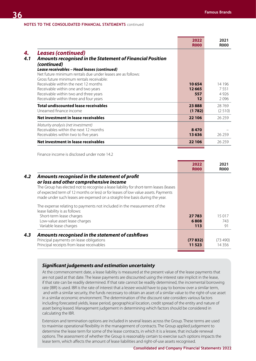|                                                                                                                                                                                                                                                                                                                                                                                                                                   | 2022<br><b>R000</b>                          | 2021<br><b>R000</b>            |
|-----------------------------------------------------------------------------------------------------------------------------------------------------------------------------------------------------------------------------------------------------------------------------------------------------------------------------------------------------------------------------------------------------------------------------------|----------------------------------------------|--------------------------------|
| <b>Leases (continued)</b><br>Amounts recognised in the Statement of Financial Position<br>(continued)<br>Lease receivables - Head leases (continued)<br>Net future minimum rentals due under leases are as follows:<br>Gross future minimum rentals receivable:<br>Receivable within the next 12 months<br>Receivable within one and two years<br>Receivable within two and three years<br>Receivable within three and four years | 10654<br>12 6 65<br>557<br>$12 \overline{ }$ | 14 196<br>7551<br>4926<br>2096 |
| <b>Total undiscounted lease receivables</b><br>Unearned finance income                                                                                                                                                                                                                                                                                                                                                            | 23888<br>(1782)                              | 28769<br>(2510)                |
| Net investment in lease receivables                                                                                                                                                                                                                                                                                                                                                                                               | 22 106                                       | 26 25 9                        |
| Maturity analysis (net investment)<br>Receivables within the next 12 months<br>Receivables within two to five years                                                                                                                                                                                                                                                                                                               | 8470<br>13636                                | 26 259                         |
| Net investment in lease receivables                                                                                                                                                                                                                                                                                                                                                                                               | 22 106                                       | 26 25 9                        |
|                                                                                                                                                                                                                                                                                                                                                                                                                                   |                                              |                                |

Finance income is disclosed under note 14.2

|                                                                                                                                                                     | 2022<br><b>R000</b> | 2021<br><b>ROOO</b> |
|---------------------------------------------------------------------------------------------------------------------------------------------------------------------|---------------------|---------------------|
| Amounts recognised in the statement of profit                                                                                                                       |                     |                     |
| or loss and other comprehensive income                                                                                                                              |                     |                     |
| The Group has elected not to recognise a lease liability for short-term leases (leases                                                                              |                     |                     |
| of expected term of 12 months or less) or for leases of low value assets. Payments<br>made under such leases are expensed on a straight-line basis during the year. |                     |                     |
| The expense relating to payments not included in the measurement of the<br>lease liability is as follows:                                                           |                     |                     |
| Short-term lease charges                                                                                                                                            | 27 783              | 15 017              |
| Low-value asset lease charges                                                                                                                                       | 6808                | 743                 |
| Variable lease charges                                                                                                                                              | 113                 | -91                 |
| Amounts recognised in the statement of cashflows                                                                                                                    |                     |                     |
| Principal payments on lease obligations                                                                                                                             | (77 832)            | (73, 490)           |
| Principal receipts from lease receivables                                                                                                                           | 11 523              | 14 3 5 6            |
|                                                                                                                                                                     |                     |                     |

## *Significant judgements and estimation uncertainty*

At the commencement date, a lease liability is measured at the present value of the lease payments that are not paid at that date. The lease payments are discounted using the interest rate implicit in the lease, if that rate can be readily determined. If that rate cannot be readily determined, the incremental borrowing rate (IBR) is used. IBR is the rate of interest that a lessee would have to pay to borrow over a similar term, and with a similar security, the funds necessary to obtain an asset of a similar value to the right-of-use asset in a similar economic environment. The determination of the discount rate considers various factors including forecasted yields, lease period, geographical location, credit spread of the entity and nature of asset being leased. Management judgement in determining which factors should be considered in calculating the IBR.

Extension and termination options are included in several leases across the Group. These terms are used to maximise operational flexibility in the management of contracts. The Group applied judgement to determine the lease term for some of the lease contracts, in which it is a lessee, that include renewal options. The assessment of whether the Group is reasonably certain to exercise such options impacts the lease term, which affects the amount of lease liabilities and right-of-use assets recognised.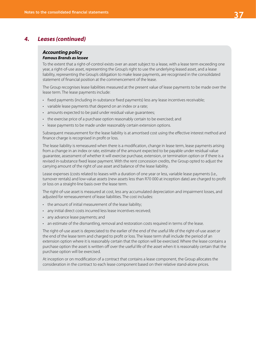# *4. Leases (continued)*

#### *Accounting policy Famous Brands as lessee*

To the extent that a right-of-control exists over an asset subject to a lease, with a lease term exceeding one year, a right-of-use asset, representing the Group's right to use the underlying leased asset, and a lease liability, representing the Group's obligation to make lease payments, are recognised in the consolidated statement of financial position at the commencement of the lease.

The Group recognises lease liabilities measured at the present value of lease payments to be made over the lease term. The lease payments include:

- fixed payments (including in-substance fixed payments) less any lease incentives receivable;
- variable lease payments that depend on an index or a rate;
- amounts expected to be paid under residual value guarantees;
- the exercise price of a purchase option reasonably certain to be exercised; and
- lease payments to be made under reasonably certain extension options.

Subsequent measurement for the lease liability is at amortised cost using the effective interest method and finance charge is recognised in profit or loss.

The lease liability is remeasured when there is a modification, change in lease term, lease payments arising from a change in an index or rate, estimate of the amount expected to be payable under residual value guarantee, assessment of whether it will exercise purchase, extension, or termination option or if there is a revised in-substance fixed lease payment. With the rent concession credits, the Group opted to adjust the carrying amount of the right of use asset and balance of the lease liability.

Lease expenses (costs related to leases with a duration of one year or less, variable lease payments (i.e., turnover rentals) and low-value assets (new assets less than R70 000 at inception date) are charged to profit or loss on a straight-line basis over the lease term.

The right-of-use asset is measured at cost, less any accumulated depreciation and impairment losses, and adjusted for remeasurement of lease liabilities. The cost includes:

- the amount of initial measurement of the lease liability;
- any initial direct costs incurred less lease incentives received;
- any advance lease payments; and
- an estimate of the dismantling, removal and restoration costs required in terms of the lease.

The right-of-use asset is depreciated to the earlier of the end of the useful life of the right-of-use asset or the end of the lease term and charged to profit or loss. The lease term shall include the period of an extension option where it is reasonably certain that the option will be exercised. Where the lease contains a purchase option the asset is written off over the useful life of the asset when it is reasonably certain that the purchase option will be exercised.

At inception or on modification of a contract that contains a lease component, the Group allocates the consideration in the contract to each lease component based on their relative stand-alone prices.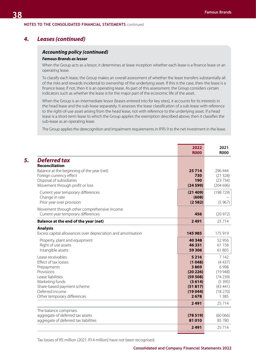## *4. Leases (continued)*

### *Accounting policy (continued) Famous Brands as lessor*

When the Group acts as a lessor, it determines at lease inception whether each lease is a finance lease or an operating lease.

To classify each lease, the Group makes an overall assessment of whether the lease transfers substantially all of the risks and rewards incidental to ownership of the underlying asset. If this is the case, then the lease is a finance lease; if not, then it is an operating lease. As part of this assessment, the Group considers certain indicators such as whether the lease is for the major part of the economic life of the asset.

When the Group is an intermediate lessor (leases entered into for key sites), it accounts for its interests in the head lease and the sub-lease separately. It assesses the lease classification of a sub-lease with reference to the right-of-use asset arising from the head lease, not with reference to the underlying asset. If a head lease is a short-term lease to which the Group applies the exemption described above, then it classifies the sub-lease as an operating lease.

The Group applies the derecognition and impairment requirements in IFRS 9 to the net investment in the lease.

|                                                                                                   | 2022<br><b>R000</b>            | 2021<br><b>R000</b>           |
|---------------------------------------------------------------------------------------------------|--------------------------------|-------------------------------|
| <b>Deferred tax</b><br><b>Reconciliation</b>                                                      |                                |                               |
| Balance at the beginning of the year (net)<br>Foreign currency effect<br>Disposal of subsidiaries | 25714<br>730<br>190            | 296 444<br>(21328)<br>(23734) |
| Movement through profit or loss                                                                   | (24599)                        | (204696)                      |
| Current year temporary differences<br>Change in rate<br>Prior year over provision                 | (21409)<br>(608)<br>(2582)     | (198729)<br>(5967)            |
| Movement through other comprehensive income<br>Current year temporary differences                 | 456                            | (20972)                       |
| Balance at the end of the year (net)                                                              | 2491                           | 25 7 14                       |
| <b>Analysis</b><br>Excess capital allowances over depreciation and amortisation                   | 145 985                        | 175 919                       |
| Property, plant and equipment<br>Right of use assets<br>Intangible assets                         | 40 348<br>46 331<br>59 306     | 52 956<br>61 158<br>61 805    |
| Lease receivables<br>Effect of tax losses<br>Prepayments                                          | 5 2 1 6<br>(1048)<br>3869      | 7 1 4 2<br>(4437)<br>6998     |
| Provisions<br>Lease liabilities<br>Marketing funds                                                | (20 226)<br>(59 508)<br>(3614) | (19948)<br>(74239)<br>(5395)  |
| Share-based payment scheme<br>Deferred income                                                     | (51817)<br>(19044)             | (43441)<br>(18 270)           |
| Other temporary differences                                                                       | 2678<br>2491                   | 1 3 8 5<br>25 7 14            |
| The balance comprises:                                                                            |                                |                               |
| aggregate of deferred tax assets<br>aggregate of deferred tax liabilities                         | (78519)<br>81010               | (60066)<br>85 780             |
|                                                                                                   | 2491                           | 25 7 14                       |

Tax losses of R5 million (2021: R14 million) have not been recognised.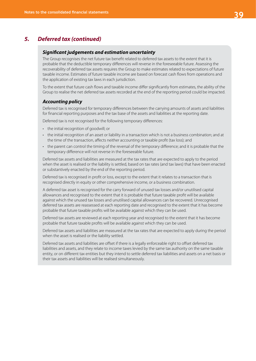# *5. Deferred tax (continued)*

### *Significant judgements and estimation uncertainty*

The Group recognises the net future tax benefit related to deferred tax assets to the extent that it is probable that the deductible temporary differences will reverse in the foreseeable future. Assessing the recoverability of deferred tax assets requires the Group to make estimates related to expectations of future taxable income. Estimates of future taxable income are based on forecast cash flows from operations and the application of existing tax laws in each jurisdiction.

To the extent that future cash flows and taxable income differ significantly from estimates, the ability of the Group to realise the net deferred tax assets recorded at the end of the reporting period could be impacted.

## *Accounting policy*

Deferred tax is recognised for temporary differences between the carrying amounts of assets and liabilities for financial reporting purposes and the tax base of the assets and liabilities at the reporting date.

Deferred tax is not recognised for the following temporary differences:

- the initial recognition of goodwill; or
- the initial recognition of an asset or liability in a transaction which is not a business combination; and at the time of the transaction, affects neither accounting or taxable profit (tax loss); and
- the parent can control the timing of the reversal of the temporary difference; and it is probable that the temporary difference will not reverse in the foreseeable future.

Deferred tax assets and liabilities are measured at the tax rates that are expected to apply to the period when the asset is realised or the liability is settled, based on tax rates (and tax laws) that have been enacted or substantively enacted by the end of the reporting period.

Deferred tax is recognised in profit or loss, except to the extent that it relates to a transaction that is recognised directly in equity or other comprehensive income, or a business combination.

A deferred tax asset is recognised for the carry forward of unused tax losses and/or unutilised capital allowances and recognised to the extent that it is probable that future taxable profit will be available against which the unused tax losses and unutilised capital allowances can be recovered. Unrecognised deferred tax assets are reassessed at each reporting date and recognised to the extent that it has become probable that future taxable profits will be available against which they can be used.

Deferred tax assets are reviewed at each reporting year and recognised to the extent that it has become probable that future taxable profits will be available against which they can be used.

Deferred tax assets and liabilities are measured at the tax rates that are expected to apply during the period when the asset is realised or the liability settled.

Deferred tax assets and liabilities are offset if there is a legally enforceable right to offset deferred tax liabilities and assets, and they relate to income taxes levied by the same tax authority on the same taxable entity, or on different tax entities but they intend to settle deferred tax liabilities and assets on a net basis or their tax assets and liabilities will be realised simultaneously.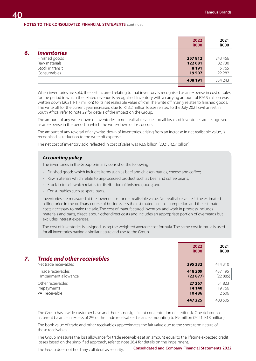|                    | 2022<br><b>ROOO</b> | 2021<br><b>R000</b> |
|--------------------|---------------------|---------------------|
| <b>Inventories</b> |                     |                     |
| Finished goods     | 257812              | 243 466             |
| Raw materials      | 122 681             | 82730               |
| Stock in transit   | 8 1 9 1             | 5765                |
| Consumables        | 19507               | 22 28 2             |
|                    | 408 191             | 354 243             |
|                    |                     |                     |

When inventories are sold, the cost incurred relating to that inventory is recognised as an expense in cost of sales, for the period in which the related revenue is recognised. Inventory with a carrying amount of R26.9 million was written down (2021: R1.7 million) to its net realisable value of Rnil. The write off mainly relates to finished goods. The write off for the current year increased due to R13.2 million losses related to the July 2021 civil unrest in South Africa, refer to note 29 for details of the impact on the Group.

The amount of any write-down of inventories to net realisable value and all losses of inventories are recognised as an expense in the period in which the write-down or loss occurs.

The amount of any reversal of any write-down of inventories, arising from an increase in net realisable value, is recognised as reduction to the write off expense.

The net cost of inventory sold reflected in cost of sales was R3.6 billion (2021: R2.7 billion).

## *Accounting policy*

The inventories in the Group primarily consist of the following:

- Finished goods which includes items such as beef and chicken patties, cheese and coffee;
- Raw materials which relate to unprocessed product such as beef and coffee beans;
- Stock in transit which relates to distribution of finished goods; and
- Consumables such as spare parts.

Inventories are measured at the lower of cost or net realisable value. Net realisable value is the estimated selling price in the ordinary course of business less the estimated costs of completion and the estimate costs necessary to make the sale. The cost of manufactured inventory and work in progress includes materials and parts, direct labour, other direct costs and includes an appropriate portion of overheads but excludes interest expenses.

The cost of inventories is assigned using the weighted average cost formula. The same cost formula is used for all inventories having a similar nature and use to the Group.

|                                                             | 2022<br><b>R000</b>       | 2021<br><b>R000</b>    |
|-------------------------------------------------------------|---------------------------|------------------------|
| <b>Trade and other receivables</b><br>Net trade receivables | 395332                    | 414 310                |
| Trade receivables<br>Impairment allowance                   | 418 209<br>(22877)        | 437 195<br>(22885)     |
| Other receivables<br>Prepayments<br>VAT receivable          | 27 267<br>14 140<br>10486 | 51823<br>19766<br>2606 |
|                                                             | 447 225                   | 488 505                |

The Group has a wide customer base and there is no significant concentration of credit risk. One debtor has a current balance in excess of 2% of the trade receivables balance amounting to R9 million (2021: R18 million).

The book value of trade and other receivables approximates the fair value due to the short-term nature of these receivables.

The Group measures the loss allowance for trade receivables at an amount equal to the lifetime expected credit losses based on the simplified approach, refer to note 26.4 for details on the impairment.

The Group does not hold any collateral as security.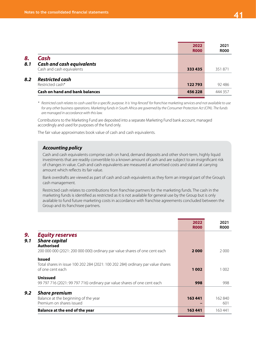|     |                                       | 2022<br><b>R000</b> | 2021<br><b>R000</b> |
|-----|---------------------------------------|---------------------|---------------------|
| 8.  | Cash                                  |                     |                     |
| 8.1 | <b>Cash and cash equivalents</b>      |                     |                     |
|     | Cash and cash equivalents             | 333 435             | 351871              |
| 8.2 | <b>Restricted cash</b>                |                     |                     |
|     | Restricted cash*                      | 122793              | 92 486              |
|     | <b>Cash on hand and bank balances</b> | 456228              | 444 357             |
|     |                                       |                     |                     |

*\* Restricted cash relates to cash used for a specific purpose. It is 'ring-fenced' for franchise marketing services and not available to use for any other business operations. Marketing funds in South Africa are governed by the Consumer Protection Act (CPA). The funds are managed in accordance with this law.* 

Contributions to the Marketing Fund are deposited into a separate Marketing Fund bank account, managed accordingly and used for purposes of the fund only.

The fair value approximates book value of cash and cash equivalents.

## *Accounting policy*

Cash and cash equivalents comprise cash on hand, demand deposits and other short-term, highly liquid investments that are readily convertible to a known amount of cash and are subject to an insignificant risk of changes in value. Cash and cash equivalents are measured at amortised costs and stated at carrying amount which reflects its fair value.

Bank overdrafts are viewed as part of cash and cash equivalents as they form an integral part of the Group's cash management.

Restricted cash relates to contributions from franchise partners for the marketing funds. The cash in the marketing funds is identified as restricted as it is not available for general use by the Group but is only available to fund future marketing costs in accordance with franchise agreements concluded between the Group and its franchisee partners.

|                                                                                                                                                   | 2022<br><b>R000</b> | 2021<br><b>R000</b> |
|---------------------------------------------------------------------------------------------------------------------------------------------------|---------------------|---------------------|
| <b>Equity reserves</b><br><b>Share capital</b><br><b>Authorised</b><br>200 000 000 (2021: 200 000 000) ordinary par value shares of one cent each | 2000                | 2000                |
| <b>Issued</b><br>Total shares in issue 100 202 284 (2021: 100 202 284) ordinary par value shares<br>of one cent each                              | 1002                | 1 0 0 2             |
| <b>Unissued</b><br>99 797 716 (2021: 99 797 716) ordinary par value shares of one cent each                                                       | 998                 | 998                 |
| 9.2<br><b>Share premium</b><br>Balance at the beginning of the year<br>Premium on shares issued                                                   | 163 441             | 162840<br>601       |
| <b>Balance at the end of the year</b>                                                                                                             | 163 441             | 163 441             |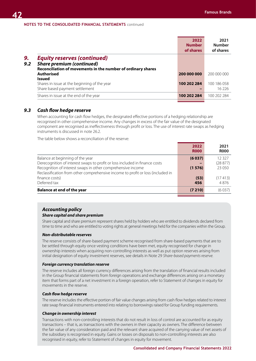|           |                                                                                                                                        | 2022<br><b>Number</b><br>of shares | 2021<br><b>Number</b><br>of shares |
|-----------|----------------------------------------------------------------------------------------------------------------------------------------|------------------------------------|------------------------------------|
| 9.<br>9.2 | <b>Equity reserves (continued)</b><br><b>Share premium (continued)</b><br>Reconciliation of movements in the number of ordinary shares |                                    |                                    |
|           | <b>Authorised</b><br><b>Issued</b>                                                                                                     | 200 000 000                        | 200 000 000                        |
|           | Shares in issue at the beginning of the year<br>Share based payment settlement                                                         | 100 202 284                        | 100 186 058<br>16 226              |
|           | Shares in issue at the end of the year                                                                                                 | 100 202 284                        | 100 202 284                        |

## *9.3 Cash flow hedge reserve*

When accounting for cash flow hedges, the designated effective portions of a hedging relationship are recognised in other comprehensive income. Any changes in excess of the fair value of the designated component are recognised as ineffectiveness through profit or loss. The use of interest rate swaps as hedging instruments is discussed in note 26.2.

The table below shows a reconciliation of the reserve:

|                                                                                 | 2022<br><b>R000</b> | 2021<br><b>R000</b> |
|---------------------------------------------------------------------------------|---------------------|---------------------|
| Balance at beginning of the year                                                | (6037)              | 12327               |
| Derecognition of interest swaps to profit or loss included in finance costs     |                     | (28877)             |
| Recognition of interest swaps in other comprehensive income                     | (1576)              | 23 050              |
| Reclassification from other comprehensive income to profit or loss (included in |                     |                     |
| finance costs)                                                                  | (53)                | (17413)             |
| Deferred tax                                                                    | 456                 | 4876                |
| <b>Balance at end of the year</b>                                               | (7210)              | (6037)              |
|                                                                                 |                     |                     |

### *Accounting policy Share capital and share premium*

Share capital and share premium represent shares held by holders who are entitled to dividends declared from time to time and who are entitled to voting rights at general meetings held for the companies within the Group.

### *Non-distributable reserves*

The reserve consists of share-based payment scheme recognised from share-based payments that are to be settled through equity once vesting conditions have been met, equity recognised for change in ownership interests when acquiring non-controlling interests as well as put option reserves arising from initial designation of equity investment reserves, see details in Note 29 *Share-based payments reserve.*

### *Foreign currency translation reserve*

The reserve includes all foreign currency differences arising from the translation of financial results included in the Group financial statements from foreign operations and exchange differences arising on a monetary item that forms part of a net investment in a foreign operation, refer to Statement of changes in equity for movements in the reserve.

### *Cash flow hedge reserve*

The reserve includes the effective portion of fair value changes arising from cash flow hedges related to interest rate swap financial instruments entered into relating to borrowings raised for Group funding requirements.

#### *Change in ownership interest*

Transactions with non-controlling interests that do not result in loss of control are accounted for as equity transactions – that is, as transactions with the owners in their capacity as owners. The difference between the fair value of any consideration paid and the relevant share acquired of the carrying value of net assets of the subsidiary is recognised in equity. Gains or losses on disposals to non-controlling interests are also recognised in equity, refer to Statement of changes in equity for movement.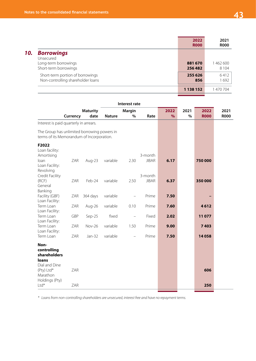|     |                                                                                 | 2022<br><b>R000</b> | 2021<br><b>R000</b> |
|-----|---------------------------------------------------------------------------------|---------------------|---------------------|
| 10. | <b>Borrowings</b><br>Unsecured<br>Long-term borrowings<br>Short-term borrowings | 881 670<br>256482   | 1462600<br>8 1 0 4  |
|     | Short-term portion of borrowings<br>Non-controlling shareholder loans           | 255 626<br>856      | 6412<br>1692        |
|     |                                                                                 | 1 138 152           | 1 470 704           |

|                                                                                          |          |                         |               | Interest rate            |                         |                       |           |                     |                     |
|------------------------------------------------------------------------------------------|----------|-------------------------|---------------|--------------------------|-------------------------|-----------------------|-----------|---------------------|---------------------|
|                                                                                          | Currency | <b>Maturity</b><br>date | <b>Nature</b> | <b>Margin</b><br>$\%$    | Rate                    | 2022<br>$\frac{9}{6}$ | 2021<br>% | 2022<br><b>R000</b> | 2021<br><b>R000</b> |
| Interest is paid quarterly in arrears.                                                   |          |                         |               |                          |                         |                       |           |                     |                     |
| The Group has unlimited borrowing powers in<br>terms of its Memorandum of Incorporation. |          |                         |               |                          |                         |                       |           |                     |                     |
| F2022<br>Loan facility:<br>Amortising<br>loan<br>Loan Facility:                          | ZAR      | Aug-23                  | variable      | 2.30                     | 3-month<br><b>JIBAR</b> | 6.17                  |           | 750 000             |                     |
| Revolving<br>Credit Facility<br>(RCF)<br>General<br>Banking                              | ZAR      | Feb-24                  | variable      | 2.50                     | 3-month<br><b>JIBAR</b> | 6.37                  |           | 350000              |                     |
| Facility (GBF)                                                                           | ZAR      | 364 days                | variable      |                          | Prime                   | 7.50                  |           |                     |                     |
| Loan Facility:<br>Term Loan                                                              | ZAR      | Aug-26                  | variable      | 0.10                     | Prime                   | 7.60                  |           | 4612                |                     |
| Loan Facility:<br>Term Loan                                                              | GBP      | Sep-25                  | fixed         | $\overline{\phantom{0}}$ | Fixed                   | 2.02                  |           | 11077               |                     |
| Loan Facility:<br>Term Loan<br>Loan Facility:                                            | ZAR      | Nov-26                  | variable      | 1.50                     | Prime                   | 9.00                  |           | 7403                |                     |
| Term Loan                                                                                | ZAR      | Jan-32                  | variable      |                          | Prime                   | 7.50                  |           | 14058               |                     |
| Non-<br>controlling<br>shareholders<br>loans<br>Dial and Dine<br>(Pty) Ltd*              | ZAR      |                         |               |                          |                         |                       |           | 606                 |                     |
| Marathon<br>Holdings (Pty)<br>Ltd*                                                       | ZAR      |                         |               |                          |                         |                       |           | 250                 |                     |

*\* Loans from non-controlling shareholders are unsecured, interest free and have no repayment terms.*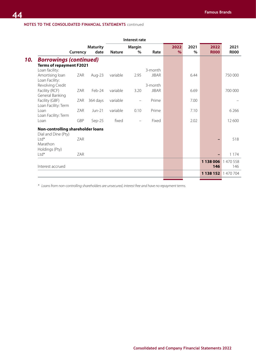|                                       |            |                         |               | Interest rate                     |              |                       |              |                     |                     |
|---------------------------------------|------------|-------------------------|---------------|-----------------------------------|--------------|-----------------------|--------------|---------------------|---------------------|
|                                       | Currency   | <b>Maturity</b><br>date | <b>Nature</b> | <b>Margin</b><br>%                | Rate         | 2022<br>$\frac{9}{6}$ | 2021<br>$\%$ | 2022<br><b>R000</b> | 2021<br><b>R000</b> |
| <b>Borrowings (continued)</b>         |            |                         |               |                                   |              |                       |              |                     |                     |
| <b>Terms of repayment F2021</b>       |            |                         |               |                                   |              |                       |              |                     |                     |
| Loan facility:                        |            |                         |               |                                   | 3-month      |                       |              |                     |                     |
| Amortising loan<br>Loan Facility:     | ZAR        | Aug-23                  | variable      | 2.95                              | <b>JIBAR</b> |                       | 6.44         |                     | 750 000             |
| Revolving Credit                      |            |                         |               |                                   | 3-month      |                       |              |                     |                     |
| Facility (RCF)<br>General Banking     | ZAR        | Feb-24                  | variable      | 3.20                              | <b>JIBAR</b> |                       | 6.69         |                     | 700 000             |
| Facility (GBF)<br>Loan Facility: Term | ZAR        | 364 days                | variable      | $\overbrace{\phantom{123221111}}$ | Prime        |                       | 7.00         |                     |                     |
| Loan<br>Loan Facility: Term           | <b>ZAR</b> | Jun-21                  | variable      | 0.10                              | Prime        |                       | 7.10         |                     | 6 2 6 6             |
| Loan                                  | GBP        | Sep-25                  | fixed         |                                   | Fixed        |                       | 2.02         |                     | 12600               |
| Non-controlling shareholder loans     |            |                         |               |                                   |              |                       |              |                     |                     |
| Dial and Dine (Pty)                   |            |                         |               |                                   |              |                       |              |                     |                     |
| $Ltd*$<br>Marathon<br>Holdings (Pty)  | ZAR        |                         |               |                                   |              |                       |              |                     | 518                 |
| $Ltd*$                                | ZAR        |                         |               |                                   |              |                       |              |                     | 1 1 7 4             |
|                                       |            |                         |               |                                   |              |                       |              |                     |                     |
| Interest accrued                      |            |                         |               |                                   |              |                       |              | 1 138 006<br>146    | 1470558<br>146      |
|                                       |            |                         |               |                                   |              |                       |              | 1 138 152 1 470 704 |                     |
|                                       |            |                         |               |                                   |              |                       |              |                     |                     |

*\* Loans from non-controlling shareholders are unsecured, interest free and have no repayment terms.*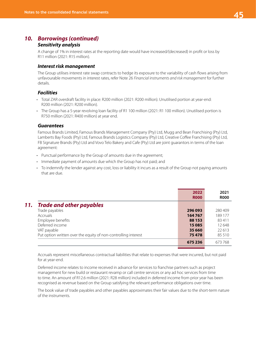# *10. Borrowings (continued)*

## *Sensitivity analysis*

A change of 1% in interest rates at the reporting date would have increased/(decreased) in profit or loss by R11 million (2021: R15 million).

### *Interest risk management*

The Group utilises interest rate swap contracts to hedge its exposure to the variability of cash flows arising from unfavourable movements in interest rates, refer Note 26 *Financial instruments and risk management* for further details.

## *Facilities*

- Total ZAR overdraft facility in place: R200 million (2021: R200 million). Unutilised portion at year-end: R200 million (2021: R200 million).
- The Group has a 5-year revolving loan facility of R1 100 million (2021: R1 100 million). Unutilised portion is R750 million (2021: R400 million) at year end.

### *Guarantees*

Famous Brands Limited, Famous Brands Management Company (Pty) Ltd, Mugg and Bean Franchising (Pty) Ltd, Lamberts Bay Foods (Pty) Ltd, Famous Brands Logistics Company (Pty) Ltd, Creative Coffee Franchising (Pty) Ltd, FB Signature Brands (Pty) Ltd and Vovo Telo Bakery and Cafe (Pty) Ltd are joint guarantors in terms of the loan agreement:

- Punctual performance by the Group of amounts due in the agreement;
- Immediate payment of amounts due which the Group has not paid; and
- To indemnify the lender against any cost, loss or liability it incurs as a result of the Group not paying amounts that are due.

|     |                                                                | 2022<br><b>R000</b> | 2021<br><b>R000</b> |
|-----|----------------------------------------------------------------|---------------------|---------------------|
| 11. | <b>Trade and other payables</b>                                |                     |                     |
|     | Trade payables                                                 | 296 093             | 280409              |
|     | <b>Accruals</b>                                                | 164767              | 189 177             |
|     | Employee benefits                                              | 88 1 53             | 83411               |
|     | Deferred income                                                | 15085               | 12648               |
|     | VAT payable                                                    | 35 6 60             | 22 613              |
|     | Put option written over the equity of non-controlling interest | 75478               | 85 510              |
|     |                                                                | 675236              | 673768              |

Accruals represent miscellaneous contractual liabilities that relate to expenses that were incurred, but not paid for at year-end.

Deferred income relates to income received in advance for services to franchise partners such as project management for new build or restaurant revamp or call centre services or any ad hoc services from time to time. An amount of R12.6 million (2021: R28 million) included in deferred income from prior year has been recognised as revenue based on the Group satisfying the relevant performance obligations over time.

The book value of trade payables and other payables approximates their fair values due to the short-term nature of the instruments.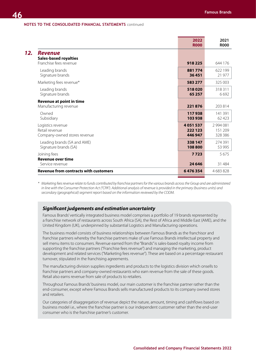|                                                                          | 2022<br><b>R000</b> | 2021<br><b>R000</b> |
|--------------------------------------------------------------------------|---------------------|---------------------|
| <b>Revenue</b><br><b>Sales-based royalties</b><br>Franchise fees revenue | 918 225             | 644 176             |
| Leading brands                                                           | 881774              | 622 199             |
| Signature brands                                                         | 36451               | 21 977              |
| Marketing fees revenue*                                                  | 583 277             | 325 003             |
| Leading brands                                                           | 518020              | 318311              |
| Signature brands                                                         | 65 257              | 6692                |
| <b>Revenue at point in time</b><br>Manufacturing revenue                 | 221876              | 203 814             |
| Owned                                                                    | 117938              | 141 391             |
| Subsidiary                                                               | 103938              | 62 4 23             |
| Logistics revenue                                                        | 4 0 5 1 5 3 7       | 2 994 081           |
| Retail revenue                                                           | 222 123             | 151 209             |
| Company-owned stores revenue                                             | 446 947             | 328 386             |
| Leading brands (SA and AME)                                              | 338 147             | 274 391             |
| Signature brands (SA)                                                    | 108800              | 53 995              |
| Joining fees<br><b>Revenue over time</b>                                 | 7723                | 5675                |
| Service revenue                                                          | 24 6 4 6            | 31 4 8 4            |
| Revenue from contracts with customers                                    | 6476354             | 4 683 828           |
|                                                                          |                     |                     |

*\* Marketing fees revenue relate to funds contributed by franchise partners for the various brands across the Group and are administered in line with the Consumer Protection Act ("CPA"). Additional analysis of revenue is provided in the primary (business units) and secondary (geographical) segment report based on the information reviewed by the CODM.*

### *Significant judgements and estimation uncertainty*

Famous Brands' vertically integrated business model comprises a portfolio of 19 brands represented by a franchise network of restaurants across South Africa (SA), the Rest of Africa and Middle East (AME), and the United Kingdom (UK), underpinned by substantial Logistics and Manufacturing operations.

The business model consists of business relationships between Famous Brands as the franchisor and franchise partners whereby the franchise partners make of use Famous Brands intellectual property and sell menu items to consumers. Revenue earned from the "Brands" is sales-based royalty income from supporting the franchise partners ("Franchise fees revenue") and managing the marketing, product development and related services ("Marketing fees revenue"). These are based on a percentage restaurant turnover, stipulated in the franchising agreements.

The manufacturing division supplies ingredients and products to the logistics division which onsells to franchise partners and company-owned restaurants who earn revenue from the sale of these goods. Retail also earns revenue from sale of products to retailers.

Throughout Famous Brands' business model, our main customer is the franchise partner rather than the end-consumer, except where Famous Brands sells manufactured products to its company owned stores and retailers.

Our categories of disaggregation of revenue depict the nature, amount, timing and cashflows based on business model i.e., where the franchise partner is our independent customer rather than the end-user consumer who is the franchise partner's customer.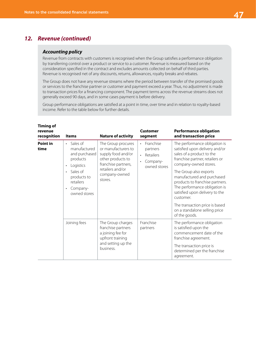# *12. Revenue (continued)*

### *Accounting policy*

Revenue from contracts with customers is recognised when the Group satisfies a performance obligation by transferring control over a product or service to a customer. Revenue is measured based on the consideration specified in the contract and excludes amounts collected on behalf of third parties. Revenue is recognised net of any discounts, returns, allowances, royalty breaks and rebates.

The Group does not have any revenue streams where the period between transfer of the promised goods or services to the franchise partner or customer and payment exceed a year. Thus, no adjustment is made to transaction prices for a financing component. The payment terms across the revenue streams does not generally exceed 90 days, and in some cases payment is before delivery.

Group performance obligations are satisfied at a point in time, over time and in relation to royalty-based income. Refer to the table below for further details.

| <b>Timing of</b><br>revenue<br>recognition | <b>Items</b>                                                                                                                                                                       | <b>Nature of activity</b>                                                                                                                                   | Customer<br>segment                                                                                 | <b>Performance obligation</b><br>and transaction price                                                                                                                                                                                                                                                                                                                                                                  |
|--------------------------------------------|------------------------------------------------------------------------------------------------------------------------------------------------------------------------------------|-------------------------------------------------------------------------------------------------------------------------------------------------------------|-----------------------------------------------------------------------------------------------------|-------------------------------------------------------------------------------------------------------------------------------------------------------------------------------------------------------------------------------------------------------------------------------------------------------------------------------------------------------------------------------------------------------------------------|
| <b>Point in</b><br>time                    | Sales of<br>$\bullet$<br>manufactured<br>and purchased<br>products<br>Logistics<br>٠<br>Sales of<br>$\bullet$<br>products to<br>retailers<br>Company-<br>$\bullet$<br>owned stores | The Group procures<br>or manufacturers to<br>supply food and/or<br>other products to<br>franchise partners,<br>retailers and/or<br>company-owned<br>stores. | Franchise<br>$\ddot{\phantom{0}}$<br>partners<br>Retailers<br>Company-<br>$\bullet$<br>owned stores | The performance obligation is<br>satisfied upon delivery and/or<br>sales of a product to the<br>franchise partner, retailers or<br>company-owned stores.<br>The Group also exports<br>manufactured and purchased<br>products to franchise partners.<br>The performance obligation is<br>satisfied upon delivery to the<br>customer.<br>The transaction price is based<br>on a standalone selling price<br>of the goods. |
|                                            | Joining fees                                                                                                                                                                       | The Group charges<br>franchise partners<br>a joining fee for<br>upfront training<br>and setting up the<br>business.                                         | Franchise<br>partners                                                                               | The performance obligation<br>is satisfied upon the<br>commencement date of the<br>franchise agreement.<br>The transaction price is<br>determined per the franchise<br>agreement.                                                                                                                                                                                                                                       |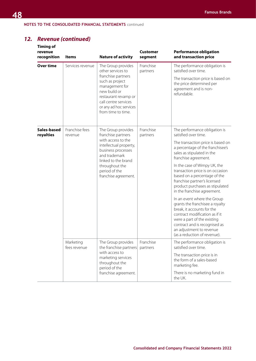# *12. Revenue (continued)*

| <b>Timing of</b><br>revenue<br>recognition | <b>Items</b>              | <b>Nature of activity</b>                                                                                                                                               | <b>Customer</b><br>segment | <b>Performance obligation</b><br>and transaction price                                                                                                                                                                                                     |  |  |
|--------------------------------------------|---------------------------|-------------------------------------------------------------------------------------------------------------------------------------------------------------------------|----------------------------|------------------------------------------------------------------------------------------------------------------------------------------------------------------------------------------------------------------------------------------------------------|--|--|
| <b>Over time</b>                           | Services revenue          | The Group provides<br>other services to                                                                                                                                 | Franchise<br>partners      | The performance obligation is<br>satisfied over time.                                                                                                                                                                                                      |  |  |
|                                            |                           | franchise partners<br>such as project<br>management for<br>new build or<br>restaurant revamp or<br>call centre services<br>or any ad hoc services<br>from time to time. |                            | The transaction price is based on<br>the price determined per<br>agreement and is non-<br>refundable.                                                                                                                                                      |  |  |
| Sales-based<br>royalties                   | Franchise fees<br>revenue | The Group provides<br>franchise partners<br>with access to the                                                                                                          | Franchise<br>partners      | The performance obligation is<br>satisfied over time.                                                                                                                                                                                                      |  |  |
|                                            |                           | intellectual property,<br>business processes<br>and trademark<br>linked to the brand                                                                                    |                            | The transaction price is based on<br>a percentage of the franchisee's<br>sales as stipulated in the<br>franchise agreement.                                                                                                                                |  |  |
|                                            |                           | throughout the<br>period of the<br>franchise agreement.                                                                                                                 |                            | In the case of Wimpy UK, the<br>transaction price is on occasion<br>based on a percentage of the<br>franchise partner's licensed<br>product purchases as stipulated<br>in the franchise agreement.                                                         |  |  |
|                                            |                           |                                                                                                                                                                         |                            | In an event where the Group<br>grants the franchisee a royalty<br>break, it accounts for the<br>contract modification as if it<br>were a part of the existing<br>contract and is recognised as<br>an adjustment to revenue<br>(as a reduction of revenue). |  |  |
|                                            | Marketing<br>fees revenue | The Group provides<br>the franchise partners                                                                                                                            | Franchise<br>partners      | The performance obligation is<br>satisfied over time.                                                                                                                                                                                                      |  |  |
|                                            |                           | with access to<br>marketing services<br>throughout the<br>period of the                                                                                                 |                            | The transaction price is in<br>the form of a sales-based<br>marketing fee.                                                                                                                                                                                 |  |  |
|                                            |                           | franchise agreement.                                                                                                                                                    |                            | There is no marketing fund in<br>the UK.                                                                                                                                                                                                                   |  |  |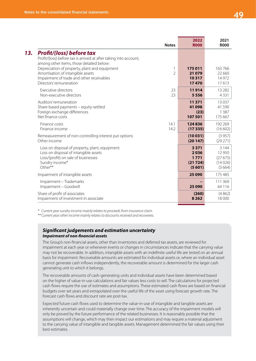|                                                                                                                                                            | <b>Notes</b>        | 2022<br><b>R000</b>                | 2021<br><b>R000</b>                   |
|------------------------------------------------------------------------------------------------------------------------------------------------------------|---------------------|------------------------------------|---------------------------------------|
| <b>Profit/(loss) before tax</b><br>Profit/(loss) before tax is arrived at after taking into account,<br>among other items, those detailed below:           |                     |                                    |                                       |
| Depreciation of property, plant and equipment<br>Amortisation of intangible assets<br>Impairment of trade and other receivables<br>Directors' remuneration | 1<br>$\overline{2}$ | 175 011<br>21079<br>10317<br>17470 | 163766<br>22 6 6 0<br>14 972<br>17613 |
| Executive directors                                                                                                                                        | 23                  | 11914                              | 13 2 8 2                              |
| Non-executive directors                                                                                                                                    | 23                  | 5556                               | 4331                                  |
| Auditors' remuneration                                                                                                                                     |                     | 11371                              | 13 0 37                               |
| Share-based payments - equity-settled                                                                                                                      |                     | 41 098                             | 41 590                                |
| Foreign exchange differences                                                                                                                               |                     | (23)                               | 1 3 8 7                               |
| Net finance costs                                                                                                                                          |                     | 107501                             | 175 667                               |
| Finance costs                                                                                                                                              | 14.1                | 124836                             | 192 269                               |
| Finance income                                                                                                                                             | 14.2                | (17335)                            | (16602)                               |
| Remeasurement of non-controlling interest put options                                                                                                      |                     | (10031)                            | (3957)                                |
| Other income                                                                                                                                               |                     | (20147)                            | (29 271)                              |
| Loss on disposal of property, plant, equipment                                                                                                             |                     | 3 3 7 1                            | 3 1 4 4                               |
| Loss on disposal of intangible assets                                                                                                                      |                     | 2036                               | 12 950                                |
| Loss/(profit) on sale of businesses                                                                                                                        |                     | 1771                               | (27675)                               |
| Sundry income*                                                                                                                                             |                     | (21724)                            | (14026)                               |
| Other**                                                                                                                                                    |                     | (5601)                             | (3664)                                |
| Impairment of intangible assets                                                                                                                            |                     | 25 0 90                            | 175 485                               |
| Impairment - Trademarks<br>Impairment - Goodwill                                                                                                           |                     | 25 0 90                            | 111 369<br>64 1 1 6                   |
| Share of profit of associates                                                                                                                              |                     | (260)                              | (4862)                                |
| Impairment of investment in associate                                                                                                                      |                     | 8 2 6 2                            | 18 000                                |
|                                                                                                                                                            |                     |                                    |                                       |

*\* Current year sundry income mainly relates to proceeds from insurance claim.*

*\*\* Current year other income mainly relates to discounts received and recoveries.*

## *Significant judgements and estimation uncertainty Impairment of non-financial assets*

The Group's non-financial assets, other than inventories and deferred tax assets, are reviewed for impairment at each year or whenever events or changes in circumstances indicate that the carrying value may not be recoverable. In addition, intangible assets with an indefinite useful life are tested on an annual basis for impairment. Recoverable amounts are estimated for individual assets or, where an individual asset cannot generate cash inflows independently, the recoverable amount is determined for the larger cash generating unit to which it belongs.

The recoverable amounts of cash-generating units and individual assets have been determined based on the higher of value-in-use calculations and fair values less costs to sell. The calculations for projected cash flows require the use of estimates and assumptions. These estimated cash flows are based on financial budgets over set years and extrapolated over the useful life of the asset using forecast growth rate. The forecast cash flows and discount rate are post-tax.

Expected future cash flows used to determine the value-in-use of intangible and tangible assets are inherently uncertain and could materially change over time. The accuracy of the impairment models will only be proved by the future performance of the related businesses. It is reasonably possible that the assumptions will change, which may then impact our estimations and may require a material adjustment to the carrying value of intangible and tangible assets. Management determined the fair values using their best estimates.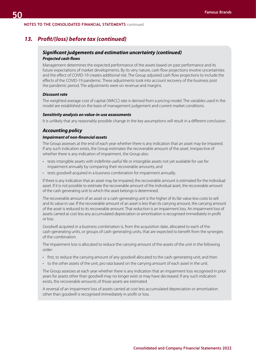## *13. Profit/(loss) before tax (continued)*

### *Significant judgements and estimation uncertainty (continued) Projected cash flows*

Management determines the expected performance of the assets based on past performance and its future expectations of market developments. By its very nature, cash flow projections involve uncertainties and the effect of COVID-19 creates additional risk. The Group adjusted cash flow projections to include the effects of the COVID-19 pandemic. These adjustments took into account recovery of the business post the pandemic period. The adjustments were on revenue and margins.

#### *Discount rate*

The weighted average cost of capital (WACC) rate is derived from a pricing model. The variables used in the model are established on the basis of management judgement and current market conditions.

### *Sensitivity analysis on value-in-use assessments*

It is unlikely that any reasonably possible change in the key assumptions will result in a different conclusion.

### *Accounting policy*

#### *Impairment of non-financial assets*

The Group assesses at the end of each year whether there is any indication that an asset may be impaired. If any such indication exists, the Group estimates the recoverable amount of the asset. Irrespective of whether there is any indication of impairment, the Group also:

- tests intangible assets with indefinite useful life or intangible assets not yet available for use for impairment annually by comparing their recoverable amounts; and
- tests goodwill acquired in a business combination for impairment annually.

If there is any indication that an asset may be impaired, the recoverable amount is estimated for the individual asset. If it is not possible to estimate the recoverable amount of the individual asset, the recoverable amount of the cash generating unit to which the asset belongs is determined.

The recoverable amount of an asset or a cash-generating unit is the higher of its fair value less costs to sell and its value in use. If the recoverable amount of an asset is less than its carrying amount, the carrying amount of the asset is reduced to its recoverable amount. That reduction is an impairment loss. An impairment loss of assets carried at cost less any accumulated depreciation or amortisation is recognised immediately in profit or loss.

Goodwill acquired in a business combination is, from the acquisition date, allocated to each of the cash-generating units, or groups of cash-generating units, that are expected to benefit from the synergies of the combination.

The impairment loss is allocated to reduce the carrying amount of the assets of the unit in the following order:

- first, to reduce the carrying amount of any goodwill allocated to the cash-generating unit; and then
- to the other assets of the unit, pro rata based on the carrying amount of each asset in the unit.

The Group assesses at each year whether there is any indication that an impairment loss recognised in prior years for assets other than goodwill may no longer exist or may have decreased. If any such indication exists, the recoverable amounts of those assets are estimated.

A reversal of an impairment loss of assets carried at cost less accumulated depreciation or amortisation other than goodwill is recognised immediately in profit or loss.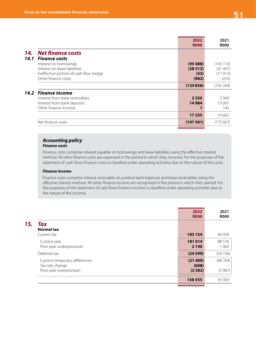|             |                                                                                                                          | 2022<br><b>R000</b>                 | 2021<br><b>R000</b>                     |
|-------------|--------------------------------------------------------------------------------------------------------------------------|-------------------------------------|-----------------------------------------|
| 14.<br>14.1 | <b>Net finance costs</b><br><b>Finance costs</b>                                                                         |                                     |                                         |
|             | Interest on borrowings<br>Interest on lease liabilities<br>Ineffective portion of cash flow hedge<br>Other finance costs | (95488)<br>(28313)<br>(53)<br>(982) | (143110)<br>(31491)<br>(17413)<br>(255) |
|             |                                                                                                                          | (124836)                            | (192269)                                |
|             | 14.2 Finance income<br>Interest from lease receivables<br>Interest from bank deposits<br>Other finance income            | 2 3 5 0<br>14984                    | 3 3 6 0<br>13097<br>145                 |
|             |                                                                                                                          | 17335                               | 16 602                                  |
|             | Net finance costs                                                                                                        | (107501)                            | (175667)                                |
|             |                                                                                                                          |                                     |                                         |

# *Accounting policy*

### *Finance costs*

Finance costs comprise interest payable on borrowings and lease liabilities using the effective interest method. All other finance costs are expensed in the period in which they incurred. For the purposes of the statement of cash flows finance costs is classified under operating activities due to the nature of the costs.

### *Finance income*

Finance costs comprise interest receivable on positive bank balances and lease receivables using the effective interest method. All other finance income are recognised in the period in which they earned. For the purposes of the statement of cash flows finance income is classified under operating activities due to the nature of the income.

|     |                                                                              | 2022<br><b>R000</b>        | 2021<br><b>R000</b> |
|-----|------------------------------------------------------------------------------|----------------------------|---------------------|
| 15. | <b>Tax</b><br><b>Normal tax</b><br>Current tax                               | 183 154                    | 90 0 39             |
|     | Current year<br>Prior year underprovision                                    | 181014<br>2 1 4 0          | 88 5 7 6<br>1463    |
|     | Deferred tax                                                                 | (24599)                    | (54736)             |
|     | Current temporary differences<br>Tax rate change<br>Prior year overprovision | (21409)<br>(608)<br>(2582) | (48769)<br>(5967)   |
|     |                                                                              | 158 555                    | 35 30 3             |
|     |                                                                              |                            |                     |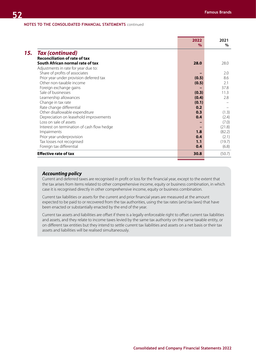|                                            | $\%$  | $\%$   |
|--------------------------------------------|-------|--------|
| <b>Tax (continued)</b>                     |       |        |
| <b>Reconciliation of rate of tax</b>       |       |        |
| South African normal rate of tax           | 28.0  | 28.0   |
| Adjustments in rate for year due to:       |       |        |
| Share of profits of associates             |       | 2.0    |
| Prior year under provision deferred tax    | (0.5) | 8.6    |
| Other non-taxable income                   | (0.5) | 2.1    |
| Foreign exchange gains                     |       | 37.8   |
| Sale of businesses                         | (0.3) | 11.3   |
| Learnership allowances                     | (0.4) | 2.8    |
| Change in tax rate                         | (0.1) |        |
| Rate change differential                   | 0.2   |        |
| Other disallowable expenditure             | 0.3   | (1.3)  |
| Depreciation on leasehold improvements     | 0.4   | (2.4)  |
| Loss on sale of assets                     |       | (7.0)  |
| Interest on termination of cash flow hedge |       | (21.8) |
| Impairments                                | 1.8   | (82.2) |
| Prior year underprovision                  | 0.4   | (2.1)  |
| Tax losses not recognised                  | 1.1   | (19.7) |
| Foreign tax differential                   | 0.4   | (6.8)  |
| <b>Effective rate of tax</b>               | 30.8  | (50.7) |

### *Accounting policy*

Current and deferred taxes are recognised in profit or loss for the financial year, except to the extent that the tax arises from items related to other comprehensive income, equity or business combination, in which case it is recognised directly in other comprehensive income, equity or business combination.

Current tax liabilities or assets for the current and prior financial years are measured at the amount expected to be paid to or recovered from the tax authorities, using the tax rates (and tax laws) that have been enacted or substantially enacted by the end of the year.

Current tax assets and liabilities are offset if there is a legally enforceable right to offset current tax liabilities and assets, and they relate to income taxes levied by the same tax authority on the same taxable entity, or on different tax entities but they intend to settle current tax liabilities and assets on a net basis or their tax assets and liabilities will be realised simultaneously.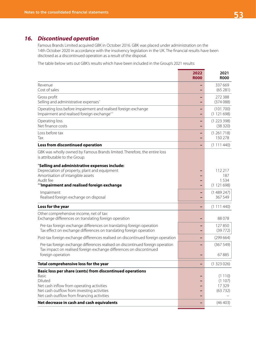# *16. Discontinued operation*

Famous Brands Limited acquired GBK in October 2016. GBK was placed under administration on the 14th October 2020 in accordance with the insolvency legislation in the UK. The financial results have been disclosed as a discontinued operation as a result of the disposal.

The table below sets out GBK's results which have been included in the Group's 2021 results:

|                                                                                                                                                                                                                        | 2022<br><b>R000</b> | 2021<br><b>R000</b>                  |
|------------------------------------------------------------------------------------------------------------------------------------------------------------------------------------------------------------------------|---------------------|--------------------------------------|
| Revenue<br>Cost of sales                                                                                                                                                                                               |                     | 337 669<br>(65281)                   |
| Gross profit<br>Selling and administrative expenses <sup>^</sup>                                                                                                                                                       |                     | 272 388<br>(374088)                  |
| Operating loss before impairment and realised foreign exchange<br>Impairment and realised foreign exchange <sup>^^</sup>                                                                                               |                     | (101700)<br>(1121698)                |
| Operating loss<br>Net finance costs                                                                                                                                                                                    |                     | (1223398)<br>(38320)                 |
| Loss before tax<br>Tax                                                                                                                                                                                                 |                     | (1261718)<br>150 278                 |
| Loss from discontinued operation                                                                                                                                                                                       |                     | (1111440)                            |
| GBK was wholly owned by Famous Brands limited. Therefore, the entire loss<br>is attributable to the Group.                                                                                                             |                     |                                      |
| <b>'Selling and administrative expenses include:</b><br>Depreciation of property, plant and equipment<br>Amortisation of intangible assets<br>Audit fee<br>"Impairment and realised foreign exchange                   |                     | 112 217<br>187<br>1534<br>(1121698)  |
| Impairment<br>Realised foreign exchange on disposal                                                                                                                                                                    |                     | (1489247)<br>367 549                 |
| Loss for the year                                                                                                                                                                                                      |                     | (1111440)                            |
| Other comprehensive income, net of tax:<br>Exchange differences on translating foreign operation                                                                                                                       |                     | 88078                                |
| Pre-tax foreign exchange differences on translating foreign operation<br>Tax effect on exchange differences on translating foreign operation                                                                           |                     | 127850<br>(39772)                    |
| Post-tax foreign exchange differences realised on discontinued foreign operation                                                                                                                                       |                     | (299664)                             |
| Pre-tax foreign exchange differences realised on discontinued foreign operation<br>Tax impact on realised foreign exchange differences on discontinued                                                                 |                     | (367549)                             |
| foreign operation                                                                                                                                                                                                      |                     | 67885                                |
| Total comprehensive loss for the year                                                                                                                                                                                  |                     | (1323026)                            |
| Basic loss per share (cents) from discontinued operations<br>Basic<br>Diluted<br>Net cash inflow from operating activities<br>Net cash outflow from investing activities<br>Net cash outflow from financing activities |                     | (1110)<br>(1107)<br>17329<br>(63732) |
| Net decrease in cash and cash equivalents                                                                                                                                                                              |                     | (46 403)                             |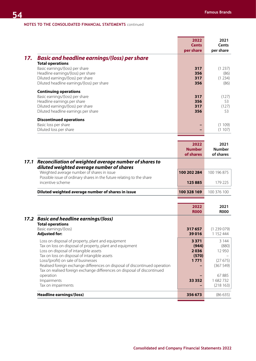|     |                                                                                                                                                                                                                                            | 2022<br><b>Cents</b><br>per share | 2021<br><b>Cents</b><br>per share  |
|-----|--------------------------------------------------------------------------------------------------------------------------------------------------------------------------------------------------------------------------------------------|-----------------------------------|------------------------------------|
| 17. | <b>Basic and headline earnings/(loss) per share</b><br><b>Total operations</b><br>Basic earnings/(loss) per share<br>Headline earnings/(loss) per share<br>Diluted earnings/(loss) per share<br>Diluted headline earnings/(loss) per share | 317<br>356<br>317<br>356          | (1 237)<br>(86)<br>(1 234)<br>(86) |
|     | <b>Continuing operations</b><br>Basic earnings/(loss) per share<br>Headline earnings per share<br>Diluted earnings/(loss) per share<br>Diluted headline earnings per share                                                                 | 317<br>356<br>317<br>356          | (127)<br>53<br>(127)<br>53         |
|     | <b>Discontinued operations</b><br>Basic loss per share<br>Diluted loss per share                                                                                                                                                           |                                   | 109)<br>(1)<br>(1107)              |
|     |                                                                                                                                                                                                                                            | วกวว                              | วกว1                               |

|      |                                                                                                                     | 2022<br><b>Number</b><br>of shares | 2021<br><b>Number</b><br>of shares |
|------|---------------------------------------------------------------------------------------------------------------------|------------------------------------|------------------------------------|
| 17.1 | Reconciliation of weighted average number of shares to<br>diluted weighted average number of shares                 |                                    |                                    |
|      | Weighted average number of shares in issue<br>Possible issue of ordinary shares in the future relating to the share | 100 202 284                        | 100 196 875                        |
|      | incentive scheme                                                                                                    | 125885                             | 179 225                            |
|      | Diluted weighted average number of shares in issue                                                                  | 100 328 169                        | 100 376 100                        |
|      |                                                                                                                     |                                    |                                    |

|                                                                                                                                                                    | 2022<br><b>ROOO</b>      | 2021<br><b>R000</b>          |
|--------------------------------------------------------------------------------------------------------------------------------------------------------------------|--------------------------|------------------------------|
| 17.2 Basic and headline earnings/(loss)<br><b>Total operations</b>                                                                                                 |                          |                              |
| Basic earnings/(loss)<br><b>Adjusted for:</b>                                                                                                                      | 317 657<br>39 0 16       | (1239079)<br>1 152 444       |
| Loss on disposal of property, plant and equipment<br>Tax on loss on disposal of property, plant and equipment<br>Loss on disposal of intangible assets             | 3 3 7 1<br>(944)<br>2036 | 3 144<br>(880)<br>12 950     |
| Tax on loss on disposal of intangible assets<br>Loss/(profit) on sale of businesses<br>Realised foreign exchange differences on disposal of discontinued operation | (570)<br>1771            | (27675)<br>(367549)          |
| Tax on realised foreign exchange differences on disposal of discontinued<br>operation<br>Impairments<br>Tax on impairments                                         | 33 352                   | 67885<br>1682732<br>(218163) |
| <b>Headline earnings/(loss)</b>                                                                                                                                    | 356 673                  | (86635)                      |
|                                                                                                                                                                    |                          |                              |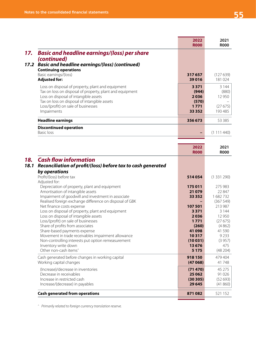|                                                                                                                                                                                                        | 2022<br><b>ROOO</b>               | 2021<br><b>ROOO</b>        |
|--------------------------------------------------------------------------------------------------------------------------------------------------------------------------------------------------------|-----------------------------------|----------------------------|
| <b>Basic and headline earnings/(loss) per share</b><br>17.<br>(continued)                                                                                                                              |                                   |                            |
| <b>Basic and headline earnings/(loss) (continued)</b><br>17.2<br><b>Continuing operations</b>                                                                                                          |                                   |                            |
| Basic earnings/(loss)<br><b>Adjusted for:</b>                                                                                                                                                          | 317657<br>39016                   | (127639)<br>181024         |
| Loss on disposal of property, plant and equipment<br>Tax on loss on disposal of property, plant and equipment<br>Loss on disposal of intangible assets<br>Tax on loss on disposal of intangible assets | 3 3 7 1<br>(944)<br>2036<br>(570) | 3 1 4 4<br>(880)<br>12 950 |
| Loss/(profit) on sale of businesses<br>Impairments                                                                                                                                                     | 1 7 7 1<br>33 3 5 2               | (27675)<br>193 485         |
| <b>Headline earnings</b>                                                                                                                                                                               | 356 673                           | 53 385                     |
| <b>Discontinued operation</b><br>Basic loss                                                                                                                                                            |                                   | (1 111 440)                |
|                                                                                                                                                                                                        |                                   |                            |

|                                                                      | 2022<br><b>R000</b> | 2021<br><b>R000</b> |
|----------------------------------------------------------------------|---------------------|---------------------|
| <b>Cash flow information</b><br>18.                                  |                     |                     |
| Reconciliation of profit/(loss) before tax to cash generated<br>18.1 |                     |                     |
| by operations                                                        |                     |                     |
| Profit/(loss) before tax                                             | 514054              | (1331290)           |
| Adjusted for:                                                        |                     |                     |
| Depreciation of property, plant and equipment                        | 175 011             | 275 983             |
| Amortisation of intangible assets                                    | 21 0 79             | 22847               |
| Impairment of goodwill and investment in associate                   | 33 352              | 1682732             |
| Realised foreign exchange difference on disposal of GBK              |                     | (367549)            |
| Net finance costs expense                                            | 107 501             | 213 987             |
| Loss on disposal of property, plant and equipment                    | 3 3 7 1             | 3 1 4 4             |
| Loss on disposal of intangible assets                                | 2036                | 12 9 50             |
| Loss/(profit) on sale of businesses                                  | 1771                | (27675)             |
| Share of profits from associates                                     | (260)               | (4862)              |
| Share-based payments expense                                         | 41 098<br>10317     | 41 590<br>9 2 3 3   |
| Movement in trade receivables impairment allowance                   |                     |                     |
| Non-controlling interests put option remeasurement                   | (10031)<br>13676    | (3957)<br>475       |
| Inventory write down<br>Other non-cash items <sup>^</sup>            | 5 1 7 5             | (48204)             |
| Cash generated before changes in working capital                     | 918 150             | 479 404             |
| Working capital changes                                              | (47068)             | 41748               |
| (Increase)/decrease in inventories                                   | (71 470)            | 45 275              |
| Decrease in receivables                                              | 25 062              | 91 0 26             |
| Increase in restricted cash                                          | (30305)             | (52693)             |
| Increase/(decrease) in payables                                      | 29 645              | (41860)             |
| <b>Cash generated from operations</b>                                | 871082              | 521 152             |

*^ Primarily related to foreign currency translation reserve.*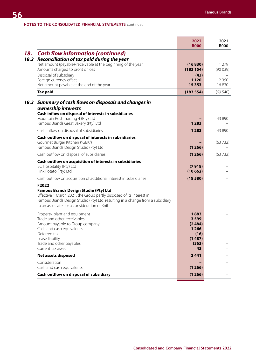|             |                                                                                                                                                                                                                                                                  | 2022<br><b>R000</b>                          | 2021<br><b>R000</b> |
|-------------|------------------------------------------------------------------------------------------------------------------------------------------------------------------------------------------------------------------------------------------------------------------|----------------------------------------------|---------------------|
| 18.<br>18.2 | <b>Cash flow information (continued)</b><br>Reconciliation of tax paid during the year                                                                                                                                                                           |                                              |                     |
|             | Net amount (payable)/receivable at the beginning of the year<br>Amounts charged to profit or loss                                                                                                                                                                | (16830)<br>(183154)                          | 1 2 7 9<br>(90039)  |
|             | Disposal of subsidiary<br>Foreign currency effect<br>Net amount payable at the end of the year                                                                                                                                                                   | (43)<br>1 1 2 0<br>15 3 5 3                  | 2 3 9 0<br>16830    |
|             | <b>Tax paid</b>                                                                                                                                                                                                                                                  | (183554)                                     | (69540)             |
| 18.3        | Summary of cash flows on disposals and changes in<br>ownership interests<br>Cash inflow on disposal of interests in subsidiaries                                                                                                                                 |                                              |                     |
|             | Mountain Rush Trading 4 (Pty) Ltd<br>Famous Brands Great Bakery (Pty) Ltd                                                                                                                                                                                        | 1 2 8 3                                      | 43 890              |
|             | Cash inflow on disposal of subsidiaries                                                                                                                                                                                                                          | 1 2 8 3                                      | 43 890              |
|             | Cash outflow on disposal of interests in subsidiaries<br>Gourmet Burger Kitchen ("GBK")<br>Famous Brands Design Studio (Pty) Ltd                                                                                                                                 | (1266)                                       | (63732)             |
|             | Cash outflow on disposal of subsidiaries                                                                                                                                                                                                                         | (1266)                                       | (63732)             |
|             | Cash outflow on acquisition of interests in subsidiaries<br>BC Hospitality (Pty) Ltd<br>Pink Potato (Pty) Ltd                                                                                                                                                    | (7918)<br>(10662)                            |                     |
|             | Cash outflow on acquisition of additional interest in subsidiaries                                                                                                                                                                                               | (18580)                                      |                     |
|             | F2022<br><b>Famous Brands Design Studio (Pty) Ltd</b><br>Effective 1 March 2021, the Group partly disposed of its interest in<br>Famous Brands Design Studio (Pty) Ltd, resulting in a change from a subsidiary<br>to an associate, for a consideration of Rnil. |                                              |                     |
|             | Property, plant and equipment<br>Trade and other receivables<br>Amount payable to Group company<br>Cash and cash equivalents<br>Deferred tax                                                                                                                     | 1883<br>3 5 9 9<br>(2484)<br>1 2 6 6<br>(16) |                     |
|             | Lease liability<br>Trade and other payables<br>Current tax asset                                                                                                                                                                                                 | (1487)<br>(363)<br>43                        |                     |
|             | <b>Net assets disposed</b>                                                                                                                                                                                                                                       | 2441                                         |                     |
|             | Consideration<br>Cash and cash equivalents                                                                                                                                                                                                                       | (1266)                                       |                     |
|             | Cash outflow on disposal of subsidiary                                                                                                                                                                                                                           | (1266)                                       |                     |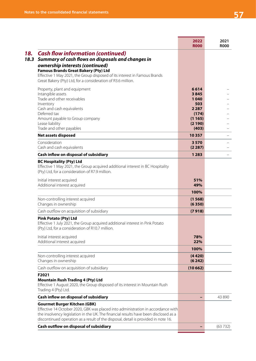|                                                                                                                                                                                                                 | 2022<br><b>R000</b> | 2021<br><b>R000</b> |
|-----------------------------------------------------------------------------------------------------------------------------------------------------------------------------------------------------------------|---------------------|---------------------|
| <b>Cash flow information (continued)</b>                                                                                                                                                                        |                     |                     |
| Summary of cash flows on disposals and changes in<br>ownership interests (continued)<br><b>Famous Brands Great Bakery (Pty) Ltd</b>                                                                             |                     |                     |
| Effective 1 May 2021, the Group disposed of its interest in Famous Brands<br>Great Bakery (Pty) Ltd, for a consideration of R3.6 million.                                                                       |                     |                     |
| Property, plant and equipment<br>Intangible assets                                                                                                                                                              | 6614<br>3845        |                     |
| Trade and other receivables                                                                                                                                                                                     | 1040                |                     |
| Inventory                                                                                                                                                                                                       | 503<br>2 2 8 7      |                     |
| Cash and cash equivalents<br>Deferred tax                                                                                                                                                                       | (174)               |                     |
| Amount payable to Group company                                                                                                                                                                                 | (1165)              |                     |
| Lease liability                                                                                                                                                                                                 | (2190)              |                     |
| Trade and other payables<br><b>Net assets disposed</b>                                                                                                                                                          | (403)<br>10357      |                     |
| Consideration                                                                                                                                                                                                   | 3570                |                     |
| Cash and cash equivalents                                                                                                                                                                                       | (2287)              |                     |
| Cash inflow on disposal of subsidiary                                                                                                                                                                           | 1 2 8 3             |                     |
| <b>BC Hospitality (Pty) Ltd</b><br>Effective 1 May 2021, the Group acquired additional interest in BC Hospitality<br>(Pty) Ltd, for a consideration of R7.9 million.                                            |                     |                     |
| Initial interest acquired<br>Additional interest acquired                                                                                                                                                       | 51%<br>49%          |                     |
|                                                                                                                                                                                                                 | 100%                |                     |
| Non-controlling interest acquired<br>Changes in ownership                                                                                                                                                       | (1568)<br>(6350)    |                     |
| Cash outflow on acquisition of subsidiary                                                                                                                                                                       | (7918)              |                     |
| <b>Pink Potato (Pty) Ltd</b><br>Effective 1 July 2021, the Group acquired additional interest in Pink Potato<br>(Pty) Ltd, for a consideration of R10.7 million.                                                |                     |                     |
| Initial interest acquired<br>Additional interest acquired                                                                                                                                                       | 78%<br>22%          |                     |
|                                                                                                                                                                                                                 | 100%                |                     |
| Non-controlling interest acquired<br>Changes in ownership                                                                                                                                                       | (4420)<br>(6242)    |                     |
| Cash outflow on acquisition of subsidiary                                                                                                                                                                       | (10662)             |                     |
| F2021<br><b>Mountain Rush Trading 4 (Pty) Ltd</b><br>Effective 1 August 2020, the Group disposed of its interest in Mountain Rush<br>Trading 4 (Pty) Ltd.                                                       |                     |                     |
| Cash inflow on disposal of subsidiary                                                                                                                                                                           |                     | 43 890              |
| <b>Gourmet Burger Kitchen (GBK)</b><br>Effective 14 October 2020, GBK was placed into administration in accordance with<br>the insolvency legislation in the UK. The financial results have been disclosed as a |                     |                     |
| discontinued operation as a result of the disposal, detail is provided in note 16.                                                                                                                              |                     |                     |
| Cash outflow on disposal of subsidiary                                                                                                                                                                          |                     | (63732)             |
|                                                                                                                                                                                                                 |                     |                     |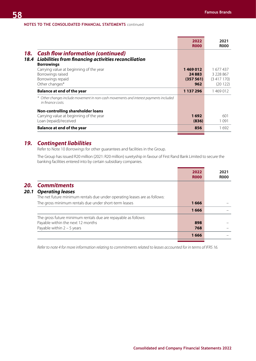|                                                                                                                                      | 2022<br><b>R000</b>                     | 2021<br><b>ROOO</b>                            |
|--------------------------------------------------------------------------------------------------------------------------------------|-----------------------------------------|------------------------------------------------|
| <b>Cash flow information (continued)</b><br>18.<br>Liabilities from financing activities reconciliation<br>18.4<br><b>Borrowings</b> |                                         |                                                |
| Carrying value at beginning of the year<br>Borrowings raised<br>Borrowings repaid<br>Other changes*                                  | 1469012<br>24 8 8 3<br>(357 561)<br>962 | 1 677 437<br>3 228 867<br>(3417170)<br>(20122) |
| <b>Balance at end of the year</b>                                                                                                    | 1 137 296                               | 1469012                                        |
| * Other changes include movement in non-cash movements and interest payments included<br>in finance costs.                           |                                         |                                                |
| Non-controlling shareholder loans<br>Carrying value at beginning of the year<br>Loan (repaid)/received                               | 1692<br>(836)                           | 601<br>1091                                    |
| <b>Balance at end of the year</b>                                                                                                    | 856                                     | 1692                                           |

# *19. Contingent liabilities*

Refer to Note 10 *Borrowings* for other guarantees and facilities in the Group.

The Group has issued R20 million (2021: R20 million) suretyship in favour of First Rand Bank Limited to secure the banking facilities entered into by certain subsidiary companies.

|      |                                                                           | 2022<br><b>ROOO</b> | 2021<br><b>ROOO</b> |
|------|---------------------------------------------------------------------------|---------------------|---------------------|
| 20.  | <b>Commitments</b>                                                        |                     |                     |
| 20.1 | <b>Operating leases</b>                                                   |                     |                     |
|      | The net future minimum rentals due under operating leases are as follows: |                     |                     |
|      | The gross minimum rentals due under short-term leases                     | 1666                |                     |
|      |                                                                           | 1666                |                     |
|      | The gross future minimum rentals due are repayable as follows:            |                     |                     |
|      | Payable within the next 12 months                                         | 898                 |                     |
|      | Payable within $2 - 5$ years                                              | 768                 |                     |
|      |                                                                           | 1666                |                     |
|      |                                                                           |                     |                     |

*Refer to note 4 for more information relating to commitments related to leases accounted for in terms of IFRS 16.*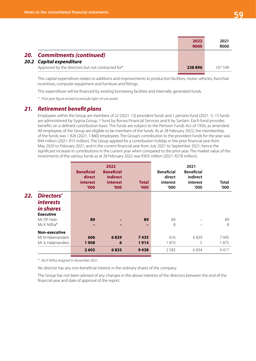|                                                   | 2022<br><b>R000</b>             | 2021<br><b>R000</b> |
|---------------------------------------------------|---------------------------------|---------------------|
| <b>Commitments (continued)</b>                    |                                 |                     |
|                                                   |                                 |                     |
| Approved by the directors but not contracted for* | 238896                          | 167 599             |
|                                                   | 20.<br>20.2 Capital expenditure |                     |

This capital expenditure relates to additions and improvements to production facilities, motor vehicles, franchise incentives, computer equipment and furniture and fittings.

This expenditure will be financed by existing borrowing facilities and internally generated funds.

*\* Prior year figure revised to exclude right-of-use assets.*

## *21. Retirement benefit plans*

Employees within the Group are members of 22 (2021: 13) provident funds and 1 pension fund (2021: 1). 15 funds are administered by Sygnia Group, 1 fund by Borwa Financial Services and 6 by Sanlam. Each fund provides benefits on a defined contribution basis. The funds are subject to the Pension Funds Act of 1956, as amended. All employees of the Group are eligible to be members of the funds. As at 28 February 2022, the membership of the funds was 1 826 (2021: 1 840) employees. The Group's contribution to the provident funds for the year was R44 million (2021: R15 million). The Group applied for a contribution holiday in the prior financial year from May 2020 to February 2021, and in the current financial year from July 2021 to September 2021, hence the significant increase in contributions in the current year when compared to the prior year. The market value of the investments of the various funds as at 28 February 2022 was R303 million (2021: R278 million).

|     |                                                                        | <b>Beneficial</b><br>direct<br>interest<br>'000' | 2022<br><b>Beneficial</b><br><i>indirect</i><br><i>interest</i><br>'000' | <b>Total</b><br>'000' | <b>Beneficial</b><br>direct<br>interest<br>'000 | 2021<br><b>Beneficial</b><br>indirect<br>interest<br>'000' | <b>Total</b><br>'000' |
|-----|------------------------------------------------------------------------|--------------------------------------------------|--------------------------------------------------------------------------|-----------------------|-------------------------------------------------|------------------------------------------------------------|-----------------------|
| 22. | Directors'<br><i>interests</i><br><i>in shares</i><br><b>Executive</b> |                                                  |                                                                          |                       |                                                 |                                                            |                       |
|     | Mr DP Hele<br>Ms K Ntlha*                                              | 89<br>-                                          |                                                                          | 89<br>-               | 89<br>8                                         |                                                            | 89<br>8               |
|     | <b>Non-executive</b><br>Mr N Halamandaris<br>Mr JL Halamandres         | 606<br>1908                                      | 6829<br>6                                                                | 7435<br>1914          | 616<br>1870                                     | 6829<br>5                                                  | 7445<br>1875          |
|     |                                                                        | 2603                                             | 6835                                                                     | 9438                  | 2 5 8 3                                         | 6834                                                       | 9417                  |

*\* Ms K Ntlha resigned in November 2021.*

No director has any non-beneficial interest in the ordinary shares of the company.

The Group has not been advised of any changes in the above interests of the directors between the end of the financial year and date of approval of the report.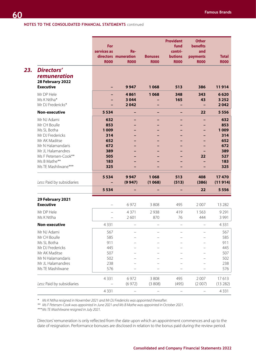|                                                              |                   |                                     |                               | <b>Provident</b>              | <b>Other</b>             |                             |
|--------------------------------------------------------------|-------------------|-------------------------------------|-------------------------------|-------------------------------|--------------------------|-----------------------------|
|                                                              | For               |                                     |                               | fund                          | benefits                 |                             |
|                                                              | services as       | Re-                                 |                               | contri-                       | and                      |                             |
|                                                              | <b>R000</b>       | directors muneration<br><b>R000</b> | <b>Bonuses</b><br><b>R000</b> | <b>butions</b><br><b>R000</b> | payments<br><b>R000</b>  | <b>Total</b><br><b>R000</b> |
|                                                              |                   |                                     |                               |                               |                          |                             |
| <b>Directors'</b><br><b>remuneration</b><br>28 February 2022 |                   |                                     |                               |                               |                          |                             |
| <b>Executive</b>                                             |                   | 9947                                | 1068                          | 513                           | 386                      | 11914                       |
| Mr DP Hele                                                   |                   | 4861                                | 1068                          | 348                           | 343                      | 6620                        |
| Ms K Ntlha*                                                  |                   | 3 0 4 4                             |                               | 165                           | 43                       | 3 2 5 2                     |
| Mr DJ Fredericks*                                            |                   | 2042                                |                               |                               |                          | 2042                        |
| <b>Non-executive</b>                                         | 5 5 3 4           |                                     | -                             |                               | 22                       | 5 5 5 6                     |
| Mr NJ Adami                                                  | 632               |                                     |                               |                               | -                        | 632                         |
| Mr CH Boulle                                                 | 853               |                                     |                               |                               |                          | 853                         |
| Ms SL Botha                                                  | 1009              |                                     |                               |                               |                          | 1009                        |
| Mr DJ Fredericks                                             | 314               |                                     |                               |                               |                          | 314                         |
| Mr AK Maditse                                                | 652               |                                     |                               |                               |                          | 652                         |
| Mr N Halamandaris                                            | 672               |                                     |                               |                               |                          | 672                         |
| Mr JL Halamandres<br>Ms F Petersen-Cook**                    | 389<br>505        |                                     |                               |                               | 22                       | 389<br>527                  |
| Ms B Mathe**                                                 | 183               |                                     |                               |                               |                          | 183                         |
| Ms TE Mashilwane***                                          | 325               |                                     |                               |                               |                          | 325                         |
|                                                              |                   |                                     |                               |                               |                          |                             |
|                                                              | 5 5 3 4           | 9947                                | 1068                          | 513                           | 408                      | 17470                       |
| Less: Paid by subsidiaries                                   |                   | (9947)                              | (1068)                        | (513)                         | (386)                    | (11914)                     |
|                                                              | 5 5 3 4           |                                     |                               |                               | 22                       | 5 5 5 6                     |
| 29 February 2021                                             |                   |                                     |                               |                               |                          |                             |
| <b>Executive</b>                                             |                   | 6972                                | 3 8 0 8                       | 495                           | 2 0 0 7                  | 13 2 8 2                    |
| Mr DP Hele                                                   |                   | 4 3 7 1                             | 2938                          | 419                           | 1563                     | 9291                        |
| Ms K Ntlha                                                   |                   | 2601                                | 870                           | 76                            | 444                      | 3 9 9 1                     |
| <b>Non-executive</b>                                         | 4331              |                                     | $\overline{\phantom{0}}$      | $\qquad \qquad -$             | $\overline{\phantom{0}}$ | 4 3 3 1                     |
|                                                              |                   |                                     |                               |                               |                          |                             |
| Mr NJ Adami                                                  | 567               |                                     |                               |                               |                          | 567                         |
| Mr CH Boulle                                                 | 585<br>911        |                                     |                               |                               |                          | 585                         |
| Ms SL Botha<br>Mr DJ Fredericks                              | 445               |                                     |                               |                               |                          | 911<br>445                  |
| Mr AK Maditse                                                | 507               |                                     |                               |                               |                          | 507                         |
| Mr N Halamandaris                                            | 502               |                                     |                               |                               |                          | 502                         |
| Mr JL Halamandres                                            | 238               |                                     |                               |                               |                          | 238                         |
| Ms TE Mashilwane                                             | 576               |                                     |                               |                               |                          | 576                         |
|                                                              |                   |                                     |                               |                               |                          |                             |
|                                                              | 4331              | 6972                                | 3 8 0 8                       | 495                           | 2007                     | 17613                       |
| Less: Paid by subsidiaries                                   | $\qquad \qquad -$ | (6972)                              | (3808)                        | (495)                         | (2007)                   | (13 282)                    |
|                                                              | 4331              |                                     |                               |                               |                          | 4 3 3 1                     |

*\* Ms K Ntlha resigned in November 2021 and Mr DJ Fredericks was appointed thereafter.* 

*\*\* Ms F Petersen-Cook was appointed in June 2021 and Ms B Mathe was appointed in October 2021.* 

*\*\*\*Ms TE Mashilwane resigned in July 2021.*

Directors' remuneration is only reflected from the date upon which an appointment commences and up to the date of resignation. Performance bonuses are disclosed in relation to the bonus paid during the review period.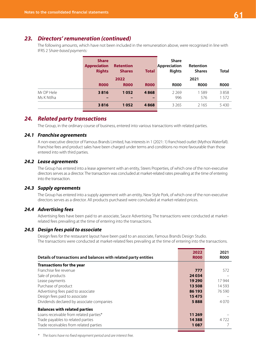# *23. Directors' remuneration (continued)*

The following amounts, which have not been included in the remuneration above, were recognised in line with IFRS 2 S*hare-based payments:*

|                          | <b>Share</b><br><b>Appreciation</b><br><b>Rights</b> | <b>Retention</b><br><b>Shares</b><br>2022 | <b>Total</b> | <b>Share</b><br>Appreciation<br><b>Rights</b> | Retention<br><b>Shares</b><br>2021 | <b>Total</b> |
|--------------------------|------------------------------------------------------|-------------------------------------------|--------------|-----------------------------------------------|------------------------------------|--------------|
|                          | <b>ROOO</b>                                          | <b>R000</b>                               | <b>ROOO</b>  | <b>ROOO</b>                                   | <b>ROOO</b>                        | <b>ROOO</b>  |
| Mr DP Hele<br>Ms K Ntlha | 3816<br>-                                            | 1052                                      | 4868         | 2 2 6 9<br>996                                | 1589<br>576                        | 3858<br>1572 |
|                          | 3816                                                 | 1052                                      | 4868         | 3 2 6 5                                       | 2 1 6 5                            | 5430         |

## *24. Related party transactions*

The Group, in the ordinary course of business, entered into various transactions with related parties.

### *24.1 Franchise agreements*

A non-executive director of Famous Brands Limited, has interests in 1 (2021: 1) franchised outlet (Mythos Waterfall). Franchise fees and product sales have been charged under terms and conditions no more favourable than those entered into with third parties.

### *24.2 Lease agreements*

The Group has entered into a lease agreement with an entity, Steers Properties, of which one of the non-executive directors serves as a director. The transaction was concluded at market-related rates prevailing at the time of entering into the transaction.

### *24.3 Supply agreements*

The Group has entered into a supply agreement with an entity, New Style Pork, of which one of the non-executive directors serves as a director. All products purchased were concluded at market-related prices.

### *24.4 Advertising fees*

Advertising fees have been paid to an associate, Sauce Advertising. The transactions were conducted at marketrelated fees prevailing at the time of entering into the transactions.

## *24.5 Design fees paid to associate*

Design fees for the restaurant layout have been paid to an associate, Famous Brands Design Studio. The transactions were conducted at market-related fees prevailing at the time of entering into the transactions.

| Details of transactions and balances with related party entities | 2022<br><b>ROOO</b> | 2021<br><b>R000</b> |
|------------------------------------------------------------------|---------------------|---------------------|
| <b>Transactions for the year</b>                                 |                     |                     |
| Franchise fee revenue                                            | 777                 | 572                 |
| Sale of products                                                 | 24 0 34             |                     |
| Lease payments                                                   | 19 2 9 0            | 17944               |
| Purchase of product                                              | 13508               | 14 5 9 3            |
| Advertising fees paid to associate                               | 86 193              | 76.590              |
| Design fees paid to associate                                    | 15475               |                     |
| Dividends declared by associate companies                        | 5888                | 4070                |
| <b>Balances with related parties</b>                             |                     |                     |
| Loans receivable from related parties*                           | 11 269              |                     |
| Trade payables to related parties                                | 14 3 8 8            | 4722                |
| Trade receivables from related parties                           | 1087                |                     |

*\* The loans have no fixed repayment period and are interest free.*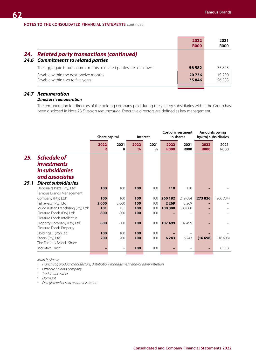|     |                                                                                      | 2022<br><b>R000</b> | 2021<br><b>ROOO</b> |
|-----|--------------------------------------------------------------------------------------|---------------------|---------------------|
| 24. | <b>Related party transactions (continued)</b><br>24.6 Commitments to related parties |                     |                     |
|     | The aggregate future commitments to related parties are as follows:                  | 56 582              | 75873               |
|     | Payable within the next twelve months<br>Payable within two to five years            | 20736<br>35846      | 19 290<br>56 583    |

### *24.7 Remuneration Directors' remuneration*

The remuneration for directors of the holding company paid during the year by subsidiaries within the Group has been disclosed in Note 23 *Directors remuneration*. Executive directors are defined as key management.

|      |                                                                                                                             | Share capital<br>Interest |                    | <b>Cost of investment</b><br>in shares |                   | <b>Amounts owing</b><br>by/(to) subsidiaries |                     |                     |                     |
|------|-----------------------------------------------------------------------------------------------------------------------------|---------------------------|--------------------|----------------------------------------|-------------------|----------------------------------------------|---------------------|---------------------|---------------------|
|      |                                                                                                                             | 2022<br>R                 | 2021<br>R          | 2022<br>$\frac{9}{6}$                  | 2021<br>$\%$      | 2022<br><b>R000</b>                          | 2021<br><b>R000</b> | 2022<br><b>R000</b> | 2021<br><b>R000</b> |
| 25.  | <b>Schedule of</b><br><i>investments</i><br>in subsidiaries<br>and associates                                               |                           |                    |                                        |                   |                                              |                     |                     |                     |
| 25.1 | <b>Direct subsidiaries</b><br>Debonairs Pizza (Pty) Ltd <sup>3</sup><br>Famous Brands Management                            | 100                       | 100                | 100                                    | 100               | 110                                          | 110                 |                     |                     |
|      | Company (Pty) Ltd <sup>1</sup>                                                                                              | 100                       | 100                | 100                                    | 100               | 260 182                                      | 219 084             | (273826)            | (266 734)           |
|      | Fishaways (Pty) Ltd <sup>3</sup><br>Mugg & Bean Franchising (Pty) Ltd <sup>3</sup><br>Pleasure Foods (Pty) Ltd <sup>4</sup> | 2000<br>101<br>800        | 2000<br>101<br>800 | 100<br>100<br>100                      | 100<br>100<br>100 | 2 2 6 9<br>100 000                           | 2269<br>100 000     |                     |                     |
|      | Pleasure Foods Intellectual<br>Property Company (Pty) Ltd <sup>3</sup>                                                      | 800                       | 800                | 100                                    | 100               | 107499                                       | 107499              |                     |                     |
|      | Pleasure Foods Property<br>Holdings 1 (Pty) Ltd <sup>1</sup><br>Steers (Pty) Ltd <sup>3</sup>                               | 100<br>200                | 100<br>200         | 100<br>100                             | 100<br>100        | 6 2 4 3                                      | 6 2 4 3             | (16698)             | (16698)             |
|      | The Famous Brands Share<br>Incentive Trust <sup>1</sup>                                                                     |                           | $\qquad \qquad -$  | 100                                    | 100               |                                              |                     |                     | 6118                |

*Main business:*

*1. Franchisor, product manufacture, distribution, management and/or administration*

*2. Offshore holding company*

*3. Trademark owner*

*4. Dormant*

*5. Deregistered or sold or administration*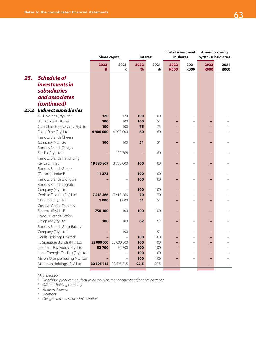|      |                                                 | Share capital<br>Interest |                          | Cost of investment<br>in shares |              | <b>Amounts owing</b><br>by/(to) subsidiaries |                     |                     |                     |
|------|-------------------------------------------------|---------------------------|--------------------------|---------------------------------|--------------|----------------------------------------------|---------------------|---------------------|---------------------|
|      |                                                 | 2022<br>$\mathbf R$       | 2021<br>R                | 2022<br>$\%$                    | 2021<br>$\%$ | 2022<br><b>R000</b>                          | 2021<br><b>R000</b> | 2022<br><b>R000</b> | 2021<br><b>R000</b> |
| 25.  | <b>Schedule of</b><br><i>investments in</i>     |                           |                          |                                 |              |                                              |                     |                     |                     |
|      | <b>subsidiaries</b><br>and associates           |                           |                          |                                 |              |                                              |                     |                     |                     |
|      | (continued)                                     |                           |                          |                                 |              |                                              |                     |                     |                     |
| 25.2 | <b>Indirect subsidiaries</b>                    |                           |                          |                                 |              |                                              |                     |                     |                     |
|      | 4 E Holdings (Pty) Ltd <sup>3</sup>             | 120                       | 120                      | 100                             | 100          |                                              |                     |                     |                     |
|      | BC Hospitality (Lupa) <sup>1</sup>              | 100                       | 100                      | 100                             | 51           |                                              |                     |                     |                     |
|      | Cater Chain Foodservices (Pty) Ltd <sup>1</sup> | 100                       | 100                      | 75                              | 75           |                                              |                     |                     |                     |
|      | Dial n Dine (Pty) Ltd <sup>1</sup>              | 4900000                   | 4 900 000                | 60                              | 60           |                                              |                     |                     |                     |
|      | Famous Brands Cheese                            |                           |                          |                                 |              |                                              |                     |                     |                     |
|      | Company (Pty) Ltd <sup>1</sup>                  | 100                       | 100                      | 51                              | 51           |                                              |                     |                     |                     |
|      | Famous Brands Design                            |                           |                          |                                 |              |                                              |                     |                     |                     |
|      | Studio (Pty) Ltd <sup>5</sup>                   |                           | 182 768                  |                                 | 60           |                                              |                     |                     |                     |
|      | Famous Brands Franchising                       |                           |                          |                                 |              |                                              |                     |                     |                     |
|      | Kenya Limited <sup>1</sup>                      | 19 385 867                | 3750000                  | 100                             | 100          |                                              |                     |                     |                     |
|      | Famous Brands Group                             |                           |                          |                                 |              |                                              |                     |                     |                     |
|      | (Zambia) Limited <sup>1</sup>                   | 11 373                    | $\overline{\phantom{0}}$ | 100                             | 100          |                                              |                     |                     |                     |
|      | Famous Brands Lilongwe <sup>1</sup>             |                           |                          | 100                             | 100          |                                              |                     |                     |                     |
|      | Famous Brands Logistics                         |                           |                          |                                 |              |                                              |                     |                     |                     |
|      | Company (Pty) Ltd <sup>4</sup>                  |                           |                          | 100                             | 100          |                                              |                     |                     |                     |
|      | Coolsite Trading (Pty) Ltd <sup>4</sup>         | 7418466                   | 7 418 466                | 70                              | 70           |                                              |                     |                     |                     |
|      | Chilango (Pty) Ltd <sup>1</sup>                 | 1 000                     | 1 0 0 0                  | 51                              | 51           |                                              |                     |                     |                     |
|      | Creative Coffee Franchise                       |                           |                          |                                 |              |                                              |                     |                     |                     |
|      | Systems (Pty) Ltd <sup>1</sup>                  | 750 100                   | 100                      | 100                             | 100          |                                              |                     |                     |                     |
|      | Famous Brands Coffee                            |                           |                          |                                 |              |                                              |                     |                     |                     |
|      | Company (Pty)Ltd <sup>1</sup>                   | 100                       | 100                      | 62                              | 62           |                                              |                     |                     |                     |
|      | Famous Brands Great Bakery                      |                           |                          |                                 |              |                                              |                     |                     |                     |
|      | Company (Pty) Ltd <sup>5</sup>                  |                           | 100                      |                                 | 51           |                                              |                     |                     |                     |
|      | Gorilla Holdings Limited <sup>2</sup>           |                           |                          | 100                             | 100          |                                              |                     |                     |                     |
|      | FB Signature Brands (Pty) Ltd <sup>1</sup>      | 32 000 000                | 32 000 000               | 100                             | 100          |                                              | $\equiv$            |                     |                     |
|      | Lamberts Bay Foods (Pty) Ltd <sup>1</sup>       | 52700                     | 52 700                   | 100                             | 100          |                                              |                     |                     |                     |
|      | Lunar Thought Trading (Pty) Ltd <sup>1</sup>    |                           |                          | 100                             | 100          |                                              |                     |                     |                     |
|      | Marble Olympia Trading (Pty) Ltd <sup>1</sup>   |                           |                          | 100                             | 100          |                                              |                     |                     |                     |
|      | Marathon Holdings (Pty) Ltd <sup>1</sup>        | 32 595 715 32 595 715     |                          | 92.5                            | 92.5         |                                              |                     |                     |                     |

*Main business:*

*1. Franchisor, product manufacture, distribution, management and/or administration*

*2. Offshore holding company*

*3. Trademark owner*

*4. Dormant*

*5. Deregistered or sold or administration*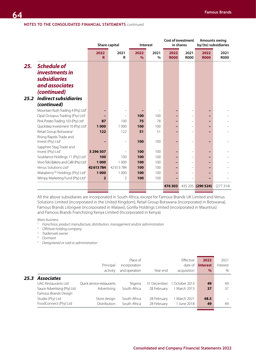|      |                                                                                                     |                |                |              |              | <b>Cost of investment</b> |                     | <b>Amounts owing</b> |                      |
|------|-----------------------------------------------------------------------------------------------------|----------------|----------------|--------------|--------------|---------------------------|---------------------|----------------------|----------------------|
|      |                                                                                                     |                | Share capital  |              | Interest     |                           | in shares           |                      | by/(to) subsidiaries |
|      |                                                                                                     | 2022<br>R.     | 2021<br>R      | 2022<br>$\%$ | 2021<br>$\%$ | 2022<br><b>R000</b>       | 2021<br><b>R000</b> | 2022<br><b>R000</b>  | 2021<br><b>R000</b>  |
| 25.  | <b>Schedule of</b><br><i>investments in</i><br><b>subsidiaries</b><br>and associates<br>(continued) |                |                |              |              |                           |                     |                      |                      |
| 25.2 | <b>Indirect subsidiaries</b>                                                                        |                |                |              |              |                           |                     |                      |                      |
|      | (continued)                                                                                         |                |                |              |              |                           |                     |                      |                      |
|      | Mountain Rush Trading 4 (Pty) Ltd <sup>5</sup>                                                      |                |                |              |              |                           |                     |                      |                      |
|      | Opal Octopus Trading (Pty) Ltd <sup>1</sup>                                                         |                |                | 100          | 100          |                           |                     |                      |                      |
|      | Pink Potato Trading 103 (Pty) Ltd <sup>1</sup>                                                      | 87             | 100            | 75           | 78           |                           |                     |                      |                      |
|      | Quickstep Investment 10 (Pty) Ltd <sup>4</sup>                                                      | 1 0 0 0        | 1 0 0 0        | 100          | 100          |                           |                     |                      |                      |
|      | Retail Group Botswana <sup>1</sup>                                                                  | 122            | 122            | 51           | 51           |                           |                     |                      |                      |
|      | Rising Rapids Trade and<br>Invest (Pty) Ltd <sup>1</sup>                                            |                |                | 100          | 100          |                           |                     |                      |                      |
|      | Sapphire Stag Trade and<br>Invest (Pty) Ltd <sup>1</sup>                                            | 3 296 507      |                | 100          | 100          |                           |                     |                      |                      |
|      | Souldance Holdings 11 (Pty) Ltd <sup>1</sup>                                                        | 100            | 100            | 100          | 100          |                           |                     |                      |                      |
|      | Vovo Telo Bakery and Café (Pty) Ltd <sup>1</sup>                                                    | 1 0 0 0        | 1 0 0 0        | 100          | 100          |                           |                     |                      |                      |
|      | Venus Solutions Ltd <sup>2</sup>                                                                    | 42613784       | 42 613 784     | 100          | 100          |                           |                     |                      |                      |
|      | Wakaberry™ Holdings (Pty) Ltd <sup>4</sup>                                                          | 1 0 0 0        | 1 0 0 0        | 100          | 100          |                           |                     |                      |                      |
|      | Wimpy Marketing Fund (Pty) Ltd <sup>4</sup>                                                         | $\overline{2}$ | $\overline{2}$ | 100          | 100          |                           |                     |                      |                      |
|      |                                                                                                     |                |                |              |              | 476 303                   | 435 205             | (290524)             | (277314)             |
|      |                                                                                                     |                |                |              |              |                           |                     |                      |                      |

All the above subsidiaries are incorporated in South Africa, except for Famous Brands UK Limited and Venus Solutions Limited (incorporated in the United Kingdom), Retail Group Botswana (incorporated in Botswana), Famous Brands Lilongwe (incorporated in Malawi), Gorilla Holdings Limited (incorporated in Mauritius) and Famous Brands Franchising Kenya Limited (Incorporated in Kenya).

*Main business:*

- *2. Offshore holding company*
- *3. Trademark owner*
- *4. Dormant*
- *5. Deregistered or sold or administration*

|      |                             |                           | Place of      |             | Effective      | 2022            | 2021     |
|------|-----------------------------|---------------------------|---------------|-------------|----------------|-----------------|----------|
|      |                             | Principal                 | incorporation |             | date of        | <b>Interest</b> | Interest |
|      |                             | activity                  | and operation | Year end    | acquisition    | $\%$            | $\%$     |
| 25.3 | <b>Associates</b>           |                           |               |             |                |                 |          |
|      | UAC Restaurants I td        | Ouick service restaurants | Nigeria       | 31 December | 1 October 2013 | 49              | 49       |
|      | Sauce Advertising (Pty) Ltd | Advertising               | South Africa  | 28 February | 1 March 2013   | 37              | 37       |
|      | Famous Brands Design        |                           |               |             |                |                 |          |
|      | Studio (Pty) Ltd            | Store design              | South Africa  | 28 February | 1 March 2021   | 48.5            |          |
|      | FoodConnect (Pty) Ltd       | <b>Distribution</b>       | South Africa  | 28 February | June 2018      | 49              | 49       |
|      |                             |                           |               |             |                |                 |          |

*<sup>1.</sup> Franchisor, product manufacture, distribution, management and/or administration*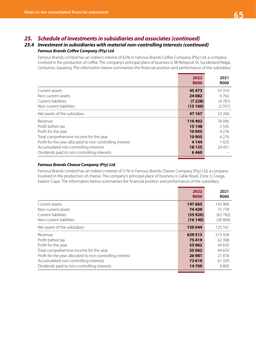# *25. Schedule of investments in subsidiaries and associates (continued)*

## *25.4 Investment in subsidiaries with material non-controlling interests (continued) Famous Brands Coffee Company (Pty) Ltd*

Famous Brands Limited has an indirect interest of 62% in Famous Brands Coffee Company (Pty) Ltd, a company involved in the production of coffee. The company's principal place of business is 38 Rietspruit St, Sunderland Ridge, Centurion, Gauteng. The information below summarises the financial position and performance of the subsidiary:

|                                                           | 2022<br><b>ROOO</b> | 2021<br><b>R000</b> |
|-----------------------------------------------------------|---------------------|---------------------|
| Current assets                                            | 45 473              | 53 310              |
| Non-current assets                                        | 24 08 2             | 6762                |
| Current liabilities                                       | (7228)              | (4781)              |
| Non-current liabilities                                   | (15160)             | (2031)              |
| Net assets of the subsidiary                              | 47 167              | 53 260              |
| Revenue                                                   | 110402              | 78096               |
| Profit before tax                                         | 15 148              | 5 5 4 5             |
| Profit for the year                                       | 10 905              | 4 2 7 6             |
| Total comprehensive income for the year                   | 10 905              | 4 2 7 6             |
| Profit for the year allocated to non-controlling interest | 4 1 4 4             | 1625                |
| Accumulated non-controlling interests                     | 18 13 5             | 20451               |
| Dividends paid to non-controlling interests               | 6460                |                     |

### *Famous Brands Cheese Company (Pty) Ltd*

Famous Brands Limited has an indirect interest of 51% in Famous Brands Cheese Company (Pty) Ltd, a company involved in the production of cheese. The company's principal place of business is Cable Road, Zone 3, Coega, Eastern Cape. The information below summarises the financial position and performance of the subsidiary:

|                                                           | 2022<br><b>ROOO</b> | 2021<br><b>ROOO</b> |
|-----------------------------------------------------------|---------------------|---------------------|
| Current assets                                            | 147 665             | 142 969             |
| Non-current assets                                        | 74439               | 75 778              |
| Current liabilities                                       | (55920)             | (62782)             |
| Non-current liabilities                                   | (16140)             | (30804)             |
| Net assets of the subsidiary                              | 150 044             | 125 161             |
| Revenue                                                   | 639 513             | 513928              |
| Profit before tax                                         | 75419               | 62 3 98             |
| Profit for the year                                       | 55 062              | 44 650              |
| Total comprehensive income for the year                   | 55 062              | 44 650              |
| Profit for the year allocated to non-controlling interest | 26 981              | 21878               |
| Accumulated non-controlling interests                     | 73 610              | 61329               |
| Dividends paid to non-controlling interests               | 14700               | 9800                |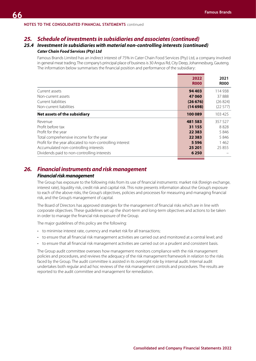## *25. Schedule of investments in subsidiaries and associates (continued)*

## *25.4 Investment in subsidiaries with material non-controlling interests (continued) Cater Chain Food Services (Pty) Ltd*

Famous Brands Limited has an indirect interest of 75% in Cater Chain Food Services (Pty) Ltd, a company involved in general meat trading. The company's principal place of business is 30 Angus Rd, City Deep, Johannesburg, Gauteng. The information below summarises the financial position and performance of the subsidiary:

|                                                           | 2022<br><b>R000</b> | 2021<br><b>ROOO</b> |
|-----------------------------------------------------------|---------------------|---------------------|
| Current assets                                            | 94 403              | 114 938             |
| Non-current assets                                        | 47 060              | 37888               |
| Current liabilities                                       | (26 676)            | (26824)             |
| Non-current liabilities                                   | (14698)             | (22577)             |
| Net assets of the subsidiary                              | 100 089             | 103 425             |
| Revenue                                                   | 481583              | 357 527             |
| Profit before tax                                         | 31 155              | 8828                |
| Profit for the year                                       | 22 3 8 3            | 5846                |
| Total comprehensive income for the year                   | 22 3 8 3            | 5846                |
| Profit for the year allocated to non-controlling interest | 5 5 9 6             | 1462                |
| Accumulated non-controlling interests                     | 25 201              | 25855               |
| Dividends paid to non-controlling interests               | 6 2 5 0             |                     |

# *26. Financial instruments and risk management*

## *Financial risk management*

The Group has exposure to the following risks from its use of financial instruments: market risk (foreign exchange, interest rate), liquidity risk, credit risk and capital risk. This note presents information about the Group's exposure to each of the above risks, the Group's objectives, policies and processes for measuring and managing financial risk, and the Group's management of capital.

The Board of Directors has approved strategies for the management of financial risks which are in line with corporate objectives. These guidelines set up the short-term and long-term objectives and actions to be taken in order to manage the financial risk exposure of the Group.

The major guidelines of this policy are the following:

- to minimise interest rate, currency and market risk for all transactions;
- to ensure that all financial risk management activities are carried out and monitored at a central level; and
- to ensure that all financial risk management activities are carried out on a prudent and consistent basis.

The Group audit committee oversees how management monitors compliance with the risk management policies and procedures, and reviews the adequacy of the risk management framework in relation to the risks faced by the Group. The audit committee is assisted in its oversight role by internal audit. Internal audit undertakes both regular and ad hoc reviews of the risk management controls and procedures. The results are reported to the audit committee and management for remediation.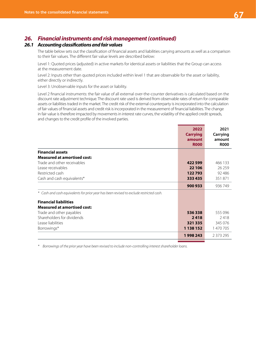# *26. Financial instruments and risk management (continued)*

## *26.1 Accounting classifications and fair values*

The table below sets out the classification of financial assets and liabilities carrying amounts as well as a comparison to their fair values. The different fair value levels are described below:

Level 1: Quoted prices (adjusted) in active markets for identical assets or liabilities that the Group can access at the measurement date.

Level 2: Inputs other than quoted prices included within level 1 that are observable for the asset or liability, either directly or indirectly.

Level 3: Unobservable inputs for the asset or liability.

Level 2 financial instruments: the fair value of all external over-the-counter derivatives is calculated based on the discount rate adjustment technique. The discount rate used is derived from observable rates of return for comparable assets or liabilities traded in the market. The credit risk of the external counterparty is incorporated into the calculation of fair values of financial assets and credit risk is incorporated in the measurement of financial liabilities. The change in fair value is therefore impacted by movements in interest rate curves, the volatility of the applied credit spreads, and changes to the credit profile of the involved parties.

|                                                                                         | 2022<br><b>Carrying</b><br>amount<br><b>R000</b> | 2021<br>Carrying<br>amount<br><b>ROOO</b> |
|-----------------------------------------------------------------------------------------|--------------------------------------------------|-------------------------------------------|
| <b>Financial assets</b>                                                                 |                                                  |                                           |
| <b>Measured at amortised cost:</b>                                                      |                                                  |                                           |
| Trade and other receivables                                                             | 422 599                                          | 466 133                                   |
| Lease receivables                                                                       | 22 106                                           | 26259                                     |
| Restricted cash                                                                         | 122793                                           | 92 48 6                                   |
| Cash and cash equivalents*                                                              | 333 435                                          | 351871                                    |
|                                                                                         | 900 933                                          | 936749                                    |
| * Cash and cash equivalents for prior year has been revised to exclude restricted cash. |                                                  |                                           |
| <b>Financial liabilities</b>                                                            |                                                  |                                           |
| <b>Measured at amortised cost:</b>                                                      |                                                  |                                           |
| Trade and other payables                                                                | 536338                                           | 555 096                                   |
| Shareholders for dividends                                                              | 2418                                             | 2418                                      |
| Lease liabilities                                                                       | 321335                                           | 345 076                                   |
| Borrowings*                                                                             | 1 138 152                                        | 1 470 705                                 |
|                                                                                         | 1998243                                          | 2 3 7 3 2 9 5                             |

*\* Borrowings of the prior year have been revised to include non-controlling interest shareholder loans.*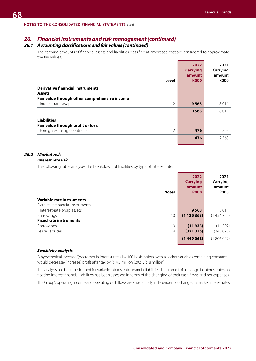## *26. Financial instruments and risk management (continued)*

## *26.1 Accounting classifications and fair values (continued)*

The carrying amounts of financial assets and liabilities classified at amortised cost are considered to approximate the fair values.

|                                               | 2022<br><b>Carrying</b> | 2021<br>Carrying      |
|-----------------------------------------------|-------------------------|-----------------------|
| Level                                         | amount<br><b>R000</b>   | amount<br><b>ROOO</b> |
| <b>Derivative financial instruments</b>       |                         |                       |
| <b>Assets</b>                                 |                         |                       |
| Fair value through other comprehensive income |                         |                       |
| $\overline{2}$<br>Interest-rate swaps         | 9 5 6 3                 | 8011                  |
|                                               | 9563                    | 8011                  |
| <b>Liabilities</b>                            |                         |                       |
| Fair value through profit or loss:            |                         |                       |
| Foreign exchange contracts<br>2               | 476                     | 2 3 6 3               |
|                                               | 476                     | 2 3 6 3               |
|                                               |                         |                       |

# *26.2 Market risk*

### *Interest rate risk*

The following table analyses the breakdown of liabilities by type of interest rate.

| <b>Notes</b>                        | 2022<br><b>Carrying</b><br>amount<br><b>R000</b> | 2021<br>Carrying<br>amount<br><b>ROOO</b> |
|-------------------------------------|--------------------------------------------------|-------------------------------------------|
| Variable rate instruments           |                                                  |                                           |
| Derivative financial instruments    |                                                  |                                           |
| Interest-rate swap assets           | 9563                                             | 8011                                      |
| 10<br><b>Borrowings</b>             | (1125363)                                        | (1454720)                                 |
| <b>Fixed rate instruments</b>       |                                                  |                                           |
| 10<br><b>Borrowings</b>             | (11933)                                          | (14292)                                   |
| Lease liabilities<br>$\overline{4}$ | (321335)                                         | (345076)                                  |
|                                     | (1449068)                                        | (1806077)                                 |

### *Sensitivity analysis*

A hypothetical increase/(decrease) in interest rates by 100 basis points, with all other variables remaining constant, would decrease/(increase) profit after tax by R14.5 million (2021: R18 million).

The analysis has been performed for variable interest rate financial liabilities. The impact of a change in interest rates on floating interest financial liabilities has been assessed in terms of the changing of their cash flows and net expenses.

The Group's operating income and operating cash flows are substantially independent of changes in market interest rates.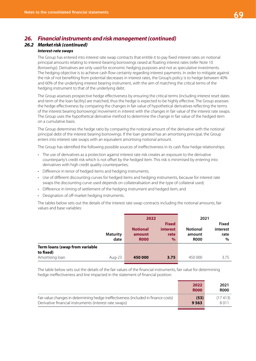# *26. Financial instruments and risk management (continued)*

## *26.2 Market risk (continued)*

### *Interest-rate swaps*

The Group has entered into interest rate swap contracts that entitle it to pay fixed interest rates on notional principal amounts relating to interest-bearing borrowings raised at floating interest rates (refer Note 10 *Borrowings*). Derivatives are only used for economic hedging purposes and not as speculative investments. The hedging objective is to achieve cash flow certainty regarding interest payments. In order to mitigate against the risk of not benefiting from potential decreases in interest rates, the Group's policy is to hedge between 40% and 60% of the underlying interest bearing instrument, with the aim of matching the critical terms of the hedging instrument to that of the underlying debt.

The Group assesses prospective hedge effectiveness by ensuring the critical terms (including interest reset dates and term of the loan facility) are matched, thus the hedge is expected to be highly effective. The Group assesses the hedge effectiveness by comparing the changes in fair value of hypothetical derivatives reflecting the terms of the interest bearing borrowings' movement in interest with the changes in fair value of the interest rate swaps. The Group uses the hypothetical derivative method to determine the change in fair value of the hedged item on a cumulative basis.

The Group determines the hedge ratio by comparing the notional amount of the derivative with the notional principal debt of the interest bearing borrowings. If the loan granted has an amortising principal, the Group enters into interest rate swaps with an equivalent amortising notional amount.

The Group has identified the following possible sources of ineffectiveness in its cash flow hedge relationships:

- The use of derivatives as a protection against interest rate risk creates an exposure to the derivative counterparty's credit risk which is not offset by the hedged item. This risk is minimised by entering into derivatives with high credit quality counterparties;
- Difference in tenor of hedged items and hedging instruments;
- Use of different discounting curves for hedged items and hedging instruments, because for interest rate swaps the discounting curve used depends on collateralisation and the type of collateral used;
- Difference in timing of settlement of the hedging instrument and hedged item; and
- Designation of off-market hedging instruments.

The tables below sets out the details of the interest rate swap contracts including the notional amounts, fair values and base variables:

|                                             |                         | 2022                                     |                                                 | 2021                                     |                                       |
|---------------------------------------------|-------------------------|------------------------------------------|-------------------------------------------------|------------------------------------------|---------------------------------------|
|                                             | <b>Maturity</b><br>date | <b>Notional</b><br>amount<br><b>R000</b> | <b>Fixed</b><br><b>interest</b><br>rate<br>$\%$ | <b>Notional</b><br>amount<br><b>R000</b> | <b>Fixed</b><br>interest<br>rate<br>% |
| Term loans (swap from variable<br>to fixed) |                         |                                          |                                                 |                                          |                                       |
| Amortising loan                             | Aug-23                  | 450 000                                  | 3.75                                            | 450 000                                  | 3.75                                  |

The table below sets out the details of the fair values of the financial instruments, fair value for determining hedge ineffectiveness and line impacted in the statement of financial position:

|                                                                                                                                               | 2022<br><b>R000</b> | 2021<br><b>R000</b> |
|-----------------------------------------------------------------------------------------------------------------------------------------------|---------------------|---------------------|
| Fair value changes in determining hedge ineffectiveness (included in finance costs)<br>Derivative financial instruments (interest rate swaps) | (53)<br>9 5 6 3     | (17413)<br>8011     |
|                                                                                                                                               |                     |                     |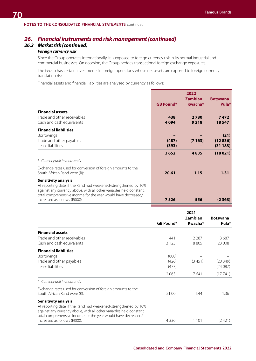# *26. Financial instruments and risk management (continued)*

# *26.2 Market risk (continued)*

### *Foreign currency risk*

Since the Group operates internationally, it is exposed to foreign currency risk in its normal industrial and commercial businesses. On occasion, the Group hedges transactional foreign exchange exposures.

The Group has certain investments in foreign operations whose net assets are exposed to foreign currency translation risk.

Financial assets and financial liabilities are analysed by currency as follows:

|                                                                                                                                                                                                                                                                 | <b>GB Pound*</b> | 2022<br><b>Zambian</b><br>Kwacha* | <b>Botswana</b><br>Pula*   |
|-----------------------------------------------------------------------------------------------------------------------------------------------------------------------------------------------------------------------------------------------------------------|------------------|-----------------------------------|----------------------------|
| <b>Financial assets</b><br>Trade and other receivables<br>Cash and cash equivalents                                                                                                                                                                             | 438<br>4094      | 2780<br>9 2 1 8                   | 7472<br>18547              |
| <b>Financial liabilities</b><br><b>Borrowings</b><br>Trade and other payables<br>Lease liabilities                                                                                                                                                              | (487)<br>(393)   | (7163)                            | (21)<br>(12836)<br>(31183) |
|                                                                                                                                                                                                                                                                 | 3652             | 4835                              | (18021)                    |
| * Currency unit in thousands<br>Exchange rates used for conversion of foreign amounts to the<br>South African Rand were (R):                                                                                                                                    | 20.61            | 1.15                              | 1.31                       |
| Sensitivity analysis<br>At reporting date, if the Rand had weakened/strengthened by 10%<br>against any currency above, with all other variables held constant,<br>total comprehensive income for the year would have decreased/<br>increased as follows (R000): | 7526             | 556                               | (2363)                     |

|                                                                                               |           | Zambian<br>Kwacha* | <b>Botswana</b><br>Pula* |
|-----------------------------------------------------------------------------------------------|-----------|--------------------|--------------------------|
|                                                                                               | GB Pound* |                    |                          |
| <b>Financial assets</b>                                                                       |           |                    |                          |
| Trade and other receivables                                                                   | 441       | 2 2 8 7            | 3687                     |
| Cash and cash equivalents                                                                     | 3 1 2 5   | 8805               | 23 008                   |
| <b>Financial liabilities</b>                                                                  |           |                    |                          |
| <b>Borrowings</b>                                                                             | (600)     |                    |                          |
| Trade and other payables                                                                      | (426)     | (3451)             | (20349)                  |
| Lease liabilities                                                                             | (477)     |                    | (24087)                  |
|                                                                                               | 2063      | 7641               | (17741)                  |
| * Currency unit in thousands                                                                  |           |                    |                          |
| Exchange rates used for conversion of foreign amounts to the                                  |           |                    |                          |
| South African Rand were (R):                                                                  | 21.00     | 1.44               | 1.36                     |
| <b>Sensitivity analysis</b>                                                                   |           |                    |                          |
| At reporting date, if the Rand had weakened/strengthened by 10%                               |           |                    |                          |
| against any currency above, with all other variables held constant,                           |           |                    |                          |
| total comprehensive income for the year would have decreased/<br>increased as follows (R000): | 4 3 3 6   | 1 1 0 1            | (2421)                   |
|                                                                                               |           |                    |                          |

**Consolidated and Company Financial Statements 2022**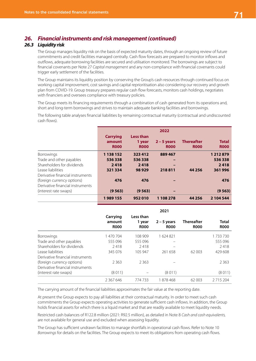# *26. Financial instruments and risk management (continued)*

# *26.3 Liquidity risk*

The Group manages liquidity risk on the basis of expected maturity dates, through an ongoing review of future commitments and credit facilities managed centrally. Cash flow forecasts are prepared to monitor inflows and outflows, adequate borrowing facilities are secured and utilisation monitored. The borrowings are subject to financial covenants per Note 27 *Capital management* and any non-compliance with financial covenants could trigger early settlement of the facilities.

The Group maintains its liquidity position by conserving the Group's cash resources through continued focus on working capital improvement, cost savings and capital reprioritisation also considering our recovery and growth plan from COVID-19. Group treasury prepares regular cash flow forecasts, monitors cash holdings, negotiates with financiers and oversees compliance with treasury policies.

The Group meets its financing requirements through a combination of cash generated from its operations and, short and long-term borrowings and strives to maintain adequate banking facilities and borrowings.

The following table analyses financial liabilities by remaining contractual maturity (contractual and undiscounted cash flows).

|                                  | <b>Carrying</b>       | <b>Less than</b>      | 2022                         |                                  |                             |
|----------------------------------|-----------------------|-----------------------|------------------------------|----------------------------------|-----------------------------|
|                                  | amount<br><b>R000</b> | 1 year<br><b>R000</b> | $2 - 5$ years<br><b>ROOO</b> | <b>Thereafter</b><br><b>R000</b> | <b>Total</b><br><b>R000</b> |
|                                  |                       |                       |                              |                                  |                             |
| <b>Borrowings</b>                | 1 138 152             | 323 412               | 889 467                      |                                  | 1 212 879                   |
| Trade and other payables         | 536338                | 536338                |                              |                                  | 536338                      |
| Shareholders for dividends       | 2418                  | 2418                  |                              |                                  | 2418                        |
| Lease liabilities                | 321 334               | 98 9 29               | 218811                       | 44 25 6                          | 361996                      |
| Derivative financial instruments |                       |                       |                              |                                  |                             |
| (foreign currency options)       | 476                   | 476                   |                              |                                  | 476                         |
| Derivative financial instruments |                       |                       |                              |                                  |                             |
| (interest rate swaps)            | (9563)                | (9563)                |                              |                                  | (9563)                      |
|                                  | 1989155               | 952010                | 1 108 278                    | 44 2 5 6                         | 2 104 544                   |
|                                  |                       |                       |                              |                                  |                             |

|                                  |                                   |                                    | 2021                         |                                  |                      |
|----------------------------------|-----------------------------------|------------------------------------|------------------------------|----------------------------------|----------------------|
|                                  | Carrying<br>amount<br><b>R000</b> | Less than<br>1 year<br><b>R000</b> | $2 - 5$ years<br><b>ROOO</b> | <b>Thereafter</b><br><b>ROOO</b> | Total<br><b>R000</b> |
| <b>Borrowings</b>                | 470 704                           | 108 909                            | 1624821                      |                                  | 1733730              |
| Trade and other payables         | 555 096                           | 555 096                            |                              |                                  | 555096               |
| Shareholders for dividends       | 2418                              | 2418                               |                              |                                  | 2418                 |
| Lease liabilities                | 345 076                           | 105 947                            | 261 658                      | 62 003                           | 429 608              |
| Derivative financial instruments |                                   |                                    |                              |                                  |                      |
| (foreign currency options)       | 2 3 6 3                           | 2 3 6 3                            |                              |                                  | 2 3 6 3              |
| Derivative financial instruments |                                   |                                    |                              |                                  |                      |
| (interest rate swaps)            | (8011)                            |                                    | (8011)                       |                                  | (8011)               |
|                                  | 2 367 646                         | 774 733                            | 1878468                      | 62 003                           | 2 7 1 5 2 0 4        |

The carrying amount of the financial liabilities approximates the fair value at the reporting date.

At present the Group expects to pay all liabilities at their contractual maturity. In order to meet such cash commitments the Group expects operating activities to generate sufficient cash inflows. In addition, the Group holds financial assets for which there is a liquid market and that are readily available to meet liquidity needs.

Restricted cash balances of R122.8 million (2021: R92.5 million), as detailed in Note 8 *Cash and cash equivalents,*  are not available for general use and excluded when assessing liquidity.

The Group has sufficient undrawn facilities to manage shortfalls in operational cash flows. Refer to Note 10 *Borrowings* for details on the facilities. The Group expects to meet its obligations from operating cash flows.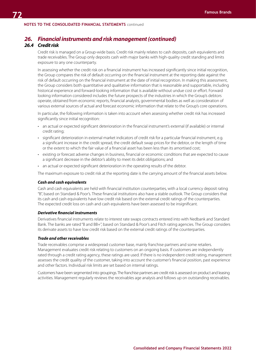#### **NOTES TO THE CONSOLIDATED FINANCIAL STATEMENTS** continued

# *26. Financial instruments and risk management (continued)*

### *26.4 Credit risk*

Credit risk is managed on a Group-wide basis. Credit risk mainly relates to cash deposits, cash equivalents and trade receivables. The Group only deposits cash with major banks with high-quality credit standing and limits exposure to any one counterparty.

In assessing whether the credit risk on a financial instrument has increased significantly since initial recognition, the Group compares the risk of default occurring on the financial instrument at the reporting date against the risk of default occurring on the financial instrument at the date of initial recognition. In making this assessment, the Group considers both quantitative and qualitative information that is reasonable and supportable, including historical experience and forward-looking information that is available without undue cost or effort. Forward looking information considered includes the future prospects of the industries in which the Group's debtors operate, obtained from economic reports, financial analysts, governmental bodies as well as consideration of various external sources of actual and forecast economic information that relate to the Group's core operations.

In particular, the following information is taken into account when assessing whether credit risk has increased significantly since initial recognition:

- an actual or expected significant deterioration in the financial instrument's external (if available) or internal credit rating;
- significant deterioration in external market indicators of credit risk for a particular financial instrument, e.g. a significant increase in the credit spread, the credit default swap prices for the debtor, or the length of time or the extent to which the fair value of a financial asset has been less than its amortised cost;
- existing or forecast adverse changes in business, financial or economic conditions that are expected to cause a significant decrease in the debtor's ability to meet its debt obligations; and
- an actual or expected significant deterioration in the operating results of the debtor.

The maximum exposure to credit risk at the reporting date is the carrying amount of the financial assets below.

#### *Cash and cash equivalents*

Cash and cash equivalents are held with financial institution counterparties, with a local currency deposit rating "B", based on Standard & Poor's. These financial institutions also have a stable outlook. The Group considers that its cash and cash equivalents have low credit risk based on the external credit ratings of the counterparties. The expected credit loss on cash and cash equivalents have been assessed to be insignificant.

#### *Derivative financial instruments*

Derivatives financial instruments relate to interest rate swaps contracts entered into with Nedbank and Standard Bank. The banks are rated "B and BB+", based on Standard & Poor's and Fitch rating agencies. The Group considers its derivate assets to have low credit risk based on the external credit ratings of the counterparties.

#### *Trade and other receivables*

Trade receivables comprise a widespread customer base, mainly franchise partners and some retailers. Management evaluates credit risk relating to customers on an ongoing basis. If customers are independently rated through a credit rating agency, these ratings are used. If there is no independent credit rating, management assesses the credit quality of the customer, taking into account the customer's financial position, past experience and other factors. Individual risk limits are set based on internal ratings.

Customers have been segmented into groupings. The franchise partners are credit risk is assessed on product and leasing activities. Management regularly reviews the receivables age analysis and follows up on outstanding receivables.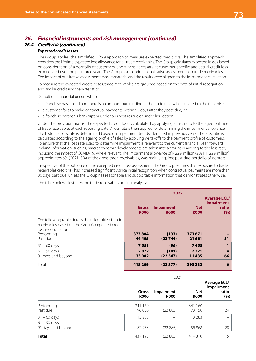# *26. Financial instruments and risk management (continued)*

# *26.4 Credit risk (continued)*

#### *Expected credit losses*

The Group applies the simplified IFRS 9 approach to measure expected credit loss. The simplified approach considers the lifetime expected loss allowance for all trade receivables. The Group calculates expected losses based on consideration of a portfolio of customers, and where necessary at customer-specific and actual credit loss experienced over the past three years. The Group also conducts qualitative assessments on trade receivables. The impact of qualitative assessments was immaterial and the results were aligned to the impairment calculation.

To measure the expected credit losses, trade receivables are grouped based on the date of initial recognition and similar credit risk characteristics.

Default on a financial occurs when:

- a franchise has closed and there is an amount outstanding in the trade receivables related to the franchise;
- a customer fails to make contractual payments within 90 days after they past due; or
- a franchise partner is bankrupt or under business rescue or under liquidation.

Under the provision matrix, the expected credit loss is calculated by applying a loss ratio to the aged balance of trade receivables at each reporting date. A loss rate is then applied for determining the impairment allowance. The historical loss rate is determined based on impairment trends identified in previous years. The loss ratio is calculated according to the ageing profile of sales by applying write-offs to the payment profile of customers. To ensure that the loss rate used to determine impairment is relevant to the current financial year, forward looking information, such as, macroeconomic developments are taken into account in arriving to the loss rate, including the impact of COVID-19, where relevant. The impairment allowance of R 22.9 million (2021: R 22.9 million) approximates 6% (2021: 5%) of the gross trade receivables, was mainly against past due portfolio of debtors.

Irrespective of the outcome of the excepted credit loss assessment, the Group presumes that exposure to trade receivables credit risk has increased significantly since initial recognition when contractual payments are more than 30 days past due, unless the Group has reasonable and supportable information that demonstrates otherwise.

The table below illustrates the trade receivables ageing analysis:

|                                                                                                                                   | 2022                        |                                  |                           |                                                          |  |
|-----------------------------------------------------------------------------------------------------------------------------------|-----------------------------|----------------------------------|---------------------------|----------------------------------------------------------|--|
|                                                                                                                                   | <b>Gross</b><br><b>R000</b> | <b>Impairment</b><br><b>R000</b> | <b>Net</b><br><b>ROOO</b> | <b>Average ECL/</b><br><b>Impairment</b><br>ratio<br>(%) |  |
| The following table details the risk profile of trade<br>receivables based on the Group's expected credit<br>loss reconciliation. |                             |                                  |                           |                                                          |  |
| Performing<br>Past due                                                                                                            | 373804<br>44 4 05           | (133)<br>(22744)                 | 373 671<br>21 661         | 51                                                       |  |
| $31 - 60$ days                                                                                                                    | 7551                        | (96)                             | 7455                      |                                                          |  |
| $61 - 90$ days<br>91 days and beyond                                                                                              | 2872<br>33 982              | (101)<br>(22547)                 | 2771<br>11435             | $\overline{4}$<br>66                                     |  |
| Total                                                                                                                             | 418209                      | (22877)                          | 395 332                   | 6                                                        |  |

|                                  |                      | 2021                             |                           |                                                   |
|----------------------------------|----------------------|----------------------------------|---------------------------|---------------------------------------------------|
|                                  | Gross<br><b>R000</b> | <b>Impairment</b><br><b>ROOO</b> | <b>Net</b><br><b>ROOO</b> | <b>Average ECL/</b><br>Impairment<br>ratio<br>(%) |
| Performing<br>Past due           | 341 160<br>96 0 36   | (22885)                          | 341 160<br>73 150         | 24                                                |
| $31 - 60$ days<br>$61 - 90$ days | 13 2 8 3             |                                  | 13 2 8 3                  |                                                   |
| 91 days and beyond               | 82753                | (22885)                          | 59868                     | 28                                                |
| <b>Total</b>                     | 437 195              | (22885)                          | 414310                    | 5                                                 |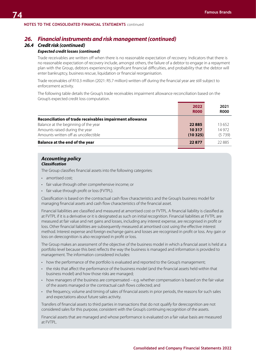#### **NOTES TO THE CONSOLIDATED FINANCIAL STATEMENTS** continued

# *26. Financial instruments and risk management (continued)*

# *26.4 Credit risk (continued)*

#### *Expected credit losses (continued)*

Trade receivables are written off when there is no reasonable expectation of recovery. Indicators that there is no reasonable expectation of recovery include, amongst others, the failure of a debtor to engage in a repayment plan with the Group, debtors experiencing significant financial difficulties, and probability that the debtor will enter bankruptcy, business rescue, liquidation or financial reorganisation.

Trade receivables of R10.3 million (2021: R5.7 million) written off during the financial year are still subject to enforcement activity.

The following table details the Group's trade receivables impairment allowance reconciliation based on the Group's expected credit loss computation.

|                                                          | 2022<br><b>ROOO</b> | 2021<br><b>R000</b> |
|----------------------------------------------------------|---------------------|---------------------|
| Reconciliation of trade receivables impairment allowance |                     |                     |
| Balance at the beginning of the year                     | 22885               | 13652               |
| Amounts raised during the year                           | 10317               | 14 9 72             |
| Amounts written off as uncollectible                     | (10325)             | (5739)              |
| <b>Balance at the end of the year</b>                    | 22877               | 22885               |

#### *Accounting policy Classification*

The Group classifies financial assets into the following categories:

- amortised cost:
- fair value through other comprehensive income; or
- fair value through profit or loss (FVTPL).

Classification is based on the contractual cash flow characteristics and the Group's business model for managing financial assets and cash flow characteristics of the financial asset.

Financial liabilities are classified and measured at amortised cost or FVTPL. A financial liability is classified as at FVTPL if it is a derivative or it is designated as such on initial recognition. Financial liabilities at FVTPL are measured at fair value and net gains and losses, including any interest expense, are recognised in profit or loss. Other financial liabilities are subsequently measured at amortised cost using the effective interest method. Interest expense and foreign exchange gains and losses are recognised in profit or loss. Any gain or loss on derecognition is also recognised in profit or loss.

The Group makes an assessment of the objective of the business model in which a financial asset is held at a portfolio level because this best reflects the way the business is managed and information is provided to management. The information considered includes:

- how the performance of the portfolio is evaluated and reported to the Group's management;
- the risks that affect the performance of the business model (and the financial assets held within that business model) and how those risks are managed;
- how managers of the business are compensated e.g. whether compensation is based on the fair value of the assets managed or the contractual cash flows collected; and
- the frequency, volume and timing of sales of financial assets in prior periods, the reasons for such sales and expectations about future sales activity.

Transfers of financial assets to third parties in transactions that do not qualify for derecognition are not considered sales for this purpose, consistent with the Group's continuing recognition of the assets.

Financial assets that are managed and whose performance is evaluated on a fair value basis are measured at FVTPL.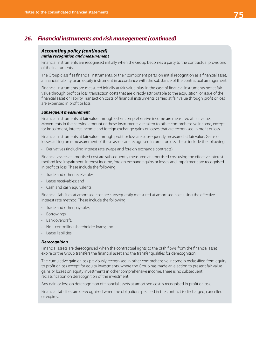# *26. Financial instruments and risk management (continued)*

#### *Accounting policy (continued) Initial recognition and measurement*

Financial instruments are recognised initially when the Group becomes a party to the contractual provisions of the instruments.

The Group classifies financial instruments, or their component parts, on initial recognition as a financial asset, a financial liability or an equity instrument in accordance with the substance of the contractual arrangement.

Financial instruments are measured initially at fair value plus, in the case of financial instruments not at fair value through profit or loss, transaction costs that are directly attributable to the acquisition, or issue of the financial asset or liability. Transaction costs of financial instruments carried at fair value through profit or loss are expensed in profit or loss.

#### *Subsequent measurement*

Financial instruments at fair value through other comprehensive income are measured at fair value. Movements in the carrying amount of these instruments are taken to other comprehensive income, except for impairment, interest income and foreign exchange gains or losses that are recognised in profit or loss.

Financial instruments at fair value through profit or loss are subsequently measured at fair value. Gains or losses arising on remeasurement of these assets are recognised in profit or loss. These include the following:

• Derivatives (including interest rate swaps and foreign exchange contracts)

Financial assets at amortised cost are subsequently measured at amortised cost using the effective interest method less impairment. Interest income, foreign exchange gains or losses and impairment are recognised in profit or loss. These include the following:

- Trade and other receivables;
- Lease receivables; and
- Cash and cash equivalents.

Financial liabilities at amortised cost are subsequently measured at amortised cost, using the effective interest rate method. These include the following:

- Trade and other payables;
- Borrowings;
- Bank overdraft;
- Non-controlling shareholder loans; and
- Lease liabilities

#### *Derecognition*

Financial assets are derecognised when the contractual rights to the cash flows from the financial asset expire or the Group transfers the financial asset and the transfer qualifies for derecognition.

The cumulative gain or loss previously recognised in other comprehensive income is reclassified from equity to profit or loss except for equity investments, where the Group has made an election to present fair value gains or losses on equity investments in other comprehensive income. There is no subsequent reclassification on derecognition of the investment.

Any gain or loss on derecognition of financial assets at amortised cost is recognised in profit or loss.

Financial liabilities are derecognised when the obligation specified in the contract is discharged, cancelled or expires.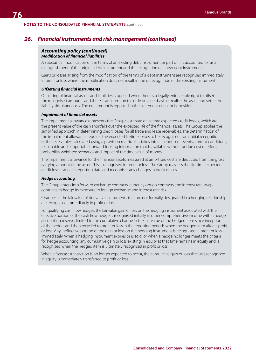# *26. Financial instruments and risk management (continued)*

#### *Accounting policy (continued) Modification of financial liabilities*

A substantial modification of the terms of an existing debt instrument or part of it is accounted for as an extinguishment of the original debt instrument and the recognition of a new debt instrument.

Gains or losses arising from the modification of the terms of a debt instrument are recognised immediately in profit or loss where the modification does not result in the derecognition of the existing instrument.

#### *Offsetting financial instruments*

Offsetting of financial assets and liabilities is applied when there is a legally enforceable right to offset the recognised amounts and there is an intention to settle on a net basis or realise the asset and settle the liability simultaneously. The net amount is reported in the statement of financial position.

#### *Impairment of financial assets*

The impairment allowance represents the Group's estimate of lifetime expected credit losses, which are the present value of the cash shortfalls over the expected life of the financial assets. The Group applies the simplified approach in determining credit losses for all trade and lease receivables. The determination of the impairment allowance requires the expected lifetime losses to be recognised from initial recognition of the receivables calculated using a provision matrix. This takes into account past events, current conditions, reasonable and supportable forward-looking information that is available without undue cost or effort, probability weighted scenarios and impact of the time value of money.

The impairment allowance for the financial assets measured at amortised cost are deducted from the gross carrying amount of the asset. This is recognised in profit or loss. The Group reassess the life-time expected credit losses at each reporting date and recognises any changes in profit or loss.

#### *Hedge accounting*

The Group enters into forward exchange contracts, currency option contracts and interest rate swap contracts to hedge its exposure to foreign exchange and interest rate risk.

Changes in the fair value of derivative instruments that are not formally designated in a hedging relationship are recognised immediately in profit or loss.

For qualifying cash flow hedges, the fair value gain or loss on the hedging instrument associated with the effective portion of the cash flow hedge is recognised initially in other comprehensive income within hedge accounting reserve, limited to the cumulative change in the fair value of the hedged item since inception of the hedge, and then recycled to profit or loss in the reporting periods when the hedged item affects profit or loss. Any ineffective portion of the gain or loss on the hedging instrument is recognised in profit or loss immediately. When a hedging instrument expires or is sold, or when a hedge no longer meets the criteria for hedge accounting, any cumulative gain or loss existing in equity at that time remains in equity and is recognised when the hedged item is ultimately recognised in profit or loss.

When a forecast transaction is no longer expected to occur, the cumulative gain or loss that was recognised in equity is immediately transferred to profit or loss.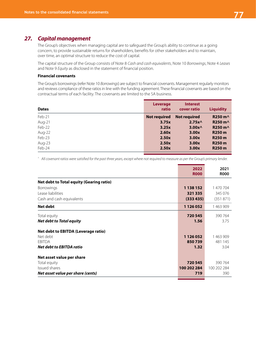# *27. Capital management*

The Group's objectives when managing capital are to safeguard the Group's ability to continue as a going concern, to provide sustainable returns for shareholders, benefits for other stakeholders and to maintain, over time, an optimal structure to reduce the cost of capital.

The capital structure of the Group consists of Note 8 *Cash and cash equivalents*, Note 10 *Borrowings*, Note 4 *Leases* and Note 9 *Equity* as disclosed in the statement of financial position.

#### **Financial covenants**

The Group's borrowings (refer Note 10 *Borrowings*) are subject to financial covenants. Management regularly monitors and reviews compliance of these ratios in line with the funding agreement. These financial covenants are based on the contractual terms of each facility. The covenants are limited to the SA business.

| <b>Dates</b> | <b>Leverage</b><br>ratio | <b>Interest</b><br>cover ratio | <b>Liquidity</b>                     |
|--------------|--------------------------|--------------------------------|--------------------------------------|
| Feb-21       | Not required             | Not required                   | R250 m <sup><math>\land</math></sup> |
| Aug-21       | 3.75x                    | 2.75x <sub>0</sub>             | R250 m <sup><math>\land</math></sup> |
| Feb-22       | 3.25x                    | 3.00x <sub>0</sub>             | R250 m <sup><math>\land</math></sup> |
| Aug-22       | 2.60x                    | 3.00x                          | R <sub>250</sub> m                   |
| Feb-23       | 2.50x                    | 3.00x                          | R <sub>250</sub> m                   |
| Aug-23       | 2.50x                    | 3.00x                          | R250 m                               |
| Feb-24       | 2.50x                    | 3.00x                          | R <sub>250</sub> m                   |

*^ All covenant ratios were satisfied for the past three years, except where not required to measure as per the Group's primary lender.*

|                                                 | 2022<br><b>R000</b> | 2021<br><b>R000</b> |
|-------------------------------------------------|---------------------|---------------------|
| <b>Net debt to Total equity (Gearing ratio)</b> |                     |                     |
| Borrowings                                      | 1 138 152           | 1 470 704           |
| Lease liabilities                               | 321 335             | 345 076             |
| Cash and cash equivalents                       | (333 435)           | (351 871)           |
| Net debt                                        | 1 1 2 6 0 5 2       | 1463909             |
| Total equity                                    | 720 545             | 390 764             |
| Net debt to Total equity                        | 1.56                | 3.75                |
| <b>Net debt to EBITDA (Leverage ratio)</b>      |                     |                     |
| Net debt                                        | 1 1 2 6 0 5 2       | 1463909             |
| <b>EBITDA</b>                                   | 850739              | 481 145             |
| Net debt to EBITDA ratio                        | 1.32                | 3.04                |
| Net asset value per share                       |                     |                     |
| Total equity                                    | 720 545             | 390 764             |
| Issued shares                                   | 100 202 284         | 100 202 284         |
| Net asset value per share (cents)               | 719                 | 390                 |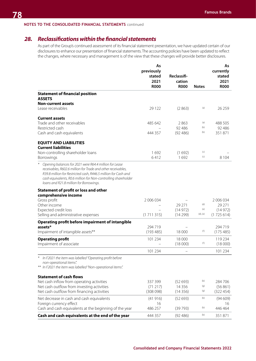#### **NOTES TO THE CONSOLIDATED FINANCIAL STATEMENTS** continued

# *28. Reclassifications within the financial statements*

As part of the Group's continued assessment of its financial statement presentation, we have updated certain of our disclosures to enhance our presentation of financial statements. The accounting policies have been updated to reflect the changes, where necessary and management is of the view that these changes will provide better disclosures.

|                                                                                                                                                                                                                                                                                                       | As<br>previously<br>stated<br>2021<br><b>R000</b> | Reclassifi-<br>cation<br><b>R000</b> | <b>Notes</b> | As<br>currently<br>stated<br>2021<br><b>R000</b> |
|-------------------------------------------------------------------------------------------------------------------------------------------------------------------------------------------------------------------------------------------------------------------------------------------------------|---------------------------------------------------|--------------------------------------|--------------|--------------------------------------------------|
| <b>Statement of financial position</b>                                                                                                                                                                                                                                                                |                                                   |                                      |              |                                                  |
| <b>ASSETS</b><br><b>Non-current assets</b>                                                                                                                                                                                                                                                            |                                                   |                                      |              |                                                  |
| Lease receivables                                                                                                                                                                                                                                                                                     | 29 1 22                                           | (2863)                               | (a)          | 26 259                                           |
| <b>Current assets</b>                                                                                                                                                                                                                                                                                 |                                                   |                                      |              |                                                  |
| Trade and other receivables                                                                                                                                                                                                                                                                           | 485 642                                           | 2863                                 | (a)          | 488 505                                          |
| Restricted cash                                                                                                                                                                                                                                                                                       |                                                   | 92 48 6                              | (b)<br>(b)   | 92 48 6                                          |
| Cash and cash equivalents                                                                                                                                                                                                                                                                             | 444 357                                           | (92, 486)                            |              | 351871                                           |
| <b>EQUITY AND LIABILITIES</b>                                                                                                                                                                                                                                                                         |                                                   |                                      |              |                                                  |
| <b>Current liabilities</b><br>Non-controlling shareholder loans                                                                                                                                                                                                                                       | 1692                                              | (1692)                               | (c)          |                                                  |
| Borrowings                                                                                                                                                                                                                                                                                            | 6412                                              | 1692                                 | (c)          | 8 1 0 4                                          |
| Opening balances for 2021 were R64.4 million for Lease<br>receivables, R602.6 million for Trade and other receivables,<br>R39.8 million for Restricted cash, R446.5 million for Cash and<br>cash equivalents, R0.6 million for Non-controlling shareholder<br>loans and R21.8 million for Borrowings. |                                                   |                                      |              |                                                  |
| Statement of profit or loss and other                                                                                                                                                                                                                                                                 |                                                   |                                      |              |                                                  |
| comprehensive income                                                                                                                                                                                                                                                                                  |                                                   |                                      |              |                                                  |
| Gross profit<br>Other income                                                                                                                                                                                                                                                                          | 2 006 034                                         | 29 271                               | (d)          | 2 006 034<br>29 271                              |
| Expected credit loss                                                                                                                                                                                                                                                                                  |                                                   | (14972)                              | (e)          | (14972)                                          |
| Selling and administrative expenses                                                                                                                                                                                                                                                                   | (1711315)                                         | (14299)                              | (d), (e)     | (1725614)                                        |
| Operating profit before impairment of intangible                                                                                                                                                                                                                                                      |                                                   |                                      |              |                                                  |
| assets*                                                                                                                                                                                                                                                                                               | 294 719                                           |                                      |              | 294 719                                          |
| Impairment of intangible assets**                                                                                                                                                                                                                                                                     | (193485)                                          | 18 000                               | (f)          | (175485)                                         |
| <b>Operating profit</b>                                                                                                                                                                                                                                                                               | 101 234                                           | 18 000                               | (f)          | 119 234                                          |
| Impairment of associate                                                                                                                                                                                                                                                                               |                                                   | (18000)                              |              | (18000)                                          |
|                                                                                                                                                                                                                                                                                                       | 101 234                                           |                                      |              | 101 234                                          |
| In F2021 the item was labelled "Operating profit before<br>non-operational items".<br>** In F2021 the item was labelled "Non-operational items".                                                                                                                                                      |                                                   |                                      |              |                                                  |
| <b>Statement of cash flows</b>                                                                                                                                                                                                                                                                        |                                                   |                                      |              |                                                  |
| Net cash inflow from operating activities                                                                                                                                                                                                                                                             | 337 399                                           | (52693)                              | (b)          | 284 706                                          |
| Net cash outflow from investing activities                                                                                                                                                                                                                                                            | (71217)                                           | 14 3 5 6                             | (g)          | (56861)                                          |
| Net cash outflow from financing activities                                                                                                                                                                                                                                                            | (308098)                                          | (14356)                              | (g)          | (322454)                                         |
| Net decrease in cash and cash equivalents                                                                                                                                                                                                                                                             | (41916)                                           | (52693)                              | (b)          | (94609)                                          |
| Foreign currency effect                                                                                                                                                                                                                                                                               | 16                                                |                                      |              | 16                                               |
| Cash and cash equivalents at the beginning of the year                                                                                                                                                                                                                                                | 486 257                                           | (39793)                              | (b)          | 446 464                                          |
| Cash and cash equivalents at the end of the year                                                                                                                                                                                                                                                      | 444 357                                           | (92486)                              | (b)          | 351871                                           |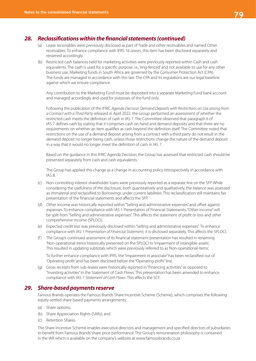

# *28. Reclassifications within the financial statements (continued)*

- (a) Lease receivables were previously disclosed as part of Trade and other receivables and named Other receivables. To enhance compliance with IFRS 16 *Leases*, this item has been disclosed separately and renamed accordingly.
- (b) Restricted cash balances held for marketing activities were previously reported within Cash and cash equivalents. The cash is used for a specific purpose i.e., 'ring-fenced' and not available to use for any other business use. Marketing funds in South Africa are governed by the Consumer Protection Act (CPA). The funds are managed in accordance with this law. The CPA and its regulations are our legal baseline against which we ensure compliance.

Any contribution to the Marketing Fund must be deposited into a separate Marketing Fund bank account and managed accordingly and used for purposes of the fund only.

Following the publication of the IFRIC *Agenda Decision Demand Deposits with Restrictions on Use arising from a Contract with a Third Party* released in April 2022, the Group performed an assessment of whether the restricted cash meets the definition of cash in IAS 7. The Committee observed that paragraph 6 of IAS 7 defines cash by stating that it 'comprises cash on hand and demand deposits' and that there are no requirements on whether an item qualifies as cash beyond the definition itself. The Committee noted that restrictions on the use of a demand deposit arising from a contract with a third party do not result in the demand deposit no longer being cash, unless those restrictions change the nature of the demand deposit in a way that it would no longer meet the definition of cash in IAS 7.

Based on the guidance in this IFRIC Agenda Decision, the Group has assessed that restricted cash should be presented separately from cash and cash equivalents.

The Group has applied this change as a change in accounting policy retrospectively in accordance with IAS 8.

- (c) Non-controlling interest shareholder loans were previously reported as a separate line on the SFP. While considering the usefulness of the disclosure, both quantitatively and qualitatively, the balance was assessed as immaterial and reclassified to Borrowings under current liabilities. This reclassification still maintains fair presentation of the financial statements and affects the SFP.
- (d) Other income was historically reported within "Selling and administrative expenses" and offset against expenses. To enhance compliance with IAS 1 Presentation of Financial Statements, "Other income" will be split from "Selling and administrative expenses". This affects the statement of profit or loss and other comprehensive income (SPLOCI).
- (e) Expected credit loss was previously disclosed within "Selling and administrative expenses". To enhance compliance with IAS 1 *Presentation of Financial Statement*, it is disclosed separately. This affects the SPLOCI.
- (f ) The Group's continued assessment of its financial statement presentation has resulted in renaming 'Non-operational items' historically presented on the SPLOCI to 'Impairment of intangible assets'. This resulted in updating subtotals which were previously referred to as 'Non-operational items'.

To further enhance compliance with IFRS, the "impairment in associate" has been reclassified out of 'Operating profit' and has been disclosed below the "Operating profit" line.

(g) Gross receipts from sub-leases were historically reported in "Financing activities" as opposed to "Investing activities" in the Statement of Cash Flows. This presentation has been amended to enhance compliance with IAS 7 *Statement of Cash Flows*. This affects the SCF.

### *29. Share-based payments reserve*

Famous Brands operates the Famous Brands Share Incentive Scheme (Scheme), which comprises the following equity-settled share based payments arrangements:

- (a) Share options;
- (b) Share Appreciation Rights (SARs); and
- (c) Retention Shares.

The Share Incentive Scheme enables executive directors and management and specified directors of subsidiaries to benefit from Famous Brands' share price performance. The Group's remuneration philosophy is contained in the IAR which is available on the company's website at www.famousbrands.co.za.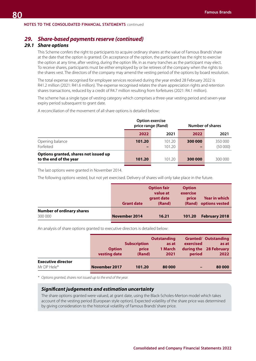#### **NOTES TO THE CONSOLIDATED FINANCIAL STATEMENTS** continued

# *29. Share-based payments reserve (continued)*

# *29.1 Share options*

This Scheme confers the right to participants to acquire ordinary shares at the value of Famous Brands' share at the date that the option is granted. On acceptance of the option, the participant has the right to exercise the option at any time, after vesting, during the option life, in as many tranches as the participant may elect. To receive shares, participants must be either employed by or be retirees of the company when the rights to the shares vest. The directors of the company may amend the vesting period of the options by board resolution.

The total expense recognised for employee services received during the year ended 28 February 2022 is R41.2 million (2021: R41.6 million). The expense recognised relates the share appreciation rights and retention shares transactions, reduced by a credit of R4.7 million resulting from forfeitures (2021: R4.1 million).

The scheme has a single type of vesting category which comprises a three-year vesting period and seven-year expiry period subsequent to grant date.

A reconciliation of the movement of all share options is detailed below:

|                                                                 |                                        | <b>Option exercise</b><br>price range (Rand) |         | Number of shares   |
|-----------------------------------------------------------------|----------------------------------------|----------------------------------------------|---------|--------------------|
|                                                                 | 2022                                   | 2021                                         | 2022    | 2021               |
| Opening balance<br>Forfeited                                    | 101.20<br>$\qquad \qquad \blacksquare$ | 101.20<br>101.20                             | 300 000 | 350 000<br>(50000) |
| Options granted, shares not issued up<br>to the end of the year | 101.20                                 | 101.20                                       | 300 000 | 300 000            |
|                                                                 |                                        |                                              |         |                    |

The last options were granted in November 2014.

The following options vested, but not yet exercised. Delivery of shares will only take place in the future.

|                                  | <b>Grant date</b> | <b>Option fair</b><br>value at<br>grant date<br>(Rand) | <b>Option</b><br>exercise<br>price<br>(Rand) | <b>Year in which</b><br>options vested |
|----------------------------------|-------------------|--------------------------------------------------------|----------------------------------------------|----------------------------------------|
| <b>Number of ordinary shares</b> |                   |                                                        |                                              |                                        |
| 300 000                          | November 2014     | 16.21                                                  | 101.20                                       | <b>February 2018</b>                   |

An analysis of share options granted to executive directors is detailed below:

|                           | <b>Option</b><br>vesting date | <b>Subscription</b><br>price<br>(Rand) | <b>Outstanding</b><br>as at<br>1 March<br>2021 | exercised<br>period | <b>Granted/ Outstanding</b><br>as at<br>during the 28 February<br>2022 |
|---------------------------|-------------------------------|----------------------------------------|------------------------------------------------|---------------------|------------------------------------------------------------------------|
| <b>Executive director</b> |                               |                                        |                                                |                     |                                                                        |
| Mr DP Hele*               | November 2017                 | 101.20                                 | 80 000                                         | -                   | 80 000                                                                 |
|                           |                               |                                        |                                                |                     |                                                                        |

*\* Options granted, shares not issued up to the end of the year.*

#### *Significant judgements and estimation uncertainty*

The share options granted were valued, at grant date, using the Black-Scholes-Merton model which takes account of the vesting period (European style option). Expected volatility of the share price was determined by giving consideration to the historical volatility of Famous Brands' share price.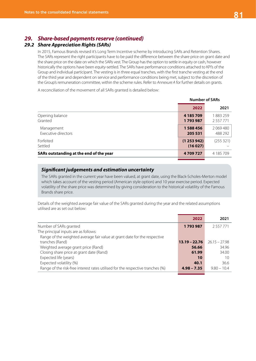# *29.2 Share Appreciation Rights (SARs)*

In 2015, Famous Brands revised it's Long Term Incentive scheme by introducing SARs and Retention Shares. The SARs represent the right participants have to be paid the difference between the share price on grant date and the share price on the date on which the SARs vest. The Group has the option to settle in equity or cash, however historically the options have been equity-settled. The SARs have performance conditions attached to KPI's of the Group and individual participant. The vesting is in three equal tranches, with the first tranche vesting at the end of the third year and dependent on service and performance conditions being met, subject to the discretion of the Group's remuneration committee, within the scheme rules. Refer to *Annexure A* for further details on grants.

A reconciliation of the movement of all SARs granted is detailed below:

|                                         | <b>Number of SARs</b> |                          |  |
|-----------------------------------------|-----------------------|--------------------------|--|
|                                         | 2022                  | 2021                     |  |
| Opening balance<br>Granted              | 4 185 709<br>1793987  | 1883259<br>2 5 5 7 7 7 1 |  |
| Management<br>Executive directors       | 1588456<br>205 531    | 2 069 480<br>488 292     |  |
| Forfeited<br>Settled                    | (1253942)<br>(16027)  | (255 321)                |  |
| SARs outstanding at the end of the year | 4709727               | 4 185 709                |  |

### *Significant judgements and estimation uncertainty*

The SARs granted in the current year have been valued, at grant date, using the Black-Scholes-Merton model which takes account of the vesting period (American style option) and 10 year exercise period. Expected volatility of the share price was determined by giving consideration to the historical volatility of the Famous Brands share price.

Details of the weighted average fair value of the SARs granted during the year and the related assumptions utilised are as set out below:

|                                                                                | 2022            | 2021            |
|--------------------------------------------------------------------------------|-----------------|-----------------|
| Number of SARs granted                                                         | 1793987         | 2 5 5 7 7 7 1   |
| The principal inputs are as follows:                                           |                 |                 |
| Range of the weighted average fair value at grant date for the respective      |                 |                 |
| tranches (Rand)                                                                | $13.19 - 22.76$ | $26.15 - 27.98$ |
| Weighted average grant price (Rand)                                            | 56.66           | 34.96           |
| Closing share price at grant date (Rand)                                       | 61.99           | 34.00           |
| Expected life (years)                                                          | 10              | 10              |
| Expected volatility (%)                                                        | 40.1            | 36.6            |
| Range of the risk-free interest rates utilised for the respective tranches (%) | $4.98 - 7.35$   | $9.80 - 10.4$   |
|                                                                                |                 |                 |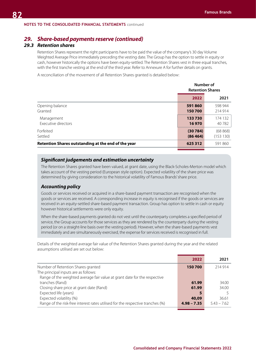# *29.3 Retention shares*

Retention Shares represent the right participants have to be paid the value of the company's 30 day Volume Weighted Average Price immediately preceding the vesting date. The Group has the option to settle in equity or cash, however historically the options have been equity-settled. The Retention Shares vest in three equal tranches, with the first tranche vesting at the end of the third year. Refer to Annexure A for further details on grants.

A reconciliation of the movement of all Retention Shares granted is detailed below:

|                                                     | Number of<br><b>Retention Shares</b> |           |  |
|-----------------------------------------------------|--------------------------------------|-----------|--|
|                                                     | 2022                                 | 2021      |  |
| Opening balance                                     | 591860                               | 598 944   |  |
| Granted                                             | 150700                               | 214 914   |  |
| Management                                          | 133730                               | 174 132   |  |
| Executive directors                                 | 16970                                | 40 782    |  |
| Forfeited                                           | (30784)                              | (68 868)  |  |
| Settled                                             | (86464)                              | (153 130) |  |
| Retention Shares outstanding at the end of the year | 625 312                              | 591 860   |  |

#### *Significant judgements and estimation uncertainty*

The Retention Shares granted have been valued, at grant date, using the Black-Scholes-Merton model which takes account of the vesting period (European style option). Expected volatility of the share price was determined by giving consideration to the historical volatility of Famous Brands' share price.

### *Accounting policy*

Goods or services received or acquired in a share-based payment transaction are recognised when the goods or services are received. A corresponding increase in equity is recognised if the goods or services are received in an equity-settled share-based payment transaction. Group has option to settle in cash or equity however historical settlements were only equity.

When the share-based payments granted do not vest until the counterparty completes a specified period of service, the Group accounts for those services as they are rendered by the counterparty during the vesting period (or on a straight-line basis over the vesting period). However, when the share-based payments vest immediately and are simultaneously exercised, the expense for services received is recognised in full.

Details of the weighted average fair value of the Retention Shares granted during the year and the related assumptions utilised are set out below:

|                                                                                | 2022          | 2021          |
|--------------------------------------------------------------------------------|---------------|---------------|
| Number of Retention Shares granted                                             | 150700        | 214 914       |
| The principal inputs are as follows:                                           |               |               |
| Range of the weighted average fair value at grant date for the respective      |               |               |
| tranches (Rand)                                                                | 61.99         | 34.00         |
| Closing share price at grant date (Rand)                                       | 61.99         | 34.00         |
| Expected life (years)                                                          |               |               |
| Expected volatility (%)                                                        | 40,09         | 36.61         |
| Range of the risk-free interest rates utilised for the respective tranches (%) | $4.98 - 7.35$ | $5.43 - 7.62$ |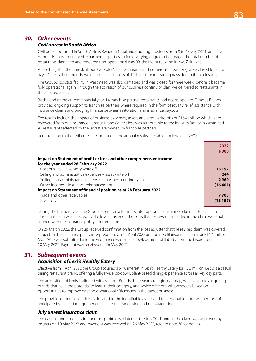### *30. Other events*

#### *Civil unrest in South Africa*

Civil unrest occurred in South Africa's KwaZulu-Natal and Gauteng provinces from 9 to 18 July 2021, and several Famous Brands and franchise partner properties suffered varying degrees of damage. The total number of restaurants damaged and rendered non-operational was 99, the majority being in KwaZulu-Natal.

At the height of the unrest, all our KwaZulu-Natal restaurants and numerous in Gauteng were closed for a few days. Across all our brands, we recorded a total loss of 4 111 restaurant trading days due to these closures.

The Group's logistics facility in Westmead was also damaged and was closed for three weeks before it became fully operational again. Through the activation of our business continuity plan, we delivered to restaurants in the affected areas.

By the end of the current financial year, 14 franchise partner restaurants had not re-opened. Famous Brands provided ongoing support to franchise partners where required in the form of royalty relief, assistance with insurance claims and bridging finance between restoration and insurance payouts.

The results include the impact of business expenses, assets and stock write-offs of R16.4 million which were recovered from our insurance. Famous Brands' direct loss was attributable to the logistics facility in Westmead. All restaurants affected by the unrest are owned by franchise partners.

Items relating to the civil unrest, recognised in the annual results, are tabled below (excl. VAT):

|                                                                      | 2022        |
|----------------------------------------------------------------------|-------------|
|                                                                      | <b>ROOO</b> |
| Impact on Statement of profit or loss and other comprehensive income |             |
| for the year ended 28 February 2022                                  |             |
| Cost of sales - inventory write off                                  | 13 197      |
| Selling and administrative expenses - asset write off                | 244         |
| Selling and administrative expenses - business continuity costs      | 2960        |
| Other income – insurance reimbursement                               | (16401)     |
| Impact on Statement of financial position as at 28 February 2022     |             |
| Trade and other receivables                                          | 7705        |
| Inventory                                                            | (13197)     |

During the financial year, the Group submitted a Business Interruption (BI) insurance claim for R17 million. This initial claim was rejected by the loss adjuster on the basis that loss events included in the claim were not aligned with the insurance policy interpretation.

On 29 March 2022, the Group received confirmation from the loss adjuster that the revised claim was covered subject to the insurance policy interpretation. On 14 April 2022 an updated BI insurance claim for R14.4 million (excl. VAT) was submitted and the Group received an acknowledgment of liability from the insurer on 10 May 2022. Payment was received on 26 May 2022.

# *31. Subsequent events*

# *Acquisition of Lexi's Healthy Eatery*

Effective from 1 April 2022 the Group acquired a 51% interest in Lexi's Healthy Eatery for R3.3 million. Lexi's is a casual dining restaurant brand, offering a full-service, sit-down, plant-based dining experience across all key day parts.

The acquisition of Lexi's is aligned with Famous Brands' three-year strategic roadmap, which includes acquiring brands that have the potential to lead in their category, and which offer growth prospects based on opportunities to improve existing operational efficiencies in the target business.

The provisional purchase price is allocated to the identifiable assets and the residual to goodwill because of anticipated scale and merger benefits related to franchising and manufacturing.

#### *July unrest insurance claim*

The Group submitted a claim for gross profit loss related to the July 2021 unrest. The claim was approved by insurers on 10 May 2022 and payment was received on 26 May 2022, refer to note 30 for details.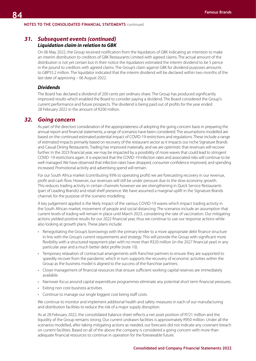# *31. Subsequent events (continued)*

### *Liquidation claim in relation to GBK*

On 06 May 2022, the Group received notification from the liquidators of GBK indicating an intention to make an interim distribution to creditors of GBK Restaurants Limited with agreed claims. The actual amount of the distribution is not yet certain but in their notice the liquidators estimated the interim dividend to be 5 pence in the pound to creditors with agreed claims. The Group's claim against GBK for dividend purposes amounts to GBP55.2 million. The liquidator indicated that the interim dividend will be declared within two months of the last date of approving – 06 August 2022.

#### *Dividends*

The Board has declared a dividend of 200 cents per ordinary share. The Group has produced significantly improved results which enabled the Board to consider paying a dividend. The Board considered the Group's current performance and future prospects. The dividend is being paid out of profits for the year ended 28 February 2022 in the amount of R200 million.

# *32. Going concern*

As part of the directors' consideration of the appropriateness of adopting the going concern basis in preparing the annual report and financial statements, a range of scenarios have been considered. The assumptions modelled are based on the continued estimated potential impact of COVID-19 restrictions and regulations. These include a range of estimated impacts primarily based on recovery of the restaurant sector as it impacts our niche Signature Brands and Casual Dining Restaurants. Trading has improved materially, and we are optimistic that revenues will recover further. In the 2023 financial year, we may be impacted by a possibility of more waves that could lead to stringent COVID -19 restrictions again. It is expected that the COVID-19 infection rates and associated risks will continue to be well managed. We have observed that infection rates have dropped, consumer confidence improved, and spending increased. Promotional activity and advertising spend will remain.

For our South Africa market (contributing 93% to operating profit) we are forecasting recovery in our revenue, profit and cash flow. However, our revenues will still be under pressure due to the slow economy growth. This reduces trading activity in certain channels however we are strengthening in Quick Service Restaurants (part of Leading Brands) and retail shelf presence. We have assumed a marginal uplift in the Signature Brands channel, for the purpose of the scenario modelling.

A key judgement applied is the likely impact of the various COVID-19 waves which impact trading activity in the South African market, movement of people and social distancing. The scenarios include an assumption that current levels of trading will remain in place until March 2023, considering the rate of vaccination. Our mitigating actions yielded positive results for our 2022 financial year, thus we continue to use our response actions while also looking at growth plans. These plans include:

- Renegotiating the Group's borrowings with the primary lender to a more appropriate debt finance structure in line with the Group's current requirements and strategy. This will provide the Group with significant more flexibility with a structured repayment plan with no more than R320 million (in the 2027 financial year) in any particular year and a much better debt profile (note 10).
- Temporary relaxation of contractual arrangements with franchise partners to ensure they are supported to speedily recover from the pandemic which in turn supports the recovery of economic activities within the Group as the business model is aligned to the success of the franchise partners.
- Closer management of financial resources that ensure sufficient working capital reserves are immediately available.
- Narrower focus around capital expenditure programmes eliminate any potential short term financial pressures.
- Exiting non core business activities.
- Continue to manage our single biggest cost being staff costs.

We continue to monitor and implement additional health and safety measures in each of our manufacturing and distribution facilities to reduce the risk of a major supply disruption.

As at 28 February 2022, the consolidated balance sheet reflects a net asset position of R721 million and the liquidity of the Group remains strong. Our current undrawn facilities is approximately R950 million. Under all the scenarios modelled, after taking mitigating actions as needed, our forecasts did not indicate any covenant breach on current facilities. Based on all of the above the company is considered a going concern with more than adequate financial resources to continue in operation for the foreseeable future.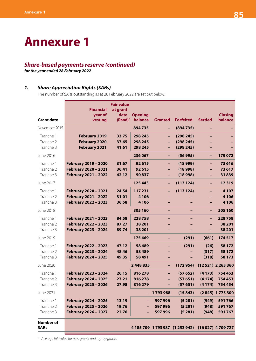# **Annexure 1**

# *Share-based payments reserve (continued)*

*for the year ended 28 February 2022*

# *1. Share Appreciation Rights (SARs)*

The number of SARs outstanding as at 28 February 2022 are set out below:

|                                 | <b>Financial</b>     | <b>Fair value</b><br>at grant |                |                |                                                    |                |                    |
|---------------------------------|----------------------|-------------------------------|----------------|----------------|----------------------------------------------------|----------------|--------------------|
|                                 | year of              | date                          | <b>Opening</b> |                |                                                    |                | <b>Closing</b>     |
| <b>Grant date</b>               | vesting              | $(Rand)^{\wedge}$             | balance        | <b>Granted</b> | <b>Forfeited</b>                                   | <b>Settled</b> | balance            |
| November 2015                   |                      |                               | 894735         | -              | (894735)                                           | -              |                    |
| Tranche 1                       | <b>February 2019</b> | 32.75                         | 298 245        | -              | (298 245)                                          | -              |                    |
| Tranche 2                       | <b>February 2020</b> | 37.65                         | 298 245        | -              | (298 245)                                          |                |                    |
| Tranche 3                       | <b>February 2021</b> | 41.61                         | 298 245        | -              | (298 245)                                          |                |                    |
| June 2016                       |                      |                               | 236 067        | -              | (56995)                                            | -              | 179 072            |
| Tranche 1                       | February 2019 - 2020 | 31.67                         | 92615          | -              | (18999)                                            | -              | 73 616             |
| Tranche 2                       | February 2020 - 2021 | 36.41                         | 92615          | -              | (18998)                                            | -              | 73617              |
| Tranche 3                       | February 2021 - 2022 | 42.12                         | 50837          | -              | (18998)                                            | -              | 31839              |
| June 2017                       |                      |                               | 125 443        | -              | (113124)                                           | ÷              | 12319              |
| Tranche 1                       | February 2020 - 2021 | 24.54                         | 117231         | -              | (113124)                                           | -              | 4 1 0 7            |
| Tranche 2                       | February 2021 - 2022 | 31.01                         | 4 1 0 6        |                |                                                    |                | 4 1 0 6            |
| Tranche 3                       | February 2022 - 2023 | 36.58                         | 4 1 0 6        |                |                                                    | -              | 4 1 0 6            |
| June 2018                       |                      |                               | 305 160        | -              | -                                                  | ÷              | 305 160            |
| Tranche 1                       | February 2021 - 2022 | 84.58                         | 228758         |                |                                                    | -              | 228758             |
| Tranche 2                       | February 2022 - 2023 | 87.27                         | 38 201         |                |                                                    | -              | 38 201             |
| Tranche 3                       | February 2023 - 2024 | 89.74                         | 38 201         |                |                                                    | -              | 38 201             |
| June 2019                       |                      |                               | 175 469        | -              | (291)                                              | (661)          | 174 517            |
| Tranche 1                       | February 2022 - 2023 | 47.12                         | 58 4 89        | -              | (291)                                              | (26)           | 58 172             |
| Tranche 2                       | February 2023 - 2024 | 48.46                         | 58 4 89        |                |                                                    | (317)          | 58 172             |
| Tranche 3                       | February 2024 - 2025 | 49.35                         | 58 491         |                |                                                    | (318)          | 58 173             |
| June 2020                       |                      |                               | 2448835        | -              | (172954)                                           |                | (12 521) 2 263 360 |
| Tranche 1                       | February 2023 - 2024 | 26.15                         | 816278         | -              | (57652)                                            | (4173)         | 754 453            |
| Tranche 2                       | February 2024 - 2025 | 27.21                         | 816278         |                | (57651)                                            | (4174)         | 754 453            |
| Tranche 3                       | February 2025 - 2026 | 27.98                         | 816279         | -              | (57651)                                            | (4174)         | 754 454            |
| June 2021                       |                      |                               | - 1            | 1793988        | (15843)                                            |                | (2845) 1775 300    |
| Tranche 1                       | February 2024 - 2025 | 13.19                         |                | 597996         | (5281)                                             | (949)          | 591766             |
| Tranche 2                       | February 2025 - 2026 | 19.76                         |                | 597 996        | (5281)                                             | (948)          | 591767             |
| Tranche 3                       | February 2026 - 2027 | 22.76                         |                | 597 996        | (5281)                                             | (948)          | 591767             |
| <b>Number of</b><br><b>SARs</b> |                      |                               |                |                | 4 185 709 1 793 987 (1 253 942) (16 027) 4 709 727 |                |                    |
|                                 |                      |                               |                |                |                                                    |                |                    |

*^ Average fair value for new grants and top-up grants.*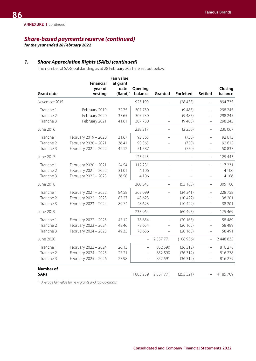*for the year ended 28 February 2022*

# *1. Share Appreciation Rights (SARs) (continued)*

The number of SARs outstanding as at 28 February 2021 are set out below:

|                   |                      | <b>Fair value</b>         |                          |                          |                          |                          |                    |
|-------------------|----------------------|---------------------------|--------------------------|--------------------------|--------------------------|--------------------------|--------------------|
|                   | <b>Financial</b>     | at grant                  |                          |                          |                          |                          |                    |
| <b>Grant date</b> | year of<br>vesting   | date<br>$(Rand)^{\wedge}$ | Opening<br>balance       | Granted                  | <b>Forfeited</b>         | <b>Settled</b>           | Closing<br>balance |
| November 2015     |                      |                           | 923 190                  | $\overline{\phantom{0}}$ | (28455)                  | $\overline{\phantom{0}}$ | 894 735            |
| Tranche 1         | February 2019        | 32.75                     | 307 730                  | $\overline{\phantom{0}}$ | (9485)                   | $\overline{\phantom{0}}$ | 298 245            |
| Tranche 2         | February 2020        | 37.65                     | 307730                   |                          | (9485)                   | $\overline{\phantom{0}}$ | 298 245            |
| Tranche 3         | February 2021        | 41.61                     | 307 730                  |                          | (9485)                   | $\overline{\phantom{0}}$ | 298 245            |
| June 2016         |                      |                           | 238 317                  |                          | (2 250)                  | $\overline{\phantom{0}}$ | 236 067            |
| Tranche 1         | February 2019 - 2020 | 31.67                     | 93 3 65                  |                          | (750)                    | $\overline{\phantom{0}}$ | 92 615             |
| Tranche 2         | February 2020 - 2021 | 36.41                     | 93 3 65                  |                          | (750)                    | $\qquad \qquad -$        | 92 615             |
| Tranche 3         | February 2021 - 2022 | 42.12                     | 51 587                   |                          | (750)                    | $\overline{\phantom{0}}$ | 50 837             |
| June 2017         |                      |                           | 125 443                  | $\overline{\phantom{0}}$ | $\overline{\phantom{0}}$ | $\overline{\phantom{0}}$ | 125 443            |
| Tranche 1         | February 2020 - 2021 | 24.54                     | 117 231                  |                          |                          | $\overline{\phantom{0}}$ | 117 231            |
| Tranche 2         | February 2021 - 2022 | 31.01                     | 4 1 0 6                  |                          |                          |                          | 4 1 0 6            |
| Tranche 3         | February 2022 - 2023 | 36.58                     | 4 1 0 6                  |                          |                          |                          | 4 1 0 6            |
| June 2018         |                      |                           | 360 345                  |                          | (55185)                  | $\overline{\phantom{0}}$ | 305 160            |
| Tranche 1         | February 2021 - 2022 | 84.58                     | 263 099                  | $\overline{\phantom{0}}$ | (34341)                  | $\overline{\phantom{0}}$ | 228 758            |
| Tranche 2         | February 2022 - 2023 | 87.27                     | 48 623                   |                          | (10422)                  |                          | 38 201             |
| Tranche 3         | February 2023 - 2024 | 89.74                     | 48 623                   |                          | (10422)                  |                          | 38 201             |
| June 2019         |                      |                           | 235 964                  |                          | (60495)                  | $\overline{\phantom{0}}$ | 175 469            |
| Tranche 1         | February 2022 - 2023 | 47.12                     | 78 654                   |                          | (20165)                  | $\overline{\phantom{0}}$ | 58 489             |
| Tranche 2         | February 2023 - 2024 | 48.46                     | 78 654                   |                          | (20165)                  |                          | 58 489             |
| Tranche 3         | February 2024 - 2025 | 49.35                     | 78 656                   |                          | (20165)                  | $\overline{\phantom{0}}$ | 58 491             |
| June 2020         |                      |                           | $\overline{\phantom{0}}$ | 2 5 5 7 7 7 1            | (108936)                 | $\qquad \qquad -$        | 2 448 835          |
| Tranche 1         | February 2023 - 2024 | 26.15                     | $\overline{\phantom{0}}$ | 852 590                  | (36312)                  | $\overline{\phantom{0}}$ | 816 278            |
| Tranche 2         | February 2024 - 2025 | 27.21                     |                          | 852 590                  | (36312)                  | $\overline{\phantom{0}}$ | 816 278            |
| Tranche 3         | February 2025 - 2026 | 27.98                     |                          | 852 591                  | (36312)                  | $\overline{\phantom{0}}$ | 816279             |
| <b>Number of</b>  |                      |                           |                          |                          |                          |                          |                    |
| <b>SARs</b>       |                      |                           | 1883259                  | 2 5 5 7 7 7 1            | (255321)                 |                          | 4 185 709          |

*^ Average fair value for new grants and top-up grants.*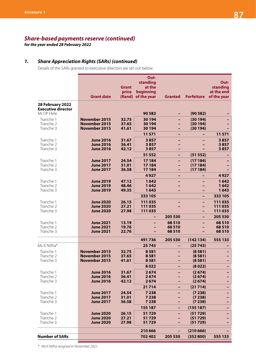*for the year ended 28 February 2022*

# *1. Share Appreciation Rights (SARs) (continued)*

Details of the SARs granted to executive directors are set out below:

|                                                             |                                      |                | Out-               |                  |                   |                    |
|-------------------------------------------------------------|--------------------------------------|----------------|--------------------|------------------|-------------------|--------------------|
|                                                             |                                      |                | standing           |                  |                   | Out-               |
|                                                             |                                      | <b>Grant</b>   | at the             |                  |                   | standing           |
|                                                             |                                      | price          | beginning          |                  |                   | at the end         |
|                                                             | <b>Grant date</b>                    |                | (Rand) of the year | <b>Granted</b>   | <b>Forfeiture</b> | of the year        |
| 28 February 2022<br><b>Executive director</b><br>Mr DP Hele |                                      |                | 90 582             |                  | (90582)           |                    |
| Tranche 1                                                   | November 2015                        | 32.75          | 30 194             |                  | (30194)           |                    |
| Tranche 2                                                   | <b>November 2015</b>                 | 37.65          | 30 194             |                  | (30194)           |                    |
| Tranche 3                                                   | November 2015                        | 41.61          | 30 194             |                  | (30194)           |                    |
|                                                             |                                      |                | 11571              |                  |                   | 11571              |
| Tranche 1                                                   | <b>June 2016</b>                     | 31.67          | 3857               |                  |                   | 3857               |
| Tranche 2                                                   | <b>June 2016</b>                     | 36.41          | 3857               |                  |                   | 3857               |
| Tranche 3                                                   | <b>June 2016</b>                     | 42.12          | 3857               |                  |                   | 3857               |
|                                                             |                                      |                | 51 552             | -                | (51552)           |                    |
| Tranche 1                                                   | <b>June 2017</b>                     | 24.54          | 17184              |                  | (17184)           |                    |
| Tranche 2                                                   | <b>June 2017</b>                     | 31.01          | 17184              |                  | (17184)           |                    |
| Tranche 3                                                   | <b>June 2017</b>                     | 36.58          | 17 184             | -                | (17184)           |                    |
|                                                             |                                      |                | 4927               |                  |                   | 4927               |
| Tranche 1                                                   | <b>June 2019</b>                     | 47.12          | 1642               |                  |                   | 1642               |
| Tranche 2                                                   | <b>June 2019</b>                     | 48.46          | 1642               |                  |                   | 1642               |
| Tranche 3                                                   | <b>June 2019</b>                     | 49.35          | 1643               |                  | -                 | 1643               |
|                                                             |                                      |                | 333 105            |                  |                   | 333 105            |
| Tranche 1                                                   | <b>June 2020</b>                     | 26.15          | 111035             |                  | -                 | 111035             |
| Tranche 2                                                   | <b>June 2020</b>                     | 27.21          | 111035             |                  | -                 | 111 035            |
| Tranche 3                                                   | <b>June 2020</b>                     | 27.98          | 111035             | 205 530          | -                 | 111 035<br>205 530 |
|                                                             |                                      |                |                    |                  | -                 |                    |
| Tranche 1                                                   | <b>June 2021</b>                     | 13.19          |                    | 68510            |                   | 68510              |
| Tranche 2<br>Tranche 3                                      | <b>June 2021</b><br><b>June 2021</b> | 19.76<br>22.76 |                    | 68 510<br>68 510 |                   | 68510<br>68510     |
|                                                             |                                      |                |                    |                  |                   |                    |
|                                                             |                                      |                | 491736             | 205 530          | (142134)          | 555 133            |
| Ms K Ntlha*                                                 |                                      |                | 25743              |                  | (25743)           |                    |
| Tranche 1                                                   | <b>November 2015</b>                 | 32.75          | 8581               |                  | (8581)            |                    |
| Tranche 2                                                   | <b>November 2015</b>                 | 37.65          | 8581               |                  | (8581)            |                    |
| Tranche 3                                                   | November 2015                        | 41.61          | 8581               |                  | (8581)            |                    |
|                                                             |                                      |                | 8022               |                  | (8022)            |                    |
| Tranche 1                                                   | <b>June 2016</b>                     | 31.67          | 2674               |                  | (2674)            |                    |
| Tranche 2<br>Tranche 3                                      | <b>June 2016</b>                     | 36.41<br>42.12 | 2674<br>2674       |                  | (2674)<br>(2674)  |                    |
|                                                             | <b>June 2016</b>                     |                |                    |                  | (21714)           |                    |
|                                                             |                                      |                | 21714              |                  |                   |                    |
| Tranche 1<br>Tranche 2                                      | <b>June 2017</b><br><b>June 2017</b> | 24.54<br>31.01 | 7238<br>7238       |                  | (7238)<br>(7238)  | -                  |
| Tranche 3                                                   | <b>June 2017</b>                     | 36.58          | 7238               |                  | (7238)            |                    |
|                                                             |                                      |                | 155 187            | -                | (155 187)         |                    |
| Tranche 1                                                   | <b>June 2020</b>                     | 26.15          | 51729              |                  | (51729)           |                    |
| Tranche 2                                                   | <b>June 2020</b>                     | 27.21          | 51729              |                  | (51729)           |                    |
| Tranche 3                                                   | <b>June 2020</b>                     | 27.98          | 51729              |                  | (51729)           |                    |
|                                                             |                                      |                |                    |                  |                   |                    |
| <b>Number of SARs</b>                                       |                                      |                | 210 666<br>702 402 | 205 530          | (210666)          |                    |
|                                                             |                                      |                |                    |                  | (352800)          | 555 133            |

*\* Ms K Ntlha resigned in November 2021.*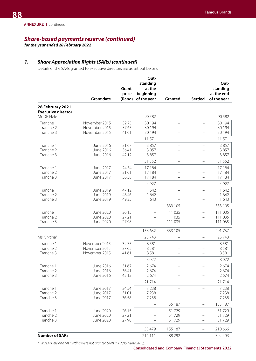*for the year ended 28 February 2022*

# *1. Share Appreciation Rights (SARs) (continued)*

Details of the SARs granted to executive directors are as set out below:

|                                               | <b>Grant date</b>      | Grant<br>price<br>(Rand) | Out-<br>standing<br>at the<br>beginning<br>of the year | Granted                  | <b>Settled</b>           | Out-<br>standing<br>at the end<br>of the year |
|-----------------------------------------------|------------------------|--------------------------|--------------------------------------------------------|--------------------------|--------------------------|-----------------------------------------------|
| 28 February 2021<br><b>Executive director</b> |                        |                          |                                                        |                          |                          |                                               |
| Mr DP Hele                                    |                        |                          | 90 582                                                 |                          |                          | 90 582                                        |
| Tranche 1                                     | November 2015          | 32.75                    | 30 194                                                 | $\overline{\phantom{0}}$ | $\overline{\phantom{0}}$ | 30 194                                        |
| Tranche 2                                     | November 2015          | 37.65                    | 30 194                                                 |                          |                          | 30 194                                        |
| Tranche 3                                     | November 2015          | 41.61                    | 30 194                                                 |                          |                          | 30 194                                        |
|                                               |                        |                          | 11 571                                                 | $\qquad \qquad -$        | $\qquad \qquad -$        | 11 571                                        |
| Tranche 1                                     | June 2016              | 31.67                    | 3857                                                   |                          |                          | 3857                                          |
| Tranche 2<br>Tranche 3                        | June 2016<br>June 2016 | 36.41<br>42.12           | 3857<br>3857                                           | $\overline{\phantom{0}}$ |                          | 3857<br>3857                                  |
|                                               |                        |                          |                                                        |                          |                          |                                               |
|                                               |                        |                          | 51 552                                                 | $\qquad \qquad -$        | $\qquad \qquad -$        | 51 552                                        |
| Tranche 1<br>Tranche 2                        | June 2017<br>June 2017 | 24.54<br>31.01           | 17 184<br>17 184                                       | $\overline{\phantom{0}}$ |                          | 17 184<br>17 184                              |
| Tranche 3                                     | June 2017              | 36.58                    | 17 184                                                 | $\overline{\phantom{0}}$ | $\overline{\phantom{0}}$ | 17 184                                        |
|                                               |                        |                          | 4 9 2 7                                                | $\overline{\phantom{0}}$ | $\qquad \qquad -$        | 4 9 2 7                                       |
| Tranche 1                                     | June 2019              | 47.12                    | 1642                                                   | $\overline{\phantom{0}}$ |                          | 1642                                          |
| Tranche 2                                     | June 2019              | 48.46                    | 1642                                                   |                          |                          | 1642                                          |
| Tranche 3                                     | June 2019              | 49.35                    | 1643                                                   |                          |                          | 1643                                          |
|                                               |                        |                          | $\overline{\phantom{0}}$                               | 333 105                  | $\overline{\phantom{m}}$ | 333 105                                       |
| Tranche 1                                     | June 2020              | 26.15                    | $\overline{\phantom{0}}$                               | 111 035                  | $\overline{\phantom{0}}$ | 111 035                                       |
| Tranche 2                                     | June 2020              | 27.21                    |                                                        | 111 035                  |                          | 111 035                                       |
| Tranche 3                                     | June 2020              | 27.98                    |                                                        | 111 035                  |                          | 111 035                                       |
|                                               |                        |                          | 158 632                                                | 333 105                  | $\qquad \qquad -$        | 491 737                                       |
| Ms K Ntlha*                                   |                        |                          | 25 7 43                                                | $\overline{\phantom{0}}$ | $\overline{\phantom{0}}$ | 25 743                                        |
| Tranche 1                                     | November 2015          | 32.75                    | 8581                                                   |                          |                          | 8581                                          |
| Tranche 2                                     | November 2015          | 37.65                    | 8581                                                   |                          |                          | 8581                                          |
| Tranche 3                                     | November 2015          | 41.61                    | 8581                                                   |                          |                          | 8581                                          |
|                                               |                        |                          | 8022                                                   | $\overline{\phantom{0}}$ | $\equiv$                 | 8022                                          |
| Tranche 1                                     | June 2016              | 31.67                    | 2674                                                   | $\overline{\phantom{0}}$ |                          | 2674                                          |
| Tranche 2<br>Tranche 3                        | June 2016<br>June 2016 | 36.41<br>42.12           | 2674<br>2674                                           |                          |                          | 2674<br>2674                                  |
|                                               |                        |                          |                                                        |                          |                          |                                               |
|                                               |                        |                          | 21 7 14                                                |                          | $\overline{\phantom{0}}$ | 21714                                         |
| Tranche 1<br>Tranche 2                        | June 2017<br>June 2017 | 24.54<br>31.01           | 7 2 3 8<br>7 2 3 8                                     |                          | -                        | 7 2 3 8<br>7 2 3 8                            |
| Tranche 3                                     | June 2017              | 36.58                    | 7 2 3 8                                                |                          |                          | 7 2 3 8                                       |
|                                               |                        |                          |                                                        | 155 187                  | $\overline{\phantom{0}}$ | 155 187                                       |
| Tranche 1                                     | June 2020              | 26.15                    |                                                        | 51729                    |                          | 51729                                         |
| Tranche 2                                     | June 2020              | 27.21                    |                                                        | 51729                    |                          | 51729                                         |
| Tranche 3                                     | June 2020              | 27.98                    |                                                        | 51729                    | -                        | 51729                                         |
|                                               |                        |                          | 55 479                                                 | 155 187                  | $\qquad \qquad -$        | 210 666                                       |
| <b>Number of SARs</b>                         |                        |                          | 214 111                                                | 488 292                  | -                        | 702 403                                       |

*\* Mr DP Hele and Ms K Ntlha were not granted SARs in F2019 (June 2018).*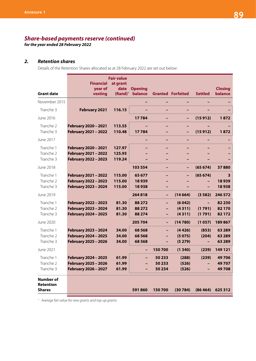*for the year ended 28 February 2022*

### *2. Retention shares*

Details of the Retention Shares allocated as at 28 February 2022 are set out below:

| <b>Grant date</b>                              | <b>Financial</b><br>year of<br>vesting                               | <b>Fair value</b><br>at grant<br>date<br>$(Rand)^{\wedge}$ | <b>Opening</b><br>balance     |                                                           | <b>Granted Forfeited</b>   | <b>Settled</b>                             | <b>Closing</b><br>balance  |
|------------------------------------------------|----------------------------------------------------------------------|------------------------------------------------------------|-------------------------------|-----------------------------------------------------------|----------------------------|--------------------------------------------|----------------------------|
| November 2015                                  |                                                                      |                                                            |                               |                                                           |                            |                                            |                            |
| Tranche 3                                      | February 2021                                                        | 116.15                                                     |                               |                                                           |                            |                                            |                            |
| June 2016                                      |                                                                      |                                                            | 17784                         |                                                           |                            | (15912)                                    | 1872                       |
| Tranche 2<br>Tranche 3                         | February 2020 - 2021<br>February 2021 - 2022                         | 113.55<br>110.48                                           | 17784                         |                                                           | $\overline{\phantom{0}}$   | (15912)                                    | 1872                       |
| June 2017                                      |                                                                      |                                                            |                               | $\overline{\phantom{0}}$                                  |                            |                                            |                            |
| Tranche 1<br>Tranche 2<br>Tranche 3            | February 2020 - 2021<br>February 2021 - 2022<br>February 2022 - 2023 | 127.97<br>125.93<br>119.24                                 |                               |                                                           |                            |                                            |                            |
| June 2018                                      |                                                                      |                                                            | 103 554                       |                                                           |                            | (65674)                                    | 37880                      |
| Tranche 1<br>Tranche 2<br>Tranche 3            | February 2021 - 2022<br>February 2022 - 2023<br>February 2023 - 2024 | 115.00<br>115.00<br>115.00                                 | 65 677<br>18939<br>18938      |                                                           |                            | (65674)                                    | 3<br>18939<br>18938        |
| June 2019                                      |                                                                      |                                                            | 264818                        | $\overline{\phantom{0}}$                                  | (14664)                    | (3582)                                     | 246 572                    |
| Tranche 1<br>Tranche 2<br>Tranche 3            | February 2022 - 2023<br>February 2023 - 2024<br>February 2024 - 2025 | 81.30<br>81.30<br>81.30                                    | 88 272<br>88 272<br>88 274    | $\overline{\phantom{0}}$<br>$\overline{\phantom{0}}$<br>- | (6042)<br>(4311)<br>(4311) | (1791)<br>(1791)                           | 82 230<br>82 170<br>82 172 |
| June 2020                                      |                                                                      |                                                            | 205 704                       | $\overline{\phantom{0}}$                                  | (14780)                    | (1057)                                     | 189867                     |
| Tranche 1<br>Tranche 2<br>Tranche 3            | February 2023 - 2024<br>February 2024 - 2025<br>February 2025 - 2026 | 34.00<br>34.00<br>34.00                                    | 68 5 68<br>68 5 68<br>68 5 68 | ۳                                                         | (4426)<br>(5075)<br>(5279) | (853)<br>(204)<br>$\overline{\phantom{0}}$ | 63 289<br>63 289<br>63 289 |
| June 2021                                      |                                                                      |                                                            |                               | 150700                                                    | (1340)                     | (239)                                      | 149 121                    |
| Tranche 1<br>Tranche 2<br>Tranche 3            | February 2024 - 2025<br>February 2025 - 2026<br>February 2026 - 2027 | 61.99<br>61.99<br>61.99                                    | -                             | 50 233<br>50 233<br>50 234                                | (288)<br>(526)<br>(526)    | (239)                                      | 49706<br>49707<br>49708    |
| Number of<br><b>Retention</b><br><b>Shares</b> |                                                                      |                                                            | 591860                        | 150700                                                    | (30784)                    | (86464)                                    | 625 312                    |

*^ Average fair value for new grants and top-up grants.*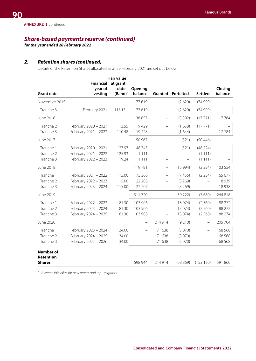*for the year ended 28 February 2022*

# *2. Retention shares (continued)*

Details of the Retention Shares allocated as at 29 February 2021 are set out below:

|                                                |                                                                      | <b>Fair value</b>          |                               |                                                                                  |                               |                                                                                  |                               |
|------------------------------------------------|----------------------------------------------------------------------|----------------------------|-------------------------------|----------------------------------------------------------------------------------|-------------------------------|----------------------------------------------------------------------------------|-------------------------------|
|                                                | <b>Financial</b>                                                     | at grant                   |                               |                                                                                  |                               |                                                                                  |                               |
| <b>Grant date</b>                              | year of<br>vesting                                                   | date<br>$(Rand)^{\wedge}$  | Opening<br>balance            |                                                                                  | <b>Granted Forfeited</b>      | <b>Settled</b>                                                                   | Closing<br>balance            |
| November 2015                                  |                                                                      |                            | 77619                         | $\overline{\phantom{0}}$                                                         | (2620)                        | (74999)                                                                          |                               |
| Tranche 3                                      | February 2021                                                        | 116.15                     | 77619                         |                                                                                  | (2620)                        | (74999)                                                                          |                               |
| June 2016                                      |                                                                      |                            | 38 857                        | $\qquad \qquad -$                                                                | (3302)                        | (17771)                                                                          | 17784                         |
| Tranche 2<br>Tranche 3                         | February 2020 - 2021<br>February 2021 - 2022                         | 113.55<br>110.48           | 19429<br>19428                | $\qquad \qquad -$<br>$\qquad \qquad -$                                           | (1658)<br>(1644)              | (17771)                                                                          | 17784                         |
| June 2017                                      |                                                                      |                            | 50 967                        | $\overline{\phantom{m}}$                                                         | (521)                         | (50446)                                                                          |                               |
| Tranche 1<br>Tranche 2<br>Tranche 3            | February 2020 - 2021<br>February 2021 - 2022<br>February 2022 - 2023 | 127.97<br>125.93<br>119.24 | 48 745<br>1 1 1 1<br>1 1 1 1  |                                                                                  | (521)                         | (48 224)<br>(1111)<br>(1111)                                                     |                               |
| June 2018                                      |                                                                      |                            | 119781                        | $\overline{\phantom{m}}$                                                         | (13994)                       | (2 234)                                                                          | 103 554                       |
| Tranche 1<br>Tranche 2<br>Tranche 3            | February 2021 - 2022<br>February 2022 - 2023<br>February 2023 - 2024 | 115.00<br>115.00<br>115.00 | 75 366<br>22 208<br>22 207    | $\overline{\phantom{m}}$<br>$\overline{\phantom{0}}$<br>$\overline{\phantom{0}}$ | (7455)<br>(3269)<br>(3269)    | (2 234)<br>$-$                                                                   | 65 677<br>18 9 39<br>18 9 38  |
| June 2019                                      |                                                                      |                            | 311720                        | $\qquad \qquad -$                                                                | (39 222)                      | (7680)                                                                           | 264 818                       |
| Tranche 1<br>Tranche 2<br>Tranche 3            | February 2022 - 2023<br>February 2023 - 2024<br>February 2024 - 2025 | 81.30<br>81.30<br>81.30    | 103 906<br>103 906<br>103 908 | $\overline{\phantom{m}}$<br>$\qquad \qquad -$<br>$\overline{\phantom{m}}$        | (13074)<br>(13074)<br>(13074) | (2560)<br>(2560)<br>(2560)                                                       | 88 27 2<br>88 272<br>88 274   |
| June 2020                                      |                                                                      |                            | $\qquad \qquad -$             | 214 914                                                                          | (9 210)                       | $\qquad \qquad -$                                                                | 205 704                       |
| Tranche 1<br>Tranche 2<br>Tranche 3            | February 2023 - 2024<br>February 2024 - 2025<br>February 2025 - 2026 | 34.00<br>34.00<br>34.00    | $\overline{\phantom{0}}$      | 71 638<br>71 638<br>71 638                                                       | (3070)<br>(3070)<br>(3070)    | $\overline{\phantom{0}}$<br>$\overline{\phantom{0}}$<br>$\overline{\phantom{0}}$ | 68 5 68<br>68 5 68<br>68 5 68 |
| <b>Number of</b><br>Retention<br><b>Shares</b> |                                                                      |                            | 598 944                       | 214 914                                                                          | (68869)                       | (153130)                                                                         | 591 860                       |

*^ Average fair value for new grants and top-up grants.*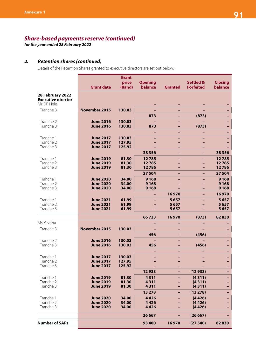*for the year ended 28 February 2022*

# *2. Retention shares (continued)*

Details of the Retention Shares granted to executive directors are set out below:

| <b>Grant date</b> | <b>Grant</b><br>price<br>(Rand)                                                                                                                                                                                                                                  | <b>Opening</b><br>balance                                                                                              | <b>Granted</b>                                                         | <b>Settled &amp;</b><br><b>Forfeited</b> | <b>Closing</b><br>balance                      |
|-------------------|------------------------------------------------------------------------------------------------------------------------------------------------------------------------------------------------------------------------------------------------------------------|------------------------------------------------------------------------------------------------------------------------|------------------------------------------------------------------------|------------------------------------------|------------------------------------------------|
|                   |                                                                                                                                                                                                                                                                  |                                                                                                                        |                                                                        |                                          |                                                |
| November 2015     | 130.03                                                                                                                                                                                                                                                           |                                                                                                                        |                                                                        |                                          |                                                |
|                   |                                                                                                                                                                                                                                                                  | 873                                                                                                                    |                                                                        |                                          |                                                |
| <b>June 2016</b>  | 130.03                                                                                                                                                                                                                                                           |                                                                                                                        |                                                                        |                                          |                                                |
| <b>June 2016</b>  | 130.03                                                                                                                                                                                                                                                           | 873                                                                                                                    |                                                                        | (873)                                    |                                                |
|                   |                                                                                                                                                                                                                                                                  |                                                                                                                        |                                                                        |                                          |                                                |
| <b>June 2017</b>  | 130.03                                                                                                                                                                                                                                                           |                                                                                                                        |                                                                        |                                          |                                                |
|                   |                                                                                                                                                                                                                                                                  |                                                                                                                        |                                                                        |                                          |                                                |
|                   |                                                                                                                                                                                                                                                                  |                                                                                                                        |                                                                        |                                          | 38 3 5 6                                       |
|                   |                                                                                                                                                                                                                                                                  |                                                                                                                        |                                                                        |                                          |                                                |
|                   |                                                                                                                                                                                                                                                                  |                                                                                                                        |                                                                        |                                          | 12785<br>12785                                 |
| <b>June 2019</b>  | 81.30                                                                                                                                                                                                                                                            | 12786                                                                                                                  |                                                                        |                                          | 12786                                          |
|                   |                                                                                                                                                                                                                                                                  | 27 504                                                                                                                 |                                                                        | -                                        | 27 504                                         |
| <b>June 2020</b>  | 34.00                                                                                                                                                                                                                                                            | 9 1 6 8                                                                                                                |                                                                        |                                          | 9 1 6 8                                        |
| <b>June 2020</b>  | 34.00                                                                                                                                                                                                                                                            | 9 1 6 8                                                                                                                |                                                                        |                                          | 9 1 6 8                                        |
|                   |                                                                                                                                                                                                                                                                  |                                                                                                                        |                                                                        |                                          | 9 1 6 8                                        |
|                   |                                                                                                                                                                                                                                                                  |                                                                                                                        |                                                                        | -                                        | 16970                                          |
|                   |                                                                                                                                                                                                                                                                  |                                                                                                                        |                                                                        |                                          | 5657<br>5657                                   |
| <b>June 2021</b>  | 61.99                                                                                                                                                                                                                                                            |                                                                                                                        | 5657                                                                   |                                          | 5657                                           |
|                   |                                                                                                                                                                                                                                                                  | 66733                                                                                                                  | 16970                                                                  | (873)                                    | 82830                                          |
|                   |                                                                                                                                                                                                                                                                  |                                                                                                                        |                                                                        |                                          |                                                |
| November 2015     | 130.03                                                                                                                                                                                                                                                           |                                                                                                                        |                                                                        | $\overline{\phantom{0}}$                 |                                                |
|                   |                                                                                                                                                                                                                                                                  | 456                                                                                                                    |                                                                        | (456)                                    |                                                |
| <b>June 2016</b>  | 130.03                                                                                                                                                                                                                                                           |                                                                                                                        |                                                                        |                                          |                                                |
|                   |                                                                                                                                                                                                                                                                  | 456                                                                                                                    |                                                                        | (456)                                    |                                                |
|                   |                                                                                                                                                                                                                                                                  |                                                                                                                        |                                                                        |                                          |                                                |
| <b>June 2017</b>  | 130.03                                                                                                                                                                                                                                                           |                                                                                                                        |                                                                        |                                          |                                                |
|                   |                                                                                                                                                                                                                                                                  |                                                                                                                        |                                                                        |                                          |                                                |
|                   |                                                                                                                                                                                                                                                                  |                                                                                                                        |                                                                        |                                          |                                                |
|                   |                                                                                                                                                                                                                                                                  |                                                                                                                        |                                                                        |                                          |                                                |
|                   |                                                                                                                                                                                                                                                                  |                                                                                                                        |                                                                        |                                          |                                                |
| <b>June 2019</b>  | 81.30                                                                                                                                                                                                                                                            | 4311                                                                                                                   |                                                                        | (4311)                                   |                                                |
|                   |                                                                                                                                                                                                                                                                  | 13 2 78                                                                                                                |                                                                        | (13 278)                                 |                                                |
| <b>June 2020</b>  | 34.00                                                                                                                                                                                                                                                            | 4426                                                                                                                   |                                                                        | (4426)                                   |                                                |
| <b>June 2020</b>  | 34.00                                                                                                                                                                                                                                                            | 4426                                                                                                                   |                                                                        | (4426)                                   |                                                |
|                   |                                                                                                                                                                                                                                                                  |                                                                                                                        |                                                                        |                                          |                                                |
|                   |                                                                                                                                                                                                                                                                  | 26 667                                                                                                                 |                                                                        | (26667)                                  |                                                |
|                   |                                                                                                                                                                                                                                                                  | 93 400                                                                                                                 | 16970                                                                  | (27540)                                  | 82830                                          |
|                   | <b>June 2017</b><br><b>June 2017</b><br><b>June 2019</b><br><b>June 2019</b><br><b>June 2020</b><br><b>June 2021</b><br><b>June 2021</b><br><b>June 2016</b><br><b>June 2017</b><br><b>June 2017</b><br><b>June 2019</b><br><b>June 2019</b><br><b>June 2020</b> | 127.95<br>125.92<br>81.30<br>81.30<br>34.00<br>61.99<br>61.99<br>130.03<br>127.95<br>125.92<br>81.30<br>81.30<br>34.00 | 38 3 5 6<br>12785<br>12785<br>9 1 6 8<br>12933<br>4311<br>4311<br>4426 | 16970<br>5657<br>5657                    | (873)<br>(12933)<br>(4311)<br>(4311)<br>(4426) |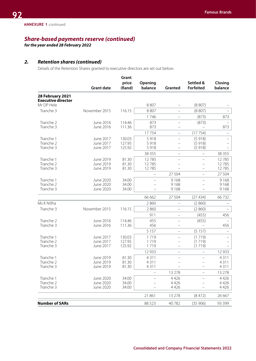*for the year ended 28 February 2022*

# *2. Retention shares (continued)*

Details of the Retention Shares granted to executive directors are set out below:

|                           | <b>Grant date</b>      | Grant<br>price<br>(Rand) | Opening<br>balance       | Granted                  | Settled &<br><b>Forfeited</b> | Closing<br>balance |
|---------------------------|------------------------|--------------------------|--------------------------|--------------------------|-------------------------------|--------------------|
| 28 February 2021          |                        |                          |                          |                          |                               |                    |
| <b>Executive director</b> |                        |                          |                          |                          |                               |                    |
| Mr DP Hele                |                        |                          | 8 8 0 7                  |                          | (8807)                        |                    |
| Tranche 3                 | November 2015          | 116.15                   | 8807                     | -                        | (8807)                        |                    |
|                           |                        |                          | 1746                     | $\overline{\phantom{0}}$ | (873)                         | 873                |
| Tranche 2                 | June 2016              | 114.46                   | 873                      |                          | (873)                         |                    |
| Tranche 3                 | June 2016              | 111.36                   | 873                      |                          |                               | 873                |
|                           |                        |                          | 17754                    | $\qquad \qquad -$        | (17754)                       |                    |
| Tranche 1                 | June 2017              | 130.03                   | 5918                     |                          | (5918)                        |                    |
| Tranche 2                 | June 2017              | 127.95                   | 5918                     |                          | (5918)                        |                    |
| Tranche 3                 | June 2017              | 125.92                   | 5918                     | -                        | (5918)                        |                    |
|                           |                        |                          | 38 355                   |                          |                               | 38 355             |
| Tranche 1                 | June 2019              | 81.30                    | 12785                    |                          |                               | 12785              |
| Tranche 2<br>Tranche 3    | June 2019<br>June 2019 | 81.30<br>81.30           | 12785<br>12785           |                          | -                             | 12785<br>12785     |
|                           |                        |                          |                          | 27 504                   | $\overline{\phantom{0}}$      | 27 504             |
| Tranche 1                 | June 2020              | 34.00                    | $\overline{\phantom{0}}$ | 9 1 6 8                  | $\overline{\phantom{0}}$      | 9 1 6 8            |
| Tranche 2                 | June 2020              | 34.00                    |                          | 9 1 6 8                  |                               | 9168               |
| Tranche 3                 | June 2020              | 34.00                    |                          | 9168                     |                               | 9168               |
|                           |                        |                          | 66 662                   | 27 504                   | (27434)                       | 66732              |
| Ms K Ntlha                |                        |                          | 2860                     | $\qquad \qquad -$        | (2860)                        |                    |
| Tranche 3                 | November 2015          | 116.15                   | 2860                     | $\overline{\phantom{0}}$ | (2860)                        |                    |
|                           |                        |                          | 911                      | $\qquad \qquad -$        | (455)                         | 456                |
| Tranche 2                 | June 2016              | 114.46                   | 455                      | $\overline{\phantom{0}}$ | (455)                         |                    |
| Tranche 3                 | June 2016              | 111.36                   | 456                      | $\overline{\phantom{0}}$ |                               | 456                |
|                           |                        |                          | 5 1 5 7                  | $\overline{\phantom{0}}$ | (5157)                        |                    |
| Tranche 1                 | June 2017              | 130.03                   | 1719                     | $\overline{\phantom{0}}$ | (1719)                        |                    |
| Tranche 2                 | June 2017              | 127.95                   | 1719                     |                          | (1719)                        |                    |
| Tranche 3                 | June 2017              | 125.92                   | 1719                     | -                        | (1719)                        |                    |
|                           |                        |                          | 12 9 33                  |                          |                               | 12 9 33            |
| Tranche 1                 | June 2019              | 81.30                    | 4311                     |                          |                               | 4311               |
| Tranche 2                 | June 2019              | 81.30                    | 4311                     |                          |                               | 4311               |
| Tranche 3                 | June 2019              | 81.30                    | 4311                     |                          |                               | 4 3 1 1            |
|                           |                        |                          |                          | 13 278                   |                               | 13 278             |
| Tranche 1                 | June 2020              | 34.00                    |                          | 4426                     |                               | 4426               |
| Tranche 2<br>Tranche 3    | June 2020<br>June 2020 | 34.00<br>34.00           |                          | 4426<br>4426             |                               | 4426<br>4426       |
|                           |                        |                          |                          |                          |                               |                    |
|                           |                        |                          | 21861                    | 13 278                   | (8472)                        | 26 667             |
| <b>Number of SARs</b>     |                        |                          | 88 5 23                  | 40782                    | (35906)                       | 93 3 99            |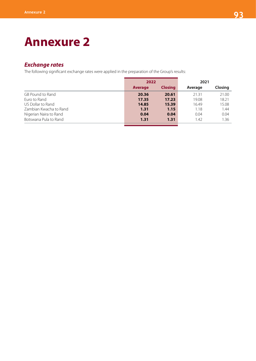# **Annexure 2**

# *Exchange rates*

The following significant exchange rates were applied in the preparation of the Group's results:

|                        | 2022           |                | 2021    |                |
|------------------------|----------------|----------------|---------|----------------|
|                        | <b>Average</b> | <b>Closing</b> | Average | <b>Closing</b> |
| GB Pound to Rand       | 20.36          | 20.61          | 21.31   | 21.00          |
| Euro to Rand           | 17.35          | 17.23          | 19.08   | 18.21          |
| US Dollar to Rand      | 14.85          | 15.39          | 16.49   | 15.08          |
| Zambian Kwacha to Rand | 1.31           | 1.15           | 1.18    | 1.44           |
| Nigerian Naira to Rand | 0.04           | 0.04           | 0.04    | 0.04           |
| Botswana Pula to Rand  | 1.31           | 1.31           | 1.42    | 1.36           |
|                        |                |                |         |                |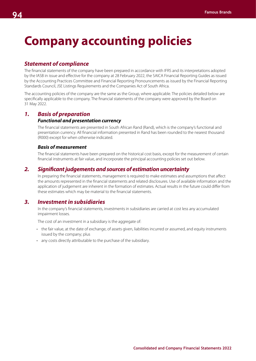# **Company accounting policies**

# *Statement of compliance*

The financial statements of the company have been prepared in accordance with IFRS and its interpretations adopted by the IASB in issue and effective for the company at 28 February 2022, the SAICA Financial Reporting Guides as issued by the Accounting Practices Committee and Financial Reporting Pronouncements as issued by the Financial Reporting Standards Council, JSE Listings Requirements and the Companies Act of South Africa.

The accounting policies of the company are the same as the Group, where applicable. The policies detailed below are specifically applicable to the company. The financial statements of the company were approved by the Board on 31 May 2022.

### *1. Basis of preparation Functional and presentation currency*

The financial statements are presented in South African Rand (Rand), which is the company's functional and presentation currency. All financial information presented in Rand has been rounded to the nearest thousand (R000) except for when otherwise indicated.

#### *Basis of measurement*

The financial statements have been prepared on the historical cost basis, except for the measurement of certain financial instruments at fair value, and incorporate the principal accounting policies set out below.

# *2. Significant judgements and sources of estimation uncertainty*

In preparing the financial statements, management is required to make estimates and assumptions that affect the amounts represented in the financial statements and related disclosures. Use of available information and the application of judgement are inherent in the formation of estimates. Actual results in the future could differ from these estimates which may be material to the financial statements.

# *3. Investment in subsidiaries*

In the company's financial statements, investments in subsidiaries are carried at cost less any accumulated impairment losses.

The cost of an investment in a subsidiary is the aggregate of:

- the fair value, at the date of exchange, of assets given, liabilities incurred or assumed, and equity instruments issued by the company; plus
- any costs directly attributable to the purchase of the subsidiary.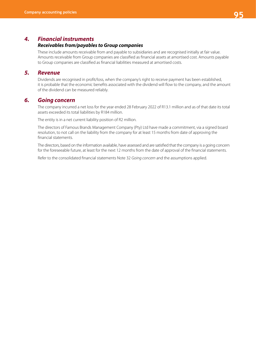# *4. Financial instruments*

#### *Receivables from/payables to Group companies*

These include amounts receivable from and payable to subsidiaries and are recognised initially at fair value. Amounts receivable from Group companies are classified as financial assets at amortised cost. Amounts payable to Group companies are classified as financial liabilities measured at amortised costs.

# *5. Revenue*

Dividends are recognised in profit/loss, when the company's right to receive payment has been established, it is probable that the economic benefits associated with the dividend will flow to the company, and the amount of the dividend can be measured reliably.

# *6. Going concern*

The company incurred a net loss for the year ended 28 February 2022 of R13.1 million and as of that date its total assets exceeded its total liabilities by R184 million.

The entity is in a net current liability position of R2 million.

The directors of Famous Brands Management Company (Pty) Ltd have made a commitment, via a signed board resolution, to not call on the liability from the company for at least 15 months from date of approving the financial statements.

The directors, based on the information available, have assessed and are satisfied that the company is a going concern for the foreseeable future, at least for the next 12 months from the date of approval of the financial statements.

Refer to the consolidated financial statements Note 32 *Going concern* and the assumptions applied.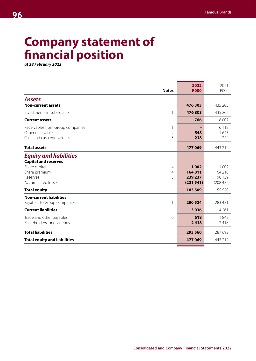# **Company statement of financial position**

*at 28 February 2022*

| <b>Notes</b>                                                                                                                                                        | 2022<br><b>R000</b>                      | 2021<br>R000                              |
|---------------------------------------------------------------------------------------------------------------------------------------------------------------------|------------------------------------------|-------------------------------------------|
| <b>Assets</b>                                                                                                                                                       |                                          |                                           |
| <b>Non-current assets</b>                                                                                                                                           | 476 303                                  | 435 205                                   |
| Investments in subsidiaries<br>$\mathbf{1}$                                                                                                                         | 476 303                                  | 435 205                                   |
| <b>Current assets</b>                                                                                                                                               | 766                                      | 8 0 0 7                                   |
| Receivables from Group companies<br>1<br>Other receivables<br>$\overline{2}$<br>Cash and cash equivalents<br>3                                                      | 548<br>218                               | 6 1 1 8<br>1645<br>244                    |
| <b>Total assets</b>                                                                                                                                                 | 477069                                   | 443 212                                   |
| <b>Equity and liabilities</b><br><b>Capital and reserves</b><br>Share capital<br>$\overline{4}$<br>Share premium<br>4<br>5<br>Reserves<br><b>Accumulated losses</b> | 1 0 0 2<br>164811<br>239 237<br>(221541) | 1 0 0 2<br>164 210<br>198 139<br>(208432) |
| <b>Total equity</b>                                                                                                                                                 | 183 509                                  | 155 520                                   |
| <b>Non-current liabilities</b><br>Payables to Group companies<br>$\mathbf{1}$<br><b>Current liabilities</b>                                                         | 290 524<br>3036                          | 283 431<br>4 2 6 1                        |
| Trade and other payables<br>6<br>Shareholders for dividends                                                                                                         | 618<br>2418                              | 1843<br>2418                              |
| <b>Total liabilities</b>                                                                                                                                            | 293 560                                  | 287 692                                   |
| <b>Total equity and liabilities</b>                                                                                                                                 | 477 069                                  | 443 212                                   |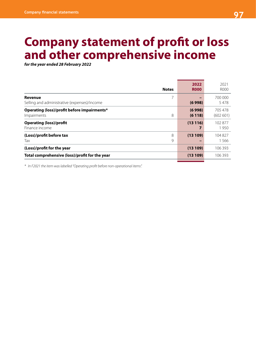# **Company statement of profit or loss and other comprehensive income**

*for the year ended 28 February 2022*

| <b>Notes</b>                                                    | 2022<br><b>R000</b> | 2021<br>R000        |
|-----------------------------------------------------------------|---------------------|---------------------|
| Revenue<br>Selling and administrative (expenses)/income         | (6998)              | 700 000<br>5478     |
| Operating (loss)/profit before impairments*<br>8<br>Impairments | (6998)<br>(6118)    | 705 478<br>(602601) |
| <b>Operating (loss)/profit</b><br>Finance income                | (13116)             | 102877<br>1950      |
| (Loss)/profit before tax<br>8<br>9<br>Tax                       | (13109)             | 104827<br>1566      |
| (Loss)/profit for the year                                      | (13109)             | 106 393             |
| Total comprehensive (loss)/profit for the year                  | (13109)             | 106393              |

*\* In F2021 the item was labelled "Operating profit before non-operational items".*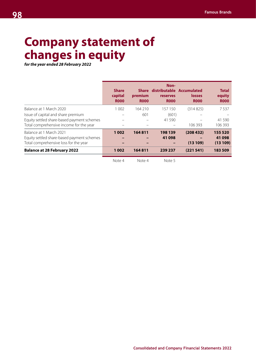# **Company statement of changes in equity**

*for the year ended 28 February 2022*

|                                                                                                                                                        | <b>Share</b><br>capital<br><b>R000</b> | <b>Share</b><br>premium<br><b>ROOO</b> | Non-<br>distributable Accumulated<br>reserves<br><b>R000</b> | losses<br><b>R000</b>           | <b>Total</b><br>equity<br><b>ROOO</b>   |
|--------------------------------------------------------------------------------------------------------------------------------------------------------|----------------------------------------|----------------------------------------|--------------------------------------------------------------|---------------------------------|-----------------------------------------|
| Balance at 1 March 2020<br>Issue of capital and share premium<br>Equity settled share-based payment schemes<br>Total comprehensive income for the year | 1 0 0 2                                | 164 210<br>601                         | 157 150<br>(601)<br>41 590                                   | (314825)<br>106393              | 7537<br>41 590<br>106 393               |
| Balance at 1 March 2021<br>Equity settled share-based payment schemes<br>Total comprehensive loss for the year<br><b>Balance at 28 February 2022</b>   | 1002<br>1 0 0 2                        | 164811<br>164811                       | 198 139<br>41 098<br>239 237                                 | (208432)<br>(13109)<br>(221541) | 155 520<br>41 098<br>(13109)<br>183 509 |

Note 4 Note 4 Note 5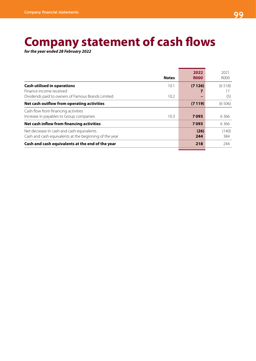# **Company statement of cash flows**

*for the year ended 28 February 2022*

|                                                                                                                    | <b>Notes</b> | 2022<br><b>ROOO</b> | 2021<br>R000  |
|--------------------------------------------------------------------------------------------------------------------|--------------|---------------------|---------------|
| <b>Cash utilised in operations</b><br>Finance income received<br>Dividends paid to owners of Famous Brands Limited | 10.1<br>10.2 | (7126)              | (6518)<br>(5) |
| Net cash outflow from operating activities                                                                         |              | (7119)              | (6506)        |
| Cash flow from financing activities<br>Increase in payables to Group companies                                     | 10.3         | 7093                | 6 3 6 6       |
| Net cash inflow from financing activities                                                                          |              | 7093                | 6 3 6 6       |
| Net decrease in cash and cash equivalents<br>Cash and cash equivalents at the beginning of the year                |              | (26)<br>244         | (140)<br>384  |
| Cash and cash equivalents at the end of the year                                                                   |              | 218                 | 244           |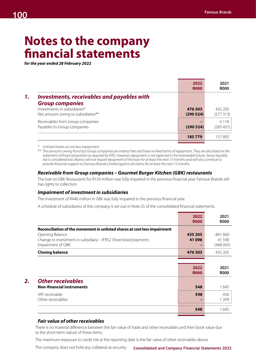# **Notes to the company financial statements**

*for the year ended 28 February 2022*

|                                                                             | 2022<br><b>R000</b> | 2021<br><b>R000</b>  |
|-----------------------------------------------------------------------------|---------------------|----------------------|
| <b>Investments, receivables and payables with</b><br><b>Group companies</b> |                     |                      |
| Investments in subsidiaries*<br>Net amount owing to subsidiaries**          | 476303<br>(290524)  | 435 205<br>(277313)  |
| Receivables from Group companies<br>Payables to Group companies             | (290524)            | 6 1 1 8<br>(283 431) |
|                                                                             | 185779              | 157892               |

*\* Unlisted shares at cost less impairment.*

*\*\* The amounts owing from/(to) Group companies are interest free and have no fixed terms of repayment. They are disclosed on the statement of financial position as required by IFRS. However, repayment is not expected in the foreseeable future, hence liquidity risk is considered low. Manco will not require repayment of the loan for at least the next 15 months and will also continue to provide financial support to Famous Brands Limited against all claims for at least the next 15 months.*

#### *Receivable from Group companies – Gourmet Burger Kitchen (GBK) restaurants*

The loan to GBK Restaurants for R154 million was fully impaired in the previous financial year. Famous Brands still has rights to collection.

#### *Impairment of investment in subsidiaries*

The investment of R448 million in GBK was fully impaired in the previous financial year.

A schedule of subsidiaries of the company is set out in Note 25 of the consolidated financial statements.

|                                                                           | 2022<br><b>R000</b> | 2021<br><b>R000</b>                |
|---------------------------------------------------------------------------|---------------------|------------------------------------|
| Reconciliation of the movement in unlisted shares at cost less impairment |                     |                                    |
| Opening Balance                                                           | 435 205             | 841 660                            |
| Change in investment in subsidiary - IFRS2 Share based payments           | 41 098              | 41 590                             |
| Impairment of GBK                                                         |                     | (448 045)                          |
| <b>Closing balance</b>                                                    | 476 303             | 435 205                            |
|                                                                           |                     |                                    |
|                                                                           |                     |                                    |
|                                                                           | 2022                |                                    |
|                                                                           | <b>ROOO</b>         |                                    |
| <b>Other receivables</b>                                                  |                     |                                    |
| <b>Non-financial instruments</b>                                          | 548                 |                                    |
| VAT receivable                                                            | 548                 | 2021<br><b>R000</b><br>1645<br>436 |
| Other receivables                                                         |                     | 1 2 0 9                            |

# *Fair value of other receivables*

There is no material difference between the fair value of trade and other receivables and their book value due to the short-term nature of these items.

The maximum exposure to credit risk at the reporting date is the fair value of other receivables above.

**Consolidated and Company Financial Statements 2022** The company does not hold any collateral as security.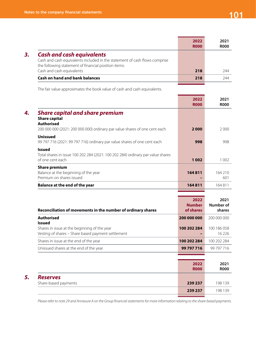*5. Reserves*

|                                                                                                                                                                        | 2022<br><b>R000</b> | 2021<br><b>R000</b> |
|------------------------------------------------------------------------------------------------------------------------------------------------------------------------|---------------------|---------------------|
| <b>Cash and cash equivalents</b><br>Cash and cash equivalents included in the statement of cash flows comprise<br>the following statement of financial position items: |                     |                     |
| Cash and cash equivalents                                                                                                                                              | 218                 | 244                 |
| <b>Cash on hand and bank balances</b>                                                                                                                                  | 218                 | 244                 |
|                                                                                                                                                                        |                     |                     |

The fair value approximates the book value of cash and cash equivalents.

|                                                                                                                      | 2022<br><b>R000</b> | 2021<br><b>ROOO</b> |
|----------------------------------------------------------------------------------------------------------------------|---------------------|---------------------|
| <b>Share capital and share premium</b><br><b>Share capital</b><br><b>Authorised</b>                                  |                     |                     |
| 200 000 000 (2021: 200 000 000) ordinary par value shares of one cent each                                           | 2000                | 2000                |
| <b>Unissued</b><br>99 797 716 (2021: 99 797 716) ordinary par value shares of one cent each                          | 998                 | 998                 |
| <b>Issued</b><br>Total shares in issue 100 202 284 (2021: 100 202 284) ordinary par value shares<br>of one cent each | 1002                | 1 0 0 2             |
| <b>Share premium</b>                                                                                                 | 164811              |                     |
| Balance at the beginning of the year<br>Premium on shares issued                                                     |                     | 164 210<br>601      |
| <b>Balance at the end of the year</b>                                                                                | 164811              | 164811              |
|                                                                                                                      |                     |                     |

| Reconciliation of movements in the number of ordinary shares                                                        | 2022<br><b>Number</b><br>of shares | 2021<br>Number of<br>shares |
|---------------------------------------------------------------------------------------------------------------------|------------------------------------|-----------------------------|
| <b>Authorised</b>                                                                                                   | 200 000 000                        | 200 000 000                 |
| <b>Issued</b><br>Shares in issue at the beginning of the year<br>Vesting of shares - Share based payment settlement | 100 202 284                        | 100 186 058<br>16 2 2 6     |
| Shares in issue at the end of the year                                                                              | 100 202 284                        | 100 202 284                 |
| Unissued shares at the end of the year                                                                              | 99 797 716                         | 99 797 716                  |
|                                                                                                                     |                                    |                             |
|                                                                                                                     | 2022<br><b>R000</b>                | 2021<br><b>ROOO</b>         |
| <b>Reserves</b>                                                                                                     |                                    |                             |
| Share-based payments                                                                                                | 239 237                            | 198 139                     |
|                                                                                                                     | 239 237                            | 198 139                     |
|                                                                                                                     |                                    |                             |

*Please refer to note 29 and Annexure A on the Group financial statements for more information relating to the share-based payments.*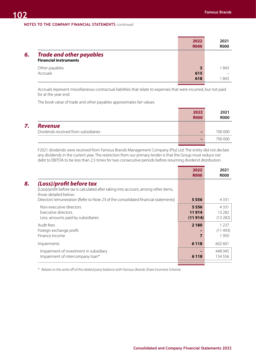#### **NOTES TO THE COMPANY FINANCIAL STATEMENTS** continued

|    |                                                                 | 2022<br><b>R000</b> | 2021<br><b>R000</b> |
|----|-----------------------------------------------------------------|---------------------|---------------------|
| б. | <b>Trade and other payables</b><br><b>Financial instruments</b> |                     |                     |
|    | Other payables<br>Accruals                                      | 3<br>615<br>618     | 1 843<br>1843       |

Accruals represent miscellaneous contractual liabilities that relate to expenses that were incurred, but not paid for at the year-end.

The book value of trade and other payables approximates fair values.

|                                      | 2022<br><b>R000</b> | 2021<br><b>R000</b> |
|--------------------------------------|---------------------|---------------------|
| <b>Revenue</b>                       |                     |                     |
| Dividends received from subsidiaries |                     | 700 000             |
|                                      |                     | 700 000             |
|                                      |                     |                     |

F2021 dividends were received from Famous Brands Management Company (Pty) Ltd. The entity did not declare any dividends in the current year. The restriction from our primary lender is that the Group must reduce net debt to EBITDA to be less than 2.5 times for two consecutive periods before resuming dividend distribution.

|                                                                                                                                                                                                                                  | 2022<br><b>R000</b>      | 2021<br><b>R000</b>             |
|----------------------------------------------------------------------------------------------------------------------------------------------------------------------------------------------------------------------------------|--------------------------|---------------------------------|
| (Loss)/profit before tax<br>(Loss)/profit before tax is calculated after taking into account, among other items,<br>those detailed below:<br>Directors' remuneration (Refer to Note 23 of the consolidated financial statements) | 5556                     | 4 3 3 1                         |
| Non-executive directors<br>Executive directors<br>Less: amounts paid by subsidiaries                                                                                                                                             | 5556<br>11914<br>(11914) | 4 3 3 1<br>13 2 8 2<br>(13 282) |
| Audit fees<br>Foreign exchange profit<br>Finance income                                                                                                                                                                          | 2 1 8 0                  | 1 2 3 7<br>(11 493)<br>950      |
| Impairments                                                                                                                                                                                                                      | 6 1 1 8                  | 602 601                         |
| Impairment of investment in subsidiary<br>Impairment of intercompany loan*                                                                                                                                                       | 6 1 1 8                  | 448 045<br>154 556              |
|                                                                                                                                                                                                                                  |                          |                                 |

*\* Relates to the write off of the related party balance with Famous Brands Share Incentive Scheme.*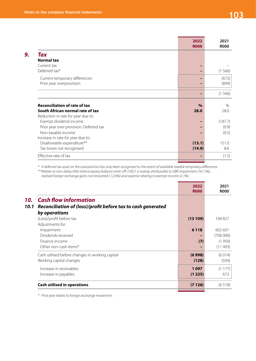|                                         | 2022<br><b>R000</b> | 2021<br><b>R000</b> |
|-----------------------------------------|---------------------|---------------------|
| Tax                                     |                     |                     |
| <b>Normal tax</b>                       |                     |                     |
| Current tax                             |                     |                     |
| Deferred tax*                           |                     | (1566)              |
| Current temporary differences           |                     | (672)               |
| Prior year overprovision                |                     | (894)               |
|                                         |                     | (1566)              |
| <b>Reconciliation of rate of tax</b>    | $\%$                | $\%$                |
| South African normal rate of tax        | 28.0                | 28.0                |
| Reduction in rate for year due to:      |                     |                     |
| Exempt dividend income                  |                     | (187.7)             |
| Prior year over provision: Deferred tax |                     | (0.9)               |
| Non-taxable income                      |                     | (0.5)               |
| Increase in rate for year due to:       |                     |                     |
| Disallowable expenditure**              | (13.1)              | 151.0               |
| Tax losses not recognised               | (14.9)              | 8.6                 |
| Effective rate of tax                   |                     | (1.5)               |

*\* A deferred tax asset on the assessed loss has only been recognised to the extent of available taxable temporary differences.*

*\*\* Relates to non-deductible intercompany balance write-off. F2021 is mainly attributable to GBK impairment (161.5%),* 

*realised foreign exchange gains not recovered (-12.6%) and expense relating to exempt income (2.1%).*

|                                                                             |                                                              | 2022<br><b>R000</b> | 2021<br><b>R000</b>                      |
|-----------------------------------------------------------------------------|--------------------------------------------------------------|---------------------|------------------------------------------|
| <b>Cash flow information</b><br>10.<br>10.1<br>by operations                | Reconciliation of (loss)/profit before tax to cash generated |                     |                                          |
| (Loss)/profit before tax<br>Adjustments for:                                |                                                              | (13109)             | 104827                                   |
| Impairment<br>Dividends received<br>Finance income<br>Other non-cash items* |                                                              | 6 1 1 8<br>(7)      | 602 601<br>(700000)<br>(1950)<br>(11493) |
| Working capital changes                                                     | Cash utilised before changes in working capital              | (6998)<br>(128)     | (6014)<br>(504)                          |
| Increase in receivables<br>Increase in payables                             |                                                              | 1097<br>(1225)      | (1177)<br>673                            |
| <b>Cash utilised in operations</b>                                          |                                                              | (7126)              | (6518)                                   |

*\* Prior year relates to foreign exchange movement.*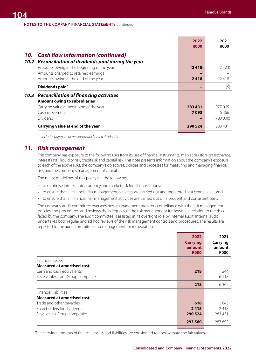**NOTES TO THE COMPANY FINANCIAL STATEMENTS** continued

|      |                                                  | 2022<br><b>ROOO</b> | 2021<br><b>ROOO</b> |
|------|--------------------------------------------------|---------------------|---------------------|
| 10.  | <b>Cash flow information (continued)</b>         |                     |                     |
| 10.2 | Reconciliation of dividends paid during the year |                     |                     |
|      | Amounts owing at the beginning of the year       | (2418)              | (2423)              |
|      | Amounts charged to retained earnings             |                     |                     |
|      | Amounts owing at the end of the year             | 2418                | 2418                |
|      | Dividends paid <sup>^</sup>                      |                     | (5)                 |
| 10.3 | <b>Reconciliation of financing activities</b>    |                     |                     |
|      | <b>Amount owing to subsidiaries</b>              |                     |                     |
|      | Carrying value at beginning of the year          | 283 431             | 977 065             |
|      | Cash movement                                    | 7093                | 6366                |
|      | Dividend                                         |                     | (700000)            |
|      | Carrying value at end of the year                | 290 524             | 283431              |

*^ Includes payment of previously unclaimed dividends*

# *11. Risk management*

The company has exposure to the following risks from its use of financial instruments: market risk (foreign exchange, interest rate), liquidity risk, credit risk and capital risk. This note presents information about the company's exposure to each of the above risks, the company's objectives, policies and processes for measuring and managing financial risk, and the company's management of capital.

The major guidelines of this policy are the following:

- to minimise interest rate, currency and market risk for all transactions;
- to ensure that all financial risk management activities are carried out and monitored at a central level; and
- to ensure that all financial risk management activities are carried out on a prudent and consistent basis.

The company audit committee oversees how management monitors compliance with the risk management policies and procedures, and reviews the adequacy of the risk management framework in relation to the risks faced by the company. The audit committee is assisted in its oversight role by internal audit. Internal audit undertakes both regular and ad hoc reviews of the risk management controls and procedures. The results are reported to the audit committee and management for remediation.

|                                    | 2022<br><b>Carrying</b><br>amount<br><b>R000</b> | 2021<br>Carrying<br>amount<br><b>R000</b> |
|------------------------------------|--------------------------------------------------|-------------------------------------------|
| Financial assets                   |                                                  |                                           |
| <b>Measured at amortised cost:</b> |                                                  |                                           |
| Cash and cash equivalents          | 218                                              | 244                                       |
| Receivables from Group companies   |                                                  | 6 1 1 8                                   |
|                                    | 218                                              | 6362                                      |
| Financial liabilities              |                                                  |                                           |
| <b>Measured at amortised cost:</b> |                                                  |                                           |
| Trade and other payables           | 618                                              | 1843                                      |
| Shareholders for dividends         | 2418                                             | 2418                                      |
| Payables to Group companies        | 290 524                                          | 283431                                    |
|                                    | 293 560                                          | 287 692                                   |

The carrying amounts of financial assets and liabilities are considered to approximate the fair values.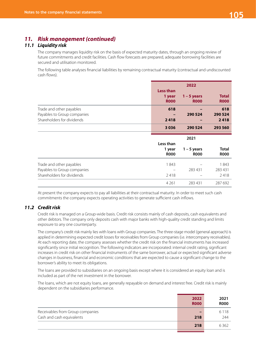# *11. Risk management (continued)*

# *11.1 Liquidity risk*

The company manages liquidity risk on the basis of expected maturity dates, through an ongoing review of future commitments and credit facilities. Cash flow forecasts are prepared, adequate borrowing facilities are secured and utilisation monitored.

The following table analyses financial liabilities by remaining contractual maturity (contractual and undiscounted cash flows).

|                                                           | <b>Less than</b><br>1 year<br><b>ROOO</b> | 2022<br>$1 - 5$ years<br><b>ROOO</b> | <b>Total</b><br><b>ROOO</b> |
|-----------------------------------------------------------|-------------------------------------------|--------------------------------------|-----------------------------|
| Trade and other payables                                  | 618                                       |                                      | 618                         |
| Payables to Group companies                               |                                           | 290 524                              | 290 524                     |
| Shareholders for dividends                                | 2418                                      |                                      | 2418                        |
|                                                           | 3036                                      | 290 524                              | 293 560                     |
|                                                           |                                           |                                      |                             |
|                                                           |                                           | 2021                                 |                             |
|                                                           | Less than<br>1 year<br><b>R000</b>        | $1 - 5$ years<br><b>R000</b>         | <b>Total</b><br><b>R000</b> |
|                                                           | 1843                                      |                                      | 1843                        |
| Trade and other payables                                  |                                           | 283 431                              | 283 431                     |
| Payables to Group companies<br>Shareholders for dividends | 2418                                      |                                      | 2418                        |

At present the company expects to pay all liabilities at their contractual maturity. In order to meet such cash commitments the company expects operating activities to generate sufficient cash inflows.

# *11.2 Credit risk*

Credit risk is managed on a Group-wide basis. Credit risk consists mainly of cash deposits, cash equivalents and other debtors. The company only deposits cash with major banks with high-quality credit standing and limits exposure to any one counterparty.

The company's credit risk mainly lies with loans with Group companies. The three-stage model (general approach) is applied in determining expected credit losses for receivables from Group companies (i.e. intercompany receivables). At each reporting date, the company assesses whether the credit risk on the financial instruments has increased significantly since initial recognition. The following indicators are incorporated: internal credit rating, significant increases in credit risk on other financial instruments of the same borrower, actual or expected significant adverse changes in business, financial and economic conditions that are expected to cause a significant change to the borrower's ability to meet its obligations.

The loans are provided to subsidiaries on an ongoing basis except where it is considered an equity loan and is included as part of the net investment in the borrower.

The loans, which are not equity loans, are generally repayable on demand and interest free. Credit risk is mainly dependent on the subsidiaries performance.

|                                  | 2022<br><b>R000</b> | 2021<br><b>R000</b> |
|----------------------------------|---------------------|---------------------|
| Receivables from Group companies |                     | 6 1 1 8             |
| Cash and cash equivalents        | 218                 | 244                 |
|                                  | 218                 | 6362                |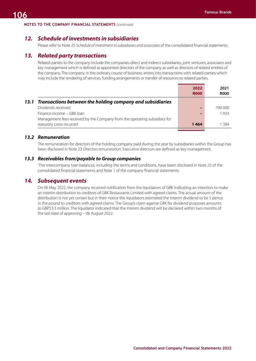#### **NOTES TO THE COMPANY FINANCIAL STATEMENTS** continued

# *12. Schedule of investments in subsidiaries*

Please refer to Note 25 *Schedule of investment in subsidiaries and associates* of the consolidated financial statements.

# *13. Related party transactions*

Related parties to the company include the companies direct and indirect subsidiaries, joint ventures, associates and key management which is defined as appointed directors of the company as well as directors of related entities of the company. The company, in the ordinary course of business, enters into transactions with related parties which may include the rendering of services, funding arrangements or transfer of resources to related parties.

|                                                                           | 2022<br><b>R000</b> | 2021<br><b>R000</b> |
|---------------------------------------------------------------------------|---------------------|---------------------|
| 13.1 Transactions between the holding company and subsidiaries            |                     |                     |
| Dividends received                                                        |                     | 700 000             |
| Finance income – GBK Joan                                                 |                     | 1933                |
| Management fees received by the Company from the operating subsidiary for |                     |                     |
| statutory costs incurred                                                  | 1464                | 1 3 9 4             |
|                                                                           |                     |                     |

#### *13.2 Remuneration*

The remuneration for directors of the holding company paid during the year by subsidiaries within the Group has been disclosed in Note 23 *Directors remuneration*. Executive directors are defined as key management.

#### *13.3 Receivables from/payable to Group companies*

'The intercompany loan balances, including the terms and conditions, have been disclosed in Note 25 of the consolidated financial statements and Note 1 of the company financial statements.

# *14. Subsequent events*

On 06 May 2022, the company received notification from the liquidators of GBK indicating an intention to make an interim distribution to creditors of GBK Restaurants Limited with agreed claims. The actual amount of the distribution is not yet certain but in their notice the liquidators estimated the interim dividend to be 5 pence in the pound to creditors with agreed claims. The Group's claim against GBK for dividend purposes amounts to GBP53.3 million. The liquidator indicated that the interim dividend will be declared within two months of the last date of approving – 06 August 2022.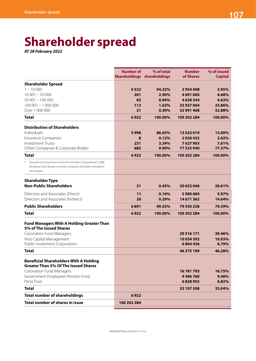## **Shareholder spread**

*AT 28 February 2022*

|                                                                                                                                                            | <b>Number of</b><br>Shareholdings shareholdings | % of total | <b>Number</b><br>of Shares | % of issued<br><b>Capital</b> |
|------------------------------------------------------------------------------------------------------------------------------------------------------------|-------------------------------------------------|------------|----------------------------|-------------------------------|
| <b>Shareholder Spread</b>                                                                                                                                  |                                                 |            |                            |                               |
| $1 - 10000$                                                                                                                                                | 6522                                            | 94.22%     | 3954408                    | 3.95%                         |
| $10001 - 50000$                                                                                                                                            | 201                                             | 2.90%      | 4691000                    | 4.68%                         |
| 50 001 - 100 000                                                                                                                                           | 65                                              | 0.94%      | 4638344                    | 4.63%                         |
| $100001 - 1000000$                                                                                                                                         | 113                                             | 1.63%      | 33 927 064                 | 33.86%                        |
| Over 1 000 000                                                                                                                                             | 21                                              | 0.30%      | 52 991 468                 | 52.88%                        |
| <b>Total</b>                                                                                                                                               | 6922                                            | 100.00%    | 100 202 284                | 100.00%                       |
| <b>Distribution of Shareholders</b>                                                                                                                        |                                                 |            |                            |                               |
| Individuals                                                                                                                                                | 5998                                            | 86.65%     | 13022019                   | 13.00%                        |
| Insurance Companies                                                                                                                                        | 8                                               | 0.12%      | 2026422                    | 2.02%                         |
| <b>Investment Trusts</b>                                                                                                                                   | 231                                             | 3.34%      | 7627903                    | 7.61%                         |
| Other Companies & Corporate Bodies                                                                                                                         | 685                                             | 9.90%      | 77 525 940                 | 77.37%                        |
| <b>Total</b>                                                                                                                                               | 6922                                            | 100.00%    | 100 202 284                | 100.00%                       |
| Pursuant to the provisions of Section 56 of the Companies Act, 2008,<br>disclosures from foreign nominee companies have been included in<br>this analysis. |                                                 |            |                            |                               |
| <b>Shareholder Type</b>                                                                                                                                    |                                                 |            |                            |                               |
| <b>Non-Public Shareholders</b>                                                                                                                             | 31                                              | 0.45%      | 20 652 046                 | 20.61%                        |
| Directors and Associates (Direct)                                                                                                                          | 11                                              | 0.16%      | 5980684                    | 5.97%                         |
| Directors and Associates (Indirect)                                                                                                                        | 20                                              | 0.29%      | 14 671 362                 | 14.64%                        |
| <b>Public Shareholders</b>                                                                                                                                 | 6891                                            | 99.55%     | 79 550 238                 | 79.39%                        |
| Total                                                                                                                                                      | 6922                                            | 100.00%    | 100 202 284                | 100.00%                       |
| <b>Fund Managers With A Holding Greater Than</b>                                                                                                           |                                                 |            |                            |                               |
| 5% of The Issued Shares                                                                                                                                    |                                                 |            |                            |                               |
| <b>Coronation Fund Managers</b>                                                                                                                            |                                                 |            | 29 5 16 1 7 1              | 29.46%                        |
| Visio Capital Management                                                                                                                                   |                                                 |            | 10054592                   | 10.03%                        |
| Public Investment Corporation                                                                                                                              |                                                 |            | 6804436                    | 6.79%                         |
| <b>Total</b>                                                                                                                                               |                                                 |            | 46 375 199                 | 46.28%                        |
| <b>Beneficial Shareholders With A Holding</b>                                                                                                              |                                                 |            |                            |                               |
| <b>Greater Than 5% Of The Issued Shares</b>                                                                                                                |                                                 |            |                            |                               |
| <b>Coronation Fund Managers</b>                                                                                                                            |                                                 |            | 16781793                   | 16.75%                        |
| Government Employees Pension Fund<br>Panis Trust                                                                                                           |                                                 |            | 9496760                    | 9.48%                         |
|                                                                                                                                                            |                                                 |            | 6828955                    | 6.82%                         |
| <b>Total</b>                                                                                                                                               |                                                 |            | 33 107 508                 | 33.04%                        |
| <b>Total number of shareholdings</b>                                                                                                                       | 6922                                            |            |                            |                               |
| Total number of shares in issue                                                                                                                            | 100 202 284                                     |            |                            |                               |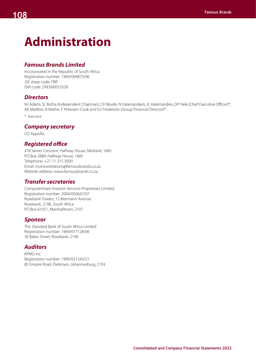# **Administration**

### *Famous Brands Limited*

Incorporated in the Republic of South Africa Registration number: 1969/004875/06 JSE share code: FBR ISIN code: ZAE000053328

### *Directors*

NJ Adami, SL Botha (Independent Chairman), CH Boulle, N Halamandaris, JL Halamandres, DP Hele (Chief Executive Officer)\*, AK Maditse, B Mathe, F Petersen-Cook and DJ Fredericks (Group Financial Director)\*.

*\* Executive* 

#### *Company secretary*

CD Appollis

#### *Registered office*

478 James Crescent, Halfway House, Midrand, 1685 PO Box 2884, Halfway House, 1685 Telephone: +27 11 315 3000 Email: investorrelations@famousbrands.co.za Website address: www.famousbrands.co.za

#### *Transfer secretaries*

Computershare Investor Services Proprietary Limited Registration number: 2004/003647/07 Rosebank Towers, 15 Biermann Avenue Rosebank, 2196, South Africa PO Box 61051, Marshalltown, 2107

#### *Sponsor*

The Standard Bank of South Africa Limited Registration number: 1969/017128/06 30 Baker Street, Rosebank, 2196

#### *Auditors*

KPMG Inc Registration number: 1999/021543/21 85 Empire Road, Parktown, Johannesburg, 2193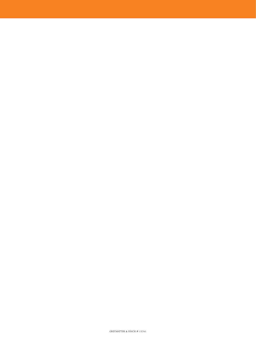#### GREYMATTER & FINCH # 15761